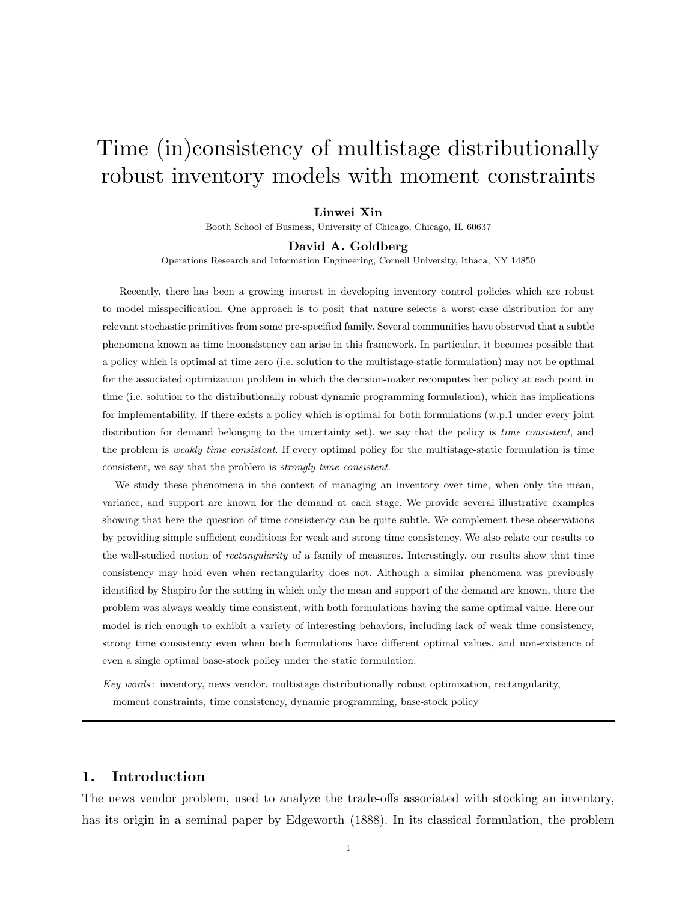# Time (in)consistency of multistage distributionally robust inventory models with moment constraints

## Linwei Xin

Booth School of Business, University of Chicago, Chicago, IL 60637

#### David A. Goldberg

Operations Research and Information Engineering, Cornell University, Ithaca, NY 14850

Recently, there has been a growing interest in developing inventory control policies which are robust to model misspecification. One approach is to posit that nature selects a worst-case distribution for any relevant stochastic primitives from some pre-specified family. Several communities have observed that a subtle phenomena known as time inconsistency can arise in this framework. In particular, it becomes possible that a policy which is optimal at time zero (i.e. solution to the multistage-static formulation) may not be optimal for the associated optimization problem in which the decision-maker recomputes her policy at each point in time (i.e. solution to the distributionally robust dynamic programming formulation), which has implications for implementability. If there exists a policy which is optimal for both formulations (w.p.1 under every joint distribution for demand belonging to the uncertainty set), we say that the policy is time consistent, and the problem is *weakly time consistent*. If every optimal policy for the multistage-static formulation is time consistent, we say that the problem is strongly time consistent.

We study these phenomena in the context of managing an inventory over time, when only the mean, variance, and support are known for the demand at each stage. We provide several illustrative examples showing that here the question of time consistency can be quite subtle. We complement these observations by providing simple sufficient conditions for weak and strong time consistency. We also relate our results to the well-studied notion of *rectangularity* of a family of measures. Interestingly, our results show that time consistency may hold even when rectangularity does not. Although a similar phenomena was previously identified by Shapiro for the setting in which only the mean and support of the demand are known, there the problem was always weakly time consistent, with both formulations having the same optimal value. Here our model is rich enough to exhibit a variety of interesting behaviors, including lack of weak time consistency, strong time consistency even when both formulations have different optimal values, and non-existence of even a single optimal base-stock policy under the static formulation.

Key words : inventory, news vendor, multistage distributionally robust optimization, rectangularity, moment constraints, time consistency, dynamic programming, base-stock policy

## 1. Introduction

The news vendor problem, used to analyze the trade-offs associated with stocking an inventory, has its origin in a seminal paper by Edgeworth (1888). In its classical formulation, the problem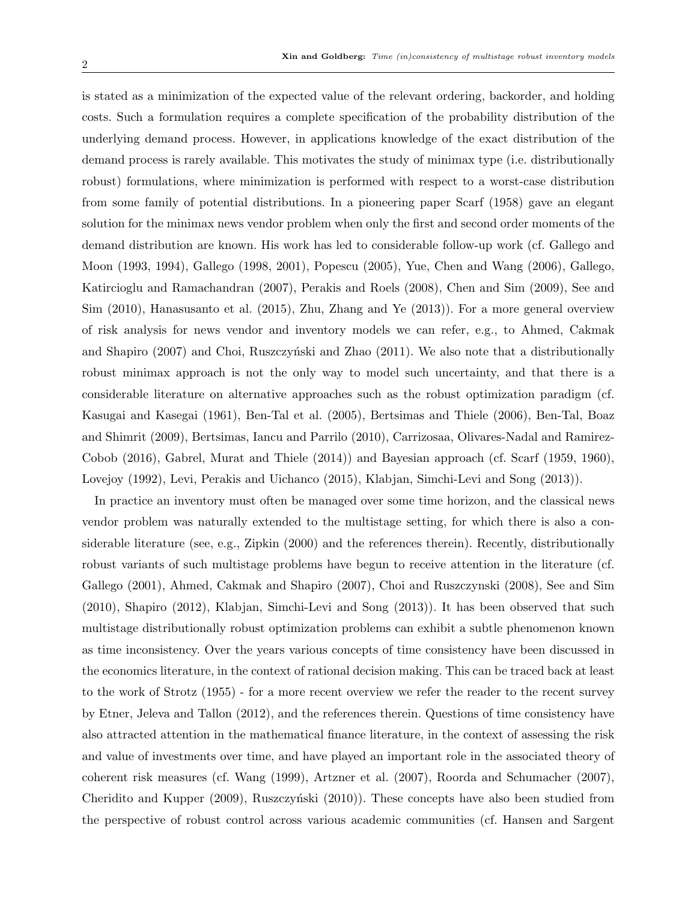is stated as a minimization of the expected value of the relevant ordering, backorder, and holding costs. Such a formulation requires a complete specification of the probability distribution of the underlying demand process. However, in applications knowledge of the exact distribution of the demand process is rarely available. This motivates the study of minimax type (i.e. distributionally robust) formulations, where minimization is performed with respect to a worst-case distribution from some family of potential distributions. In a pioneering paper Scarf (1958) gave an elegant solution for the minimax news vendor problem when only the first and second order moments of the demand distribution are known. His work has led to considerable follow-up work (cf. Gallego and Moon (1993, 1994), Gallego (1998, 2001), Popescu (2005), Yue, Chen and Wang (2006), Gallego, Katircioglu and Ramachandran (2007), Perakis and Roels (2008), Chen and Sim (2009), See and Sim (2010), Hanasusanto et al. (2015), Zhu, Zhang and Ye (2013)). For a more general overview of risk analysis for news vendor and inventory models we can refer, e.g., to Ahmed, Cakmak and Shapiro  $(2007)$  and Choi, Ruszczyński and Zhao  $(2011)$ . We also note that a distributionally robust minimax approach is not the only way to model such uncertainty, and that there is a considerable literature on alternative approaches such as the robust optimization paradigm (cf. Kasugai and Kasegai (1961), Ben-Tal et al. (2005), Bertsimas and Thiele (2006), Ben-Tal, Boaz and Shimrit (2009), Bertsimas, Iancu and Parrilo (2010), Carrizosaa, Olivares-Nadal and Ramirez-Cobob (2016), Gabrel, Murat and Thiele (2014)) and Bayesian approach (cf. Scarf (1959, 1960), Lovejoy (1992), Levi, Perakis and Uichanco (2015), Klabjan, Simchi-Levi and Song (2013)).

In practice an inventory must often be managed over some time horizon, and the classical news vendor problem was naturally extended to the multistage setting, for which there is also a considerable literature (see, e.g., Zipkin (2000) and the references therein). Recently, distributionally robust variants of such multistage problems have begun to receive attention in the literature (cf. Gallego (2001), Ahmed, Cakmak and Shapiro (2007), Choi and Ruszczynski (2008), See and Sim (2010), Shapiro (2012), Klabjan, Simchi-Levi and Song (2013)). It has been observed that such multistage distributionally robust optimization problems can exhibit a subtle phenomenon known as time inconsistency. Over the years various concepts of time consistency have been discussed in the economics literature, in the context of rational decision making. This can be traced back at least to the work of Strotz (1955) - for a more recent overview we refer the reader to the recent survey by Etner, Jeleva and Tallon (2012), and the references therein. Questions of time consistency have also attracted attention in the mathematical finance literature, in the context of assessing the risk and value of investments over time, and have played an important role in the associated theory of coherent risk measures (cf. Wang (1999), Artzner et al. (2007), Roorda and Schumacher (2007), Cheridito and Kupper (2009), Ruszczynski (2010)). These concepts have also been studied from the perspective of robust control across various academic communities (cf. Hansen and Sargent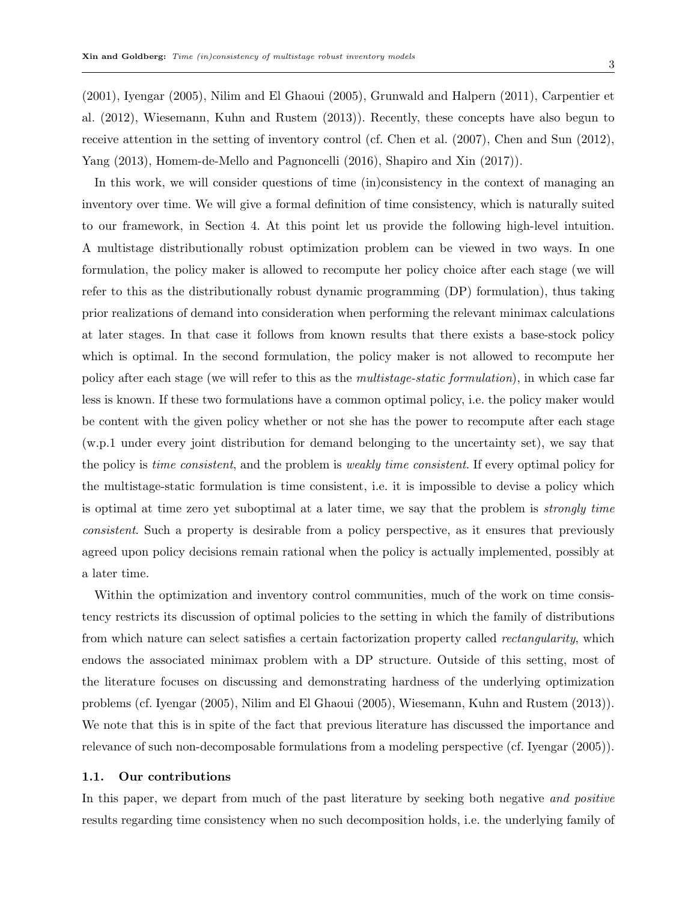(2001), Iyengar (2005), Nilim and El Ghaoui (2005), Grunwald and Halpern (2011), Carpentier et al. (2012), Wiesemann, Kuhn and Rustem (2013)). Recently, these concepts have also begun to receive attention in the setting of inventory control (cf. Chen et al. (2007), Chen and Sun (2012), Yang (2013), Homem-de-Mello and Pagnoncelli (2016), Shapiro and Xin (2017)).

In this work, we will consider questions of time (in)consistency in the context of managing an inventory over time. We will give a formal definition of time consistency, which is naturally suited to our framework, in Section 4. At this point let us provide the following high-level intuition. A multistage distributionally robust optimization problem can be viewed in two ways. In one formulation, the policy maker is allowed to recompute her policy choice after each stage (we will refer to this as the distributionally robust dynamic programming (DP) formulation), thus taking prior realizations of demand into consideration when performing the relevant minimax calculations at later stages. In that case it follows from known results that there exists a base-stock policy which is optimal. In the second formulation, the policy maker is not allowed to recompute her policy after each stage (we will refer to this as the multistage-static formulation), in which case far less is known. If these two formulations have a common optimal policy, i.e. the policy maker would be content with the given policy whether or not she has the power to recompute after each stage (w.p.1 under every joint distribution for demand belonging to the uncertainty set), we say that the policy is time consistent, and the problem is weakly time consistent. If every optimal policy for the multistage-static formulation is time consistent, i.e. it is impossible to devise a policy which is optimal at time zero yet suboptimal at a later time, we say that the problem is strongly time consistent. Such a property is desirable from a policy perspective, as it ensures that previously agreed upon policy decisions remain rational when the policy is actually implemented, possibly at a later time.

Within the optimization and inventory control communities, much of the work on time consistency restricts its discussion of optimal policies to the setting in which the family of distributions from which nature can select satisfies a certain factorization property called rectangularity, which endows the associated minimax problem with a DP structure. Outside of this setting, most of the literature focuses on discussing and demonstrating hardness of the underlying optimization problems (cf. Iyengar (2005), Nilim and El Ghaoui (2005), Wiesemann, Kuhn and Rustem (2013)). We note that this is in spite of the fact that previous literature has discussed the importance and relevance of such non-decomposable formulations from a modeling perspective (cf. Iyengar (2005)).

## 1.1. Our contributions

In this paper, we depart from much of the past literature by seeking both negative and positive results regarding time consistency when no such decomposition holds, i.e. the underlying family of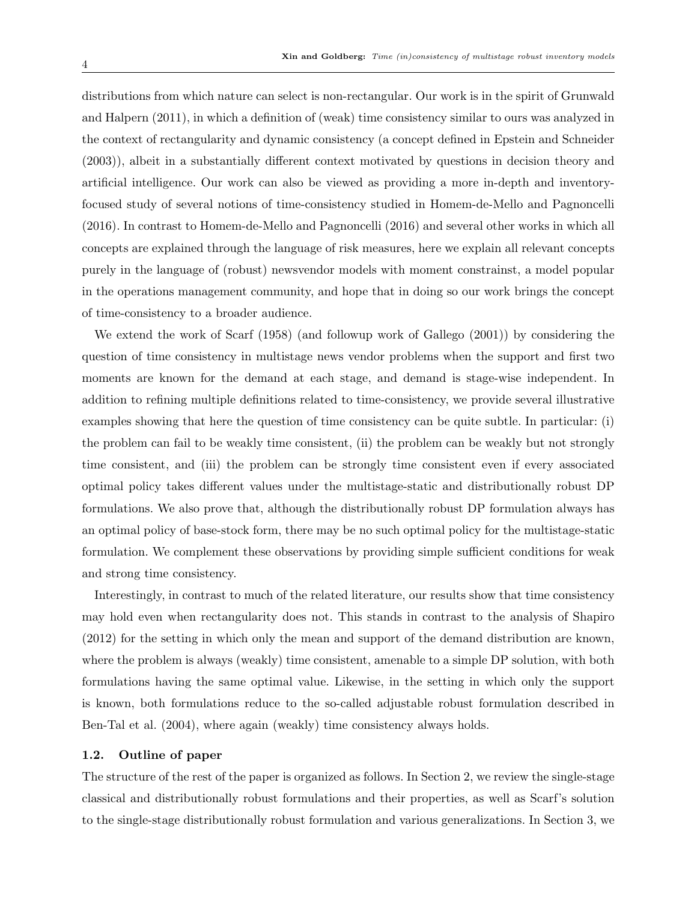distributions from which nature can select is non-rectangular. Our work is in the spirit of Grunwald and Halpern (2011), in which a definition of (weak) time consistency similar to ours was analyzed in the context of rectangularity and dynamic consistency (a concept defined in Epstein and Schneider (2003)), albeit in a substantially different context motivated by questions in decision theory and artificial intelligence. Our work can also be viewed as providing a more in-depth and inventoryfocused study of several notions of time-consistency studied in Homem-de-Mello and Pagnoncelli (2016). In contrast to Homem-de-Mello and Pagnoncelli (2016) and several other works in which all concepts are explained through the language of risk measures, here we explain all relevant concepts purely in the language of (robust) newsvendor models with moment constrainst, a model popular in the operations management community, and hope that in doing so our work brings the concept of time-consistency to a broader audience.

We extend the work of Scarf (1958) (and followup work of Gallego (2001)) by considering the question of time consistency in multistage news vendor problems when the support and first two moments are known for the demand at each stage, and demand is stage-wise independent. In addition to refining multiple definitions related to time-consistency, we provide several illustrative examples showing that here the question of time consistency can be quite subtle. In particular: (i) the problem can fail to be weakly time consistent, (ii) the problem can be weakly but not strongly time consistent, and (iii) the problem can be strongly time consistent even if every associated optimal policy takes different values under the multistage-static and distributionally robust DP formulations. We also prove that, although the distributionally robust DP formulation always has an optimal policy of base-stock form, there may be no such optimal policy for the multistage-static formulation. We complement these observations by providing simple sufficient conditions for weak and strong time consistency.

Interestingly, in contrast to much of the related literature, our results show that time consistency may hold even when rectangularity does not. This stands in contrast to the analysis of Shapiro (2012) for the setting in which only the mean and support of the demand distribution are known, where the problem is always (weakly) time consistent, amenable to a simple DP solution, with both formulations having the same optimal value. Likewise, in the setting in which only the support is known, both formulations reduce to the so-called adjustable robust formulation described in Ben-Tal et al. (2004), where again (weakly) time consistency always holds.

## 1.2. Outline of paper

The structure of the rest of the paper is organized as follows. In Section 2, we review the single-stage classical and distributionally robust formulations and their properties, as well as Scarf's solution to the single-stage distributionally robust formulation and various generalizations. In Section 3, we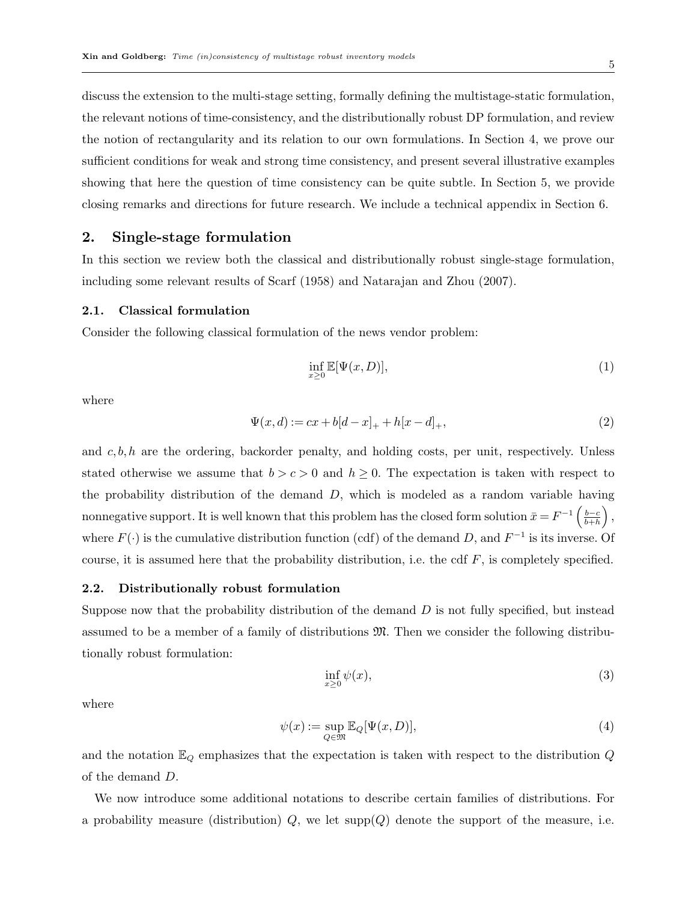discuss the extension to the multi-stage setting, formally defining the multistage-static formulation, the relevant notions of time-consistency, and the distributionally robust DP formulation, and review the notion of rectangularity and its relation to our own formulations. In Section 4, we prove our sufficient conditions for weak and strong time consistency, and present several illustrative examples showing that here the question of time consistency can be quite subtle. In Section 5, we provide closing remarks and directions for future research. We include a technical appendix in Section 6.

## 2. Single-stage formulation

In this section we review both the classical and distributionally robust single-stage formulation, including some relevant results of Scarf (1958) and Natarajan and Zhou (2007).

#### 2.1. Classical formulation

Consider the following classical formulation of the news vendor problem:

$$
\inf_{x\geq 0} \mathbb{E}[\Psi(x,D)],\tag{1}
$$

where

$$
\Psi(x,d) := cx + b[d-x]_+ + h[x-d]_+, \tag{2}
$$

and  $c, b, h$  are the ordering, backorder penalty, and holding costs, per unit, respectively. Unless stated otherwise we assume that  $b > c > 0$  and  $h \ge 0$ . The expectation is taken with respect to the probability distribution of the demand D, which is modeled as a random variable having nonnegative support. It is well known that this problem has the closed form solution  $\bar{x} = F^{-1} \left( \frac{b-c}{b+b} \right)$  $_{\overline{b+h}}^{\underline{b-c}}\Big)$  , where  $F(\cdot)$  is the cumulative distribution function (cdf) of the demand D, and  $F^{-1}$  is its inverse. Of course, it is assumed here that the probability distribution, i.e. the cdf  $F$ , is completely specified.

## 2.2. Distributionally robust formulation

Suppose now that the probability distribution of the demand  $D$  is not fully specified, but instead assumed to be a member of a family of distributions  $\mathfrak{M}$ . Then we consider the following distributionally robust formulation:

$$
\inf_{x\geq 0} \psi(x),\tag{3}
$$

where

$$
\psi(x) := \sup_{Q \in \mathfrak{M}} \mathbb{E}_Q[\Psi(x, D)],\tag{4}
$$

and the notation  $\mathbb{E}_Q$  emphasizes that the expectation is taken with respect to the distribution  $Q$ of the demand D.

We now introduce some additional notations to describe certain families of distributions. For a probability measure (distribution)  $Q$ , we let supp $(Q)$  denote the support of the measure, i.e.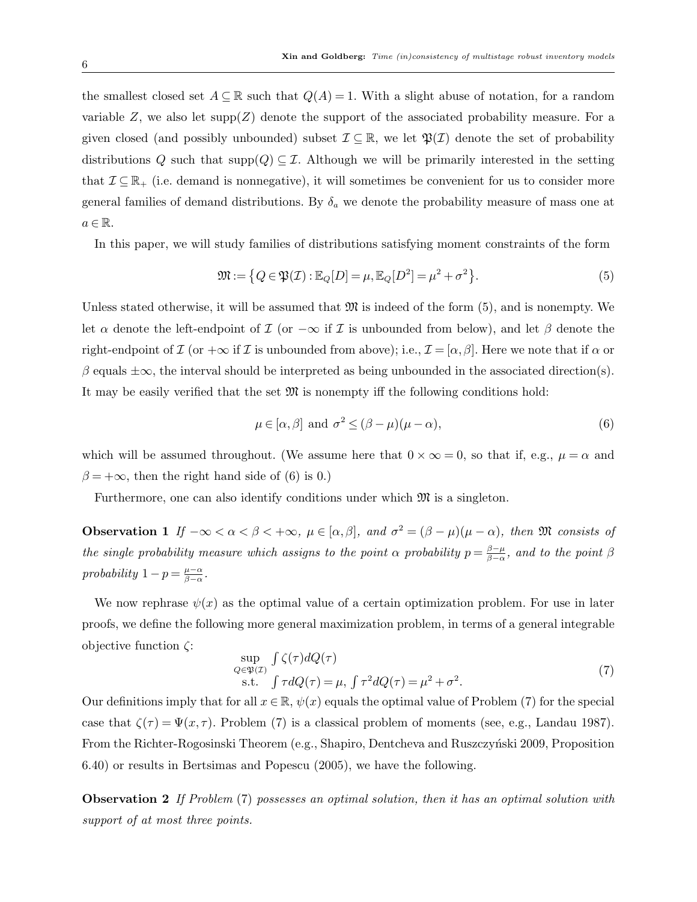the smallest closed set  $A \subseteq \mathbb{R}$  such that  $Q(A) = 1$ . With a slight abuse of notation, for a random variable Z, we also let  $\text{supp}(Z)$  denote the support of the associated probability measure. For a given closed (and possibly unbounded) subset  $\mathcal{I} \subseteq \mathbb{R}$ , we let  $\mathfrak{P}(\mathcal{I})$  denote the set of probability distributions Q such that  $\text{supp}(Q) \subseteq \mathcal{I}$ . Although we will be primarily interested in the setting that  $\mathcal{I} \subseteq \mathbb{R}_+$  (i.e. demand is nonnegative), it will sometimes be convenient for us to consider more general families of demand distributions. By  $\delta_a$  we denote the probability measure of mass one at  $a \in \mathbb{R}$ .

In this paper, we will study families of distributions satisfying moment constraints of the form

$$
\mathfrak{M} := \left\{ Q \in \mathfrak{P}(\mathcal{I}) : \mathbb{E}_Q[D] = \mu, \mathbb{E}_Q[D^2] = \mu^2 + \sigma^2 \right\}.
$$
\n<sup>(5)</sup>

Unless stated otherwise, it will be assumed that  $\mathfrak{M}$  is indeed of the form (5), and is nonempty. We let  $\alpha$  denote the left-endpoint of  $\mathcal I$  (or  $-\infty$  if  $\mathcal I$  is unbounded from below), and let  $\beta$  denote the right-endpoint of I (or  $+\infty$  if I is unbounded from above); i.e.,  $\mathcal{I} = [\alpha, \beta]$ . Here we note that if  $\alpha$  or  $β$  equals  $±∞$ , the interval should be interpreted as being unbounded in the associated direction(s). It may be easily verified that the set  $\mathfrak{M}$  is nonempty iff the following conditions hold:

$$
\mu \in [\alpha, \beta] \text{ and } \sigma^2 \le (\beta - \mu)(\mu - \alpha), \tag{6}
$$

which will be assumed throughout. (We assume here that  $0 \times \infty = 0$ , so that if, e.g.,  $\mu = \alpha$  and  $\beta = +\infty$ , then the right hand side of (6) is 0.)

Furthermore, one can also identify conditions under which  $\mathfrak{M}$  is a singleton.

**Observation 1** If  $-\infty < \alpha < \beta < +\infty$ ,  $\mu \in [\alpha, \beta]$ , and  $\sigma^2 = (\beta - \mu)(\mu - \alpha)$ , then M consists of the single probability measure which assigns to the point  $\alpha$  probability  $p = \frac{\beta - \mu}{\beta - \alpha}$  $\frac{\beta-\mu}{\beta-\alpha}$ , and to the point  $\beta$ probability  $1 - p = \frac{\mu - \alpha}{\beta - \alpha}$  $\frac{\mu-\alpha}{\beta-\alpha}$  .

We now rephrase  $\psi(x)$  as the optimal value of a certain optimization problem. For use in later proofs, we define the following more general maximization problem, in terms of a general integrable objective function ζ:

$$
\sup_{Q \in \mathfrak{P}(\mathcal{I})} \int \zeta(\tau) dQ(\tau) \n\text{s.t.} \int \tau dQ(\tau) = \mu, \int \tau^2 dQ(\tau) = \mu^2 + \sigma^2.
$$
\n(7)

Our definitions imply that for all  $x \in \mathbb{R}$ ,  $\psi(x)$  equals the optimal value of Problem (7) for the special case that  $\zeta(\tau) = \Psi(x, \tau)$ . Problem (7) is a classical problem of moments (see, e.g., Landau 1987). From the Richter-Rogosinski Theorem (e.g., Shapiro, Dentcheva and Ruszczyński 2009, Proposition 6.40) or results in Bertsimas and Popescu (2005), we have the following.

Observation 2 If Problem (7) possesses an optimal solution, then it has an optimal solution with support of at most three points.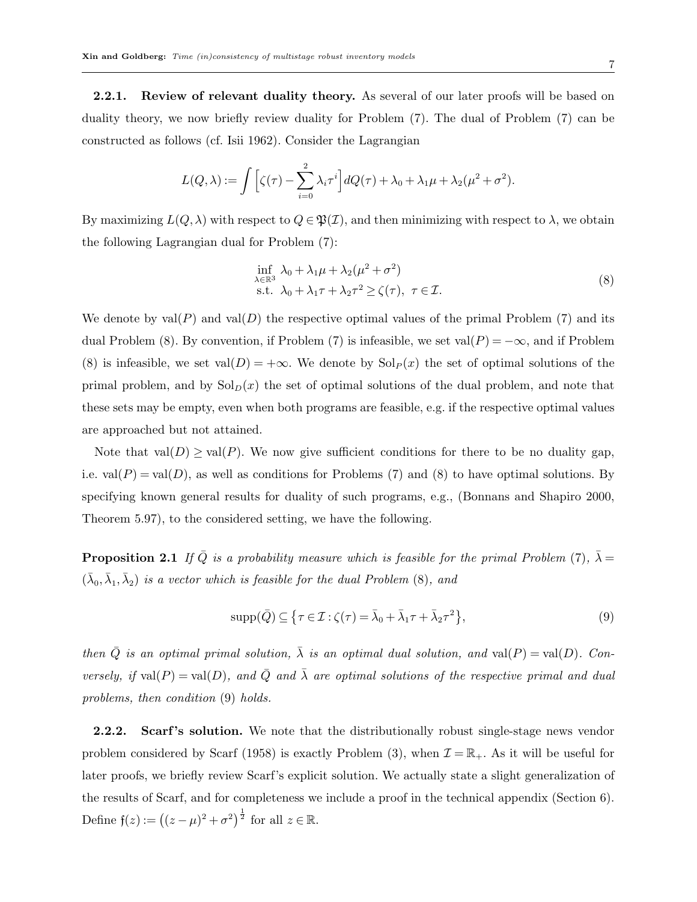**2.2.1.** Review of relevant duality theory. As several of our later proofs will be based on duality theory, we now briefly review duality for Problem (7). The dual of Problem (7) can be constructed as follows (cf. Isii 1962). Consider the Lagrangian

$$
L(Q,\lambda) := \int \Big[\zeta(\tau) - \sum_{i=0}^2 \lambda_i \tau^i\Big] dQ(\tau) + \lambda_0 + \lambda_1 \mu + \lambda_2 (\mu^2 + \sigma^2).
$$

By maximizing  $L(Q, \lambda)$  with respect to  $Q \in \mathfrak{P}(\mathcal{I})$ , and then minimizing with respect to  $\lambda$ , we obtain the following Lagrangian dual for Problem (7):

$$
\inf_{\lambda \in \mathbb{R}^3} \lambda_0 + \lambda_1 \mu + \lambda_2 (\mu^2 + \sigma^2)
$$
  
s.t.  $\lambda_0 + \lambda_1 \tau + \lambda_2 \tau^2 \ge \zeta(\tau), \ \tau \in \mathcal{I}.$  (8)

We denote by  $val(P)$  and  $val(D)$  the respective optimal values of the primal Problem (7) and its dual Problem (8). By convention, if Problem (7) is infeasible, we set val( $P$ ) =  $-\infty$ , and if Problem (8) is infeasible, we set  $val(D) = +\infty$ . We denote by  $Sol<sub>P</sub>(x)$  the set of optimal solutions of the primal problem, and by  $\text{Sol}_D(x)$  the set of optimal solutions of the dual problem, and note that these sets may be empty, even when both programs are feasible, e.g. if the respective optimal values are approached but not attained.

Note that  $val(D) \ge val(P)$ . We now give sufficient conditions for there to be no duality gap, i.e.  $val(P) = val(D)$ , as well as conditions for Problems (7) and (8) to have optimal solutions. By specifying known general results for duality of such programs, e.g., (Bonnans and Shapiro 2000, Theorem 5.97), to the considered setting, we have the following.

**Proposition 2.1** If  $\overline{Q}$  is a probability measure which is feasible for the primal Problem (7),  $\overline{\lambda} =$  $(\bar{\lambda}_0, \bar{\lambda}_1, \bar{\lambda}_2)$  is a vector which is feasible for the dual Problem (8), and

$$
supp(\bar{Q}) \subseteq \{ \tau \in \mathcal{I} : \zeta(\tau) = \bar{\lambda}_0 + \bar{\lambda}_1 \tau + \bar{\lambda}_2 \tau^2 \},
$$
\n
$$
(9)
$$

then  $\overline{Q}$  is an optimal primal solution,  $\overline{\lambda}$  is an optimal dual solution, and val(P) = val(D). Conversely, if val $(P) = \text{val}(D)$ , and  $\overline{Q}$  and  $\overline{\lambda}$  are optimal solutions of the respective primal and dual problems, then condition (9) holds.

2.2.2. Scarf's solution. We note that the distributionally robust single-stage news vendor problem considered by Scarf (1958) is exactly Problem (3), when  $\mathcal{I} = \mathbb{R}_+$ . As it will be useful for later proofs, we briefly review Scarf's explicit solution. We actually state a slight generalization of the results of Scarf, and for completeness we include a proof in the technical appendix (Section 6). Define  $f(z) := ((z - \mu)^2 + \sigma^2)^{\frac{1}{2}}$  for all  $z \in \mathbb{R}$ .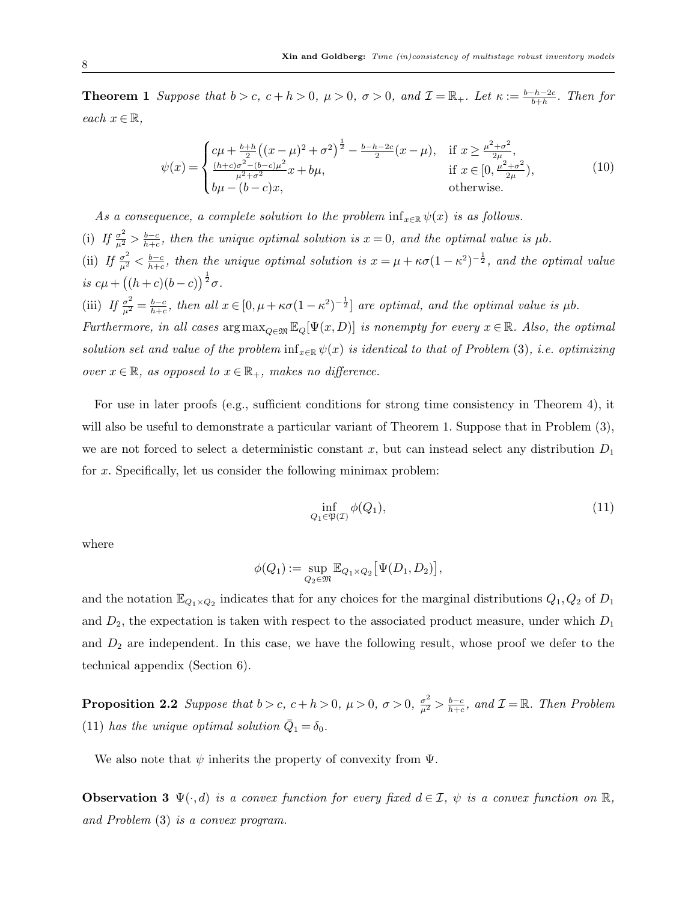**Theorem 1** Suppose that  $b > c$ ,  $c + h > 0$ ,  $\mu > 0$ ,  $\sigma > 0$ , and  $\mathcal{I} = \mathbb{R}_+$ . Let  $\kappa := \frac{b-h-2c}{b+h}$ . Then for each  $x \in \mathbb{R}$ ,

$$
\psi(x) = \begin{cases}\n c\mu + \frac{b+h}{2} \left( (x - \mu)^2 + \sigma^2 \right)^{\frac{1}{2}} - \frac{b-h-2c}{2} (x - \mu), & \text{if } x \ge \frac{\mu^2 + \sigma^2}{2\mu}, \\
\frac{(h+c)\sigma^2 - (b-c)\mu^2}{\mu^2 + \sigma^2} x + b\mu, & \text{if } x \in [0, \frac{\mu^2 + \sigma^2}{2\mu}), \\
b\mu - (b-c)x, & \text{otherwise.} \n\end{cases}
$$
\n(10)

As a consequence, a complete solution to the problem  $\inf_{x \in \mathbb{R}} \psi(x)$  is as follows. (i) If  $\frac{\sigma^2}{\mu^2} > \frac{b-c}{h+c}$  $\frac{b-c}{b+c}$ , then the unique optimal solution is  $x=0$ , and the optimal value is  $\mu b$ . (ii) If  $\frac{\sigma^2}{\mu^2} < \frac{b-c}{h+c}$  $\frac{b-c}{b+c}$ , then the unique optimal solution is  $x = \mu + \kappa \sigma (1 - \kappa^2)^{-\frac{1}{2}}$ , and the optimal value is  $c\mu + ((h+c)(b-c))^{\frac{1}{2}}\sigma$ . (iii) If  $\frac{\sigma^2}{\mu^2} = \frac{b-c}{h+c}$  $\frac{b-c}{b+c}$ , then all  $x \in [0, \mu + \kappa \sigma (1-\kappa^2)^{-\frac{1}{2}}]$  are optimal, and the optimal value is  $\mu b$ . Furthermore, in all cases  $\arg \max_{Q \in \mathfrak{M}} \mathbb{E}_Q[\Psi(x, D)]$  is nonempty for every  $x \in \mathbb{R}$ . Also, the optimal solution set and value of the problem inf<sub>x∈R</sub>  $\psi(x)$  is identical to that of Problem (3), i.e. optimizing over  $x \in \mathbb{R}$ , as opposed to  $x \in \mathbb{R}_+$ , makes no difference.

For use in later proofs (e.g., sufficient conditions for strong time consistency in Theorem 4), it will also be useful to demonstrate a particular variant of Theorem 1. Suppose that in Problem  $(3)$ , we are not forced to select a deterministic constant x, but can instead select any distribution  $D_1$ for x. Specifically, let us consider the following minimax problem:

$$
\inf_{Q_1 \in \mathfrak{P}(\mathcal{I})} \phi(Q_1),\tag{11}
$$

where

$$
\phi(Q_1) := \sup_{Q_2 \in \mathfrak{M}} \mathbb{E}_{Q_1 \times Q_2} \big[ \Psi(D_1, D_2) \big],
$$

and the notation  $\mathbb{E}_{Q_1 \times Q_2}$  indicates that for any choices for the marginal distributions  $Q_1, Q_2$  of  $D_1$ and  $D_2$ , the expectation is taken with respect to the associated product measure, under which  $D_1$ and  $D_2$  are independent. In this case, we have the following result, whose proof we defer to the technical appendix (Section 6).

**Proposition 2.2** Suppose that  $b > c$ ,  $c + h > 0$ ,  $\mu > 0$ ,  $\sigma > 0$ ,  $\frac{\sigma^2}{\mu^2} > \frac{b-c}{h+c}$  $\frac{b-c}{b+c}$ , and  $\mathcal{I} = \mathbb{R}$ . Then Problem (11) has the unique optimal solution  $\overline{Q}_1 = \delta_0$ .

We also note that  $\psi$  inherits the property of convexity from  $\Psi$ .

**Observation 3**  $\Psi(\cdot, d)$  is a convex function for every fixed  $d \in \mathcal{I}$ ,  $\psi$  is a convex function on  $\mathbb{R}$ , and Problem (3) is a convex program.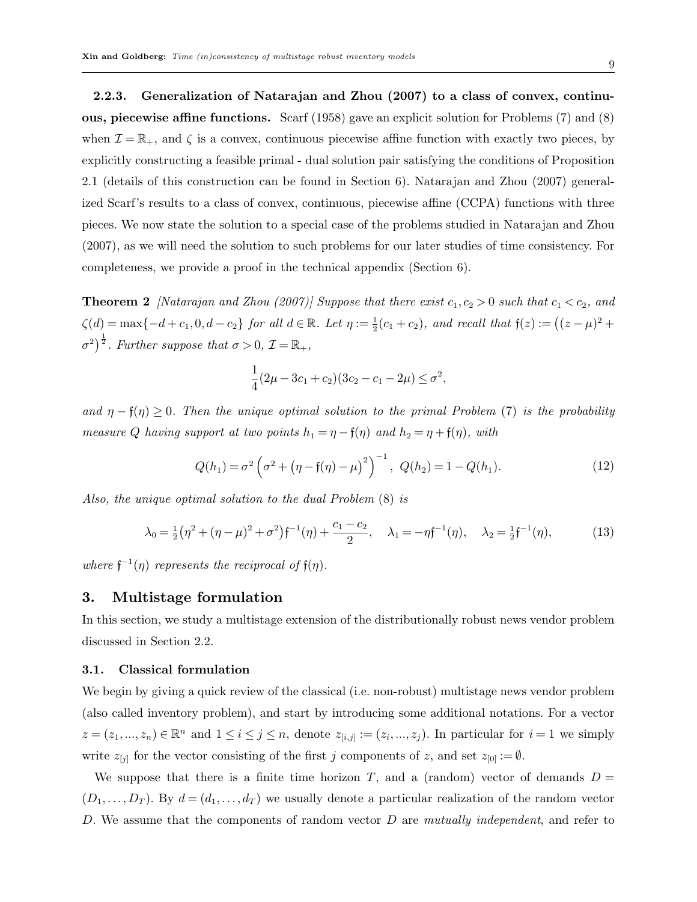2.2.3. Generalization of Natarajan and Zhou (2007) to a class of convex, continuous, piecewise affine functions. Scarf (1958) gave an explicit solution for Problems (7) and (8) when  $\mathcal{I} = \mathbb{R}_+$ , and  $\zeta$  is a convex, continuous piecewise affine function with exactly two pieces, by explicitly constructing a feasible primal - dual solution pair satisfying the conditions of Proposition 2.1 (details of this construction can be found in Section 6). Natarajan and Zhou (2007) generalized Scarf's results to a class of convex, continuous, piecewise affine (CCPA) functions with three pieces. We now state the solution to a special case of the problems studied in Natarajan and Zhou (2007), as we will need the solution to such problems for our later studies of time consistency. For completeness, we provide a proof in the technical appendix (Section 6).

**Theorem 2** [Natarajan and Zhou (2007)] Suppose that there exist  $c_1, c_2 > 0$  such that  $c_1 < c_2$ , and  $\zeta(d) = \max\{-d + c_1, 0, d - c_2\}$  for all  $d \in \mathbb{R}$ . Let  $\eta := \frac{1}{2}(c_1 + c_2)$ , and recall that  $\mathfrak{f}(z) := ((z - \mu)^2 +$  $\sigma^2$ )<sup> $\frac{1}{2}$ </sup>. Further suppose that  $\sigma > 0$ ,  $\mathcal{I} = \mathbb{R}_+$ ,

$$
\frac{1}{4}(2\mu - 3c_1 + c_2)(3c_2 - c_1 - 2\mu) \le \sigma^2,
$$

and  $\eta - f(\eta) \geq 0$ . Then the unique optimal solution to the primal Problem (7) is the probability measure Q having support at two points  $h_1 = \eta - \mathfrak{f}(\eta)$  and  $h_2 = \eta + \mathfrak{f}(\eta)$ , with

$$
Q(h_1) = \sigma^2 \left(\sigma^2 + \left(\eta - f(\eta) - \mu\right)^2\right)^{-1}, \ Q(h_2) = 1 - Q(h_1). \tag{12}
$$

Also, the unique optimal solution to the dual Problem (8) is

$$
\lambda_0 = \frac{1}{2} \left( \eta^2 + (\eta - \mu)^2 + \sigma^2 \right) \mathfrak{f}^{-1}(\eta) + \frac{c_1 - c_2}{2}, \quad \lambda_1 = -\eta \mathfrak{f}^{-1}(\eta), \quad \lambda_2 = \frac{1}{2} \mathfrak{f}^{-1}(\eta), \tag{13}
$$

where  $f^{-1}(\eta)$  represents the reciprocal of  $f(\eta)$ .

## 3. Multistage formulation

In this section, we study a multistage extension of the distributionally robust news vendor problem discussed in Section 2.2.

## 3.1. Classical formulation

We begin by giving a quick review of the classical (i.e. non-robust) multistage news vendor problem (also called inventory problem), and start by introducing some additional notations. For a vector  $z = (z_1, ..., z_n) \in \mathbb{R}^n$  and  $1 \leq i \leq j \leq n$ , denote  $z_{[i,j]} := (z_i, ..., z_j)$ . In particular for  $i = 1$  we simply write  $z_{[j]}$  for the vector consisting of the first j components of z, and set  $z_{[0]} := \emptyset$ .

We suppose that there is a finite time horizon T, and a (random) vector of demands  $D =$  $(D_1,\ldots,D_T)$ . By  $d=(d_1,\ldots,d_T)$  we usually denote a particular realization of the random vector D. We assume that the components of random vector D are mutually independent, and refer to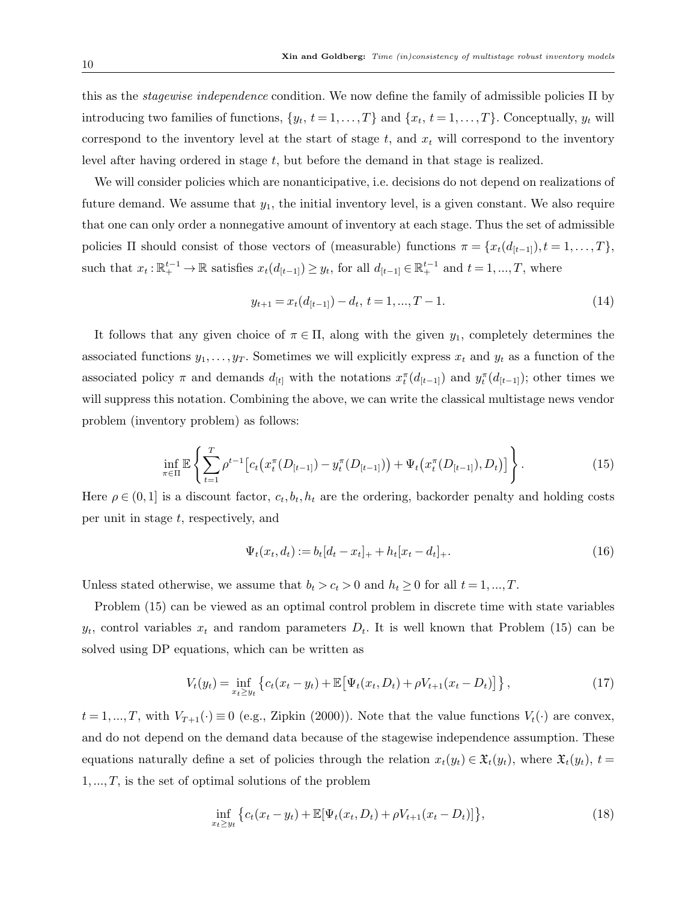this as the stagewise independence condition. We now define the family of admissible policies Π by introducing two families of functions,  $\{y_t, t = 1, \ldots, T\}$  and  $\{x_t, t = 1, \ldots, T\}$ . Conceptually,  $y_t$  will correspond to the inventory level at the start of stage  $t$ , and  $x_t$  will correspond to the inventory level after having ordered in stage  $t$ , but before the demand in that stage is realized.

We will consider policies which are nonanticipative, i.e. decisions do not depend on realizations of future demand. We assume that  $y_1$ , the initial inventory level, is a given constant. We also require that one can only order a nonnegative amount of inventory at each stage. Thus the set of admissible policies  $\Pi$  should consist of those vectors of (measurable) functions  $\pi = \{x_t(d_{[t-1]}, t = 1, \ldots, T\},\)$ such that  $x_t : \mathbb{R}^{t-1}_+ \to \mathbb{R}$  satisfies  $x_t(d_{[t-1]}) \geq y_t$ , for all  $d_{[t-1]} \in \mathbb{R}^{t-1}_+$  and  $t = 1, ..., T$ , where

$$
y_{t+1} = x_t(d_{[t-1]}) - d_t, \ t = 1, ..., T - 1.
$$
\n
$$
(14)
$$

It follows that any given choice of  $\pi \in \Pi$ , along with the given  $y_1$ , completely determines the associated functions  $y_1, \ldots, y_T$ . Sometimes we will explicitly express  $x_t$  and  $y_t$  as a function of the associated policy  $\pi$  and demands  $d_{[t]}$  with the notations  $x_t^{\pi}(d_{[t-1]})$  and  $y_t^{\pi}(d_{[t-1]})$ ; other times we will suppress this notation. Combining the above, we can write the classical multistage news vendor problem (inventory problem) as follows:

$$
\inf_{\pi \in \Pi} \mathbb{E} \left\{ \sum_{t=1}^T \rho^{t-1} \left[ c_t \left( x_t^{\pi} (D_{[t-1]}) - y_t^{\pi} (D_{[t-1]}) \right) + \Psi_t \left( x_t^{\pi} (D_{[t-1]}), D_t \right) \right] \right\}.
$$
 (15)

Here  $\rho \in (0,1]$  is a discount factor,  $c_t, b_t, h_t$  are the ordering, backorder penalty and holding costs per unit in stage t, respectively, and

$$
\Psi_t(x_t, d_t) := b_t [d_t - x_t]_+ + h_t [x_t - d_t]_+.
$$
\n(16)

Unless stated otherwise, we assume that  $b_t > c_t > 0$  and  $h_t \ge 0$  for all  $t = 1, ..., T$ .

Problem (15) can be viewed as an optimal control problem in discrete time with state variables  $y_t$ , control variables  $x_t$  and random parameters  $D_t$ . It is well known that Problem (15) can be solved using DP equations, which can be written as

$$
V_t(y_t) = \inf_{x_t \ge y_t} \left\{ c_t(x_t - y_t) + \mathbb{E} \left[ \Psi_t(x_t, D_t) + \rho V_{t+1}(x_t - D_t) \right] \right\},\tag{17}
$$

 $t = 1,...,T$ , with  $V_{T+1}(\cdot) \equiv 0$  (e.g., Zipkin (2000)). Note that the value functions  $V_t(\cdot)$  are convex, and do not depend on the demand data because of the stagewise independence assumption. These equations naturally define a set of policies through the relation  $x_t(y_t) \in \mathfrak{X}_t(y_t)$ , where  $\mathfrak{X}_t(y_t)$ ,  $t =$  $1, \ldots, T$ , is the set of optimal solutions of the problem

$$
\inf_{x_t \ge y_t} \left\{ c_t(x_t - y_t) + \mathbb{E}[\Psi_t(x_t, D_t) + \rho V_{t+1}(x_t - D_t)] \right\},\tag{18}
$$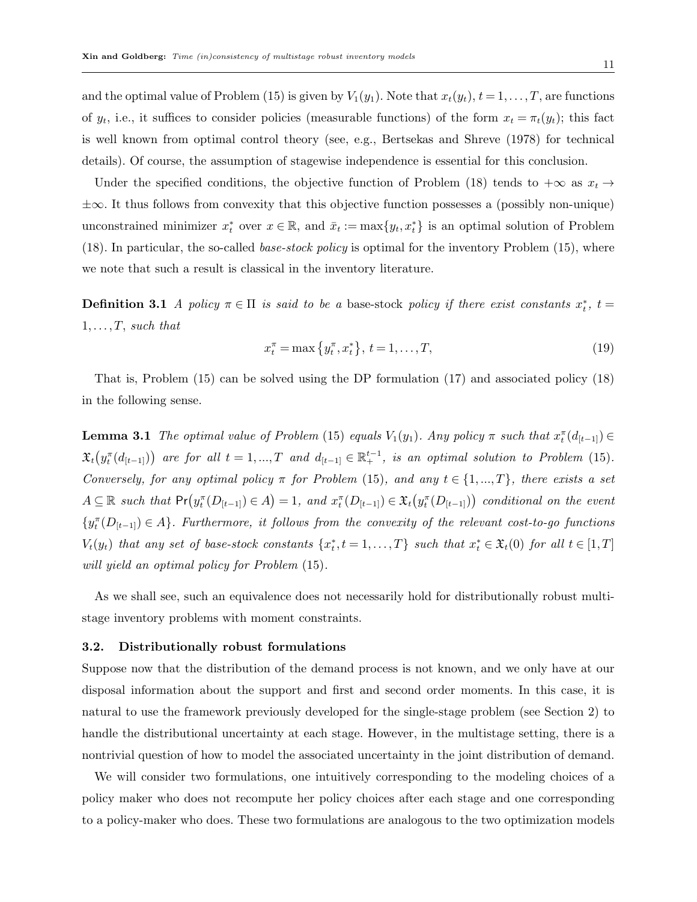and the optimal value of Problem (15) is given by  $V_1(y_1)$ . Note that  $x_t(y_t)$ ,  $t = 1, \ldots, T$ , are functions of  $y_t$ , i.e., it suffices to consider policies (measurable functions) of the form  $x_t = \pi_t(y_t)$ ; this fact is well known from optimal control theory (see, e.g., Bertsekas and Shreve (1978) for technical details). Of course, the assumption of stagewise independence is essential for this conclusion.

Under the specified conditions, the objective function of Problem (18) tends to  $+\infty$  as  $x_t \to$ ±∞. It thus follows from convexity that this objective function possesses a (possibly non-unique) unconstrained minimizer  $x_t^*$  over  $x \in \mathbb{R}$ , and  $\bar{x}_t := \max\{y_t, x_t^*\}$  is an optimal solution of Problem (18). In particular, the so-called *base-stock policy* is optimal for the inventory Problem (15), where we note that such a result is classical in the inventory literature.

**Definition 3.1** A policy  $\pi \in \Pi$  is said to be a base-stock policy if there exist constants  $x_t^*$ ,  $t =$  $1, \ldots, T$ , such that

$$
x_t^{\pi} = \max\{y_t^{\pi}, x_t^{\ast}\}, \ t = 1, \dots, T,\tag{19}
$$

That is, Problem (15) can be solved using the DP formulation (17) and associated policy (18) in the following sense.

**Lemma 3.1** The optimal value of Problem (15) equals  $V_1(y_1)$ . Any policy  $\pi$  such that  $x_t^{\pi}(d_{[t-1]}) \in$  $\mathfrak{X}_t(y_t^{\pi}(d_{[t-1]}))$  are for all  $t = 1, ..., T$  and  $d_{[t-1]} \in \mathbb{R}_+^{t-1}$ , is an optimal solution to Problem (15). Conversely, for any optimal policy  $\pi$  for Problem (15), and any  $t \in \{1, ..., T\}$ , there exists a set  $A \subseteq \mathbb{R}$  such that  $Pr(y_i^{\pi}(D_{[t-1]}) \in A) = 1$ , and  $x_i^{\pi}(D_{[t-1]}) \in \mathfrak{X}_t(y_i^{\pi}(D_{[t-1]}))$  conditional on the event  ${y_i^{\pi}(D_{[t-1]}) \in A}$ . Furthermore, it follows from the convexity of the relevant cost-to-go functions  $V_t(y_t)$  that any set of base-stock constants  $\{x_t^*, t = 1, ..., T\}$  such that  $x_t^* \in \mathfrak{X}_t(0)$  for all  $t \in [1, T]$ will yield an optimal policy for Problem (15).

As we shall see, such an equivalence does not necessarily hold for distributionally robust multistage inventory problems with moment constraints.

#### 3.2. Distributionally robust formulations

Suppose now that the distribution of the demand process is not known, and we only have at our disposal information about the support and first and second order moments. In this case, it is natural to use the framework previously developed for the single-stage problem (see Section 2) to handle the distributional uncertainty at each stage. However, in the multistage setting, there is a nontrivial question of how to model the associated uncertainty in the joint distribution of demand.

We will consider two formulations, one intuitively corresponding to the modeling choices of a policy maker who does not recompute her policy choices after each stage and one corresponding to a policy-maker who does. These two formulations are analogous to the two optimization models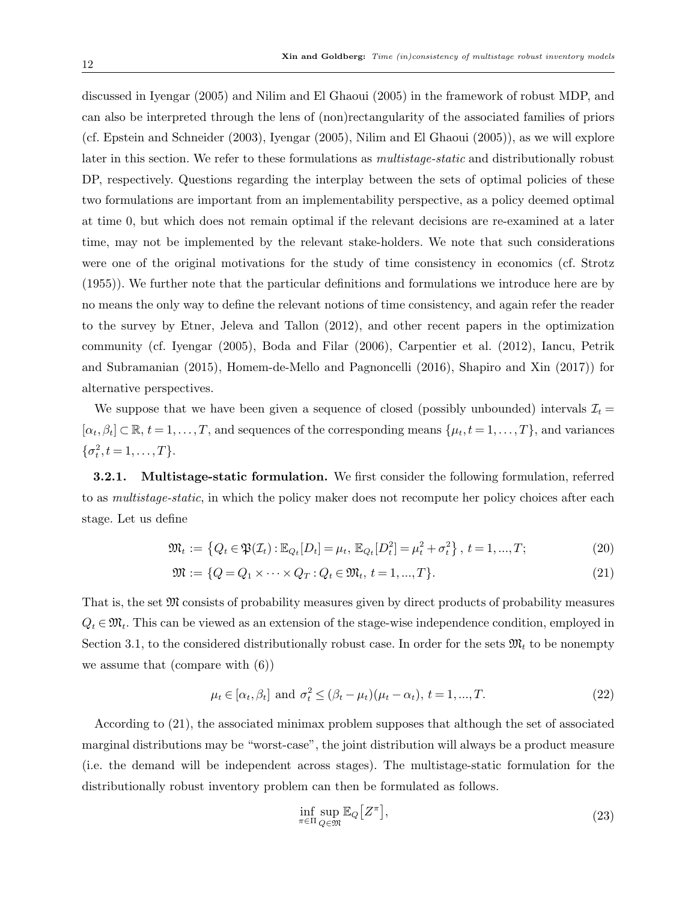discussed in Iyengar (2005) and Nilim and El Ghaoui (2005) in the framework of robust MDP, and can also be interpreted through the lens of (non)rectangularity of the associated families of priors (cf. Epstein and Schneider (2003), Iyengar (2005), Nilim and El Ghaoui (2005)), as we will explore later in this section. We refer to these formulations as multistage-static and distributionally robust DP, respectively. Questions regarding the interplay between the sets of optimal policies of these two formulations are important from an implementability perspective, as a policy deemed optimal at time 0, but which does not remain optimal if the relevant decisions are re-examined at a later time, may not be implemented by the relevant stake-holders. We note that such considerations were one of the original motivations for the study of time consistency in economics (cf. Strotz (1955)). We further note that the particular definitions and formulations we introduce here are by no means the only way to define the relevant notions of time consistency, and again refer the reader to the survey by Etner, Jeleva and Tallon (2012), and other recent papers in the optimization community (cf. Iyengar (2005), Boda and Filar (2006), Carpentier et al. (2012), Iancu, Petrik and Subramanian (2015), Homem-de-Mello and Pagnoncelli (2016), Shapiro and Xin (2017)) for alternative perspectives.

We suppose that we have been given a sequence of closed (possibly unbounded) intervals  $\mathcal{I}_t =$  $[\alpha_t, \beta_t] \subset \mathbb{R}, t = 1, \ldots, T$ , and sequences of the corresponding means  $\{\mu_t, t = 1, \ldots, T\}$ , and variances  $\{\sigma_t^2, t = 1, \ldots, T\}.$ 

3.2.1. Multistage-static formulation. We first consider the following formulation, referred to as multistage-static, in which the policy maker does not recompute her policy choices after each stage. Let us define

$$
\mathfrak{M}_t := \left\{ Q_t \in \mathfrak{P}(\mathcal{I}_t) : \mathbb{E}_{Q_t}[D_t] = \mu_t, \ \mathbb{E}_{Q_t}[D_t^2] = \mu_t^2 + \sigma_t^2 \right\}, \ t = 1, ..., T; \tag{20}
$$

$$
\mathfrak{M} := \{ Q = Q_1 \times \cdots \times Q_T : Q_t \in \mathfrak{M}_t, t = 1, ..., T \}. \tag{21}
$$

That is, the set M consists of probability measures given by direct products of probability measures  $Q_t \in \mathfrak{M}_t$ . This can be viewed as an extension of the stage-wise independence condition, employed in Section 3.1, to the considered distributionally robust case. In order for the sets  $\mathfrak{M}_t$  to be nonempty we assume that (compare with (6))

$$
\mu_t \in [\alpha_t, \beta_t] \text{ and } \sigma_t^2 \leq (\beta_t - \mu_t)(\mu_t - \alpha_t), t = 1, ..., T. \tag{22}
$$

According to (21), the associated minimax problem supposes that although the set of associated marginal distributions may be "worst-case", the joint distribution will always be a product measure (i.e. the demand will be independent across stages). The multistage-static formulation for the distributionally robust inventory problem can then be formulated as follows.

$$
\inf_{\pi \in \Pi} \sup_{Q \in \mathfrak{M}} \mathbb{E}_Q \big[ Z^{\pi} \big],\tag{23}
$$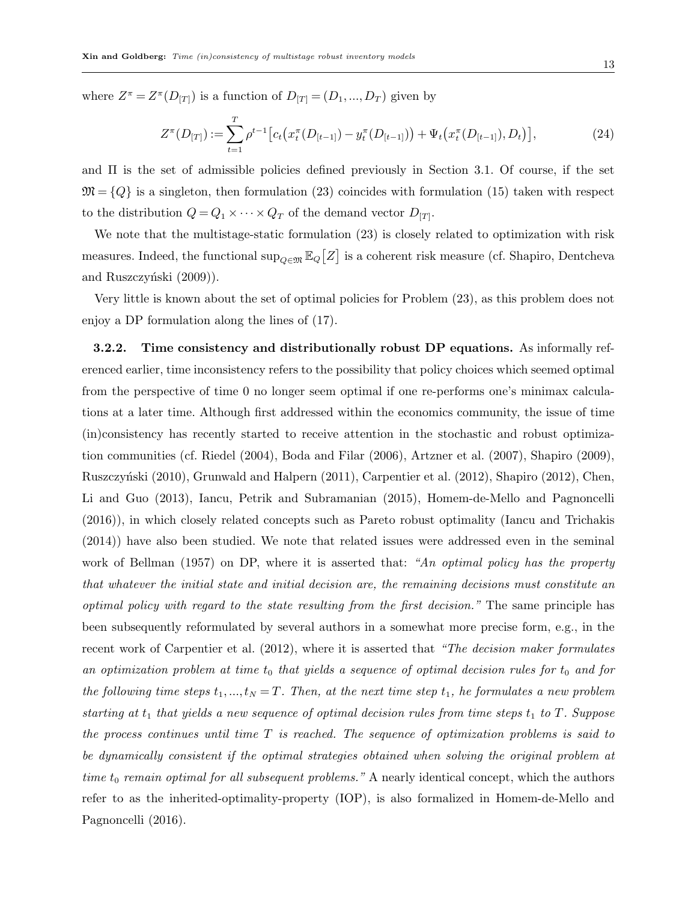where  $Z^{\pi} = Z^{\pi}(D_{|T|})$  is a function of  $D_{|T|} = (D_1, ..., D_T)$  given by

$$
Z^{\pi}(D_{[T]}):=\sum_{t=1}^{T}\rho^{t-1}\big[c_t\big(x_t^{\pi}(D_{[t-1]})-y_t^{\pi}(D_{[t-1]})\big)+\Psi_t\big(x_t^{\pi}(D_{[t-1]}),D_t\big)\big],
$$
\n(24)

and  $\Pi$  is the set of admissible policies defined previously in Section 3.1. Of course, if the set  $\mathfrak{M} = \{Q\}$  is a singleton, then formulation (23) coincides with formulation (15) taken with respect to the distribution  $Q = Q_1 \times \cdots \times Q_T$  of the demand vector  $D_{[T]}$ .

We note that the multistage-static formulation (23) is closely related to optimization with risk measures. Indeed, the functional  $\sup_{Q \in \mathfrak{M}} \mathbb{E}_Q[Z]$  is a coherent risk measure (cf. Shapiro, Dentcheva and Ruszczyński (2009)).

Very little is known about the set of optimal policies for Problem (23), as this problem does not enjoy a DP formulation along the lines of (17).

3.2.2. Time consistency and distributionally robust DP equations. As informally referenced earlier, time inconsistency refers to the possibility that policy choices which seemed optimal from the perspective of time 0 no longer seem optimal if one re-performs one's minimax calculations at a later time. Although first addressed within the economics community, the issue of time (in)consistency has recently started to receive attention in the stochastic and robust optimization communities (cf. Riedel (2004), Boda and Filar (2006), Artzner et al. (2007), Shapiro (2009), Ruszczyński (2010), Grunwald and Halpern (2011), Carpentier et al. (2012), Shapiro (2012), Chen, Li and Guo (2013), Iancu, Petrik and Subramanian (2015), Homem-de-Mello and Pagnoncelli (2016)), in which closely related concepts such as Pareto robust optimality (Iancu and Trichakis (2014)) have also been studied. We note that related issues were addressed even in the seminal work of Bellman (1957) on DP, where it is asserted that: "An optimal policy has the property that whatever the initial state and initial decision are, the remaining decisions must constitute an optimal policy with regard to the state resulting from the first decision." The same principle has been subsequently reformulated by several authors in a somewhat more precise form, e.g., in the recent work of Carpentier et al. (2012), where it is asserted that "The decision maker formulates an optimization problem at time  $t_0$  that yields a sequence of optimal decision rules for  $t_0$  and for the following time steps  $t_1, ..., t_N = T$ . Then, at the next time step  $t_1$ , he formulates a new problem starting at  $t_1$  that yields a new sequence of optimal decision rules from time steps  $t_1$  to  $T$ . Suppose the process continues until time  $T$  is reached. The sequence of optimization problems is said to be dynamically consistent if the optimal strategies obtained when solving the original problem at time  $t_0$  remain optimal for all subsequent problems." A nearly identical concept, which the authors refer to as the inherited-optimality-property (IOP), is also formalized in Homem-de-Mello and Pagnoncelli (2016).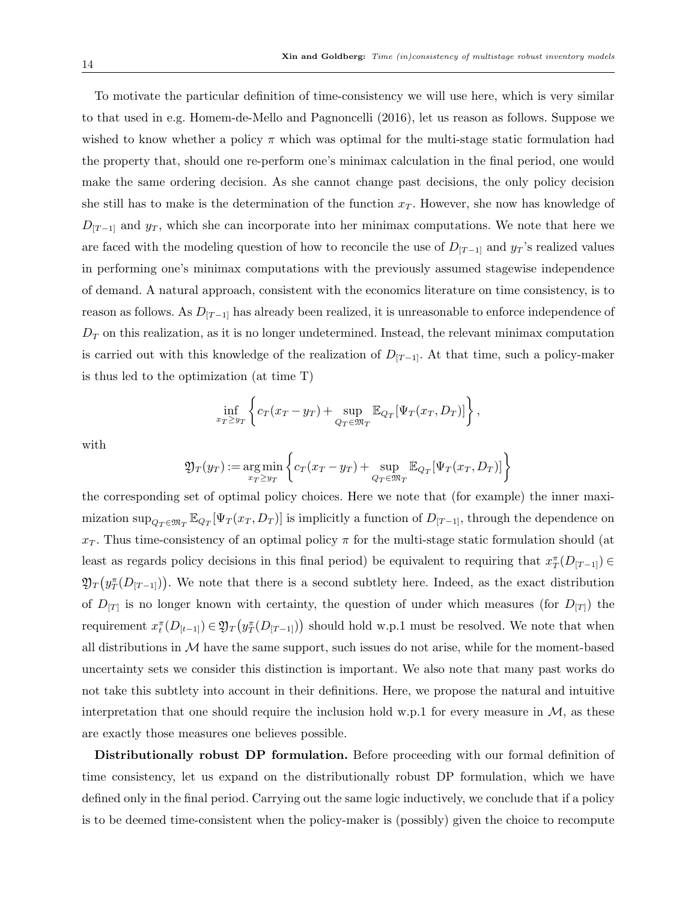To motivate the particular definition of time-consistency we will use here, which is very similar to that used in e.g. Homem-de-Mello and Pagnoncelli (2016), let us reason as follows. Suppose we wished to know whether a policy  $\pi$  which was optimal for the multi-stage static formulation had the property that, should one re-perform one's minimax calculation in the final period, one would make the same ordering decision. As she cannot change past decisions, the only policy decision she still has to make is the determination of the function  $x<sub>T</sub>$ . However, she now has knowledge of  $D_{[T-1]}$  and  $y_T$ , which she can incorporate into her minimax computations. We note that here we are faced with the modeling question of how to reconcile the use of  $D_{[T-1]}$  and  $y_T$ 's realized values in performing one's minimax computations with the previously assumed stagewise independence of demand. A natural approach, consistent with the economics literature on time consistency, is to reason as follows. As  $D_{[T-1]}$  has already been realized, it is unreasonable to enforce independence of  $D<sub>T</sub>$  on this realization, as it is no longer undetermined. Instead, the relevant minimax computation is carried out with this knowledge of the realization of  $D_{[T-1]}$ . At that time, such a policy-maker is thus led to the optimization (at time T)

$$
\inf_{x_T \geq y_T} \left\{ c_T(x_T - y_T) + \sup_{Q_T \in \mathfrak{M}_T} \mathbb{E}_{Q_T}[\Psi_T(x_T, D_T)] \right\},\,
$$

with

$$
\mathfrak{Y}_T(y_T) := \underset{x_T \geq y_T}{\arg \min} \left\{ c_T(x_T - y_T) + \underset{Q_T \in \mathfrak{M}_T}{\sup} \mathbb{E}_{Q_T}[\Psi_T(x_T, D_T)] \right\}
$$

the corresponding set of optimal policy choices. Here we note that (for example) the inner maximization  $\sup_{Q_T \in \mathfrak{M}_T} \mathbb{E}_{Q_T}[\Psi_T(x_T, D_T)]$  is implicitly a function of  $D_{[T-1]}$ , through the dependence on  $x_T$ . Thus time-consistency of an optimal policy  $\pi$  for the multi-stage static formulation should (at least as regards policy decisions in this final period) be equivalent to requiring that  $x_T^{\pi}(D_{[T-1]}) \in$  $\mathfrak{Y}_T(y_T^{\pi}(D_{[T-1]}))$ . We note that there is a second subtlety here. Indeed, as the exact distribution of  $D_{[T]}$  is no longer known with certainty, the question of under which measures (for  $D_{[T]}$ ) the requirement  $x_t^{\pi}(D_{[t-1]}) \in \mathfrak{Y}_T(y_T^{\pi}(D_{[T-1]}))$  should hold w.p.1 must be resolved. We note that when all distributions in  $\mathcal M$  have the same support, such issues do not arise, while for the moment-based uncertainty sets we consider this distinction is important. We also note that many past works do not take this subtlety into account in their definitions. Here, we propose the natural and intuitive interpretation that one should require the inclusion hold w.p.1 for every measure in  $\mathcal{M}$ , as these are exactly those measures one believes possible.

Distributionally robust DP formulation. Before proceeding with our formal definition of time consistency, let us expand on the distributionally robust DP formulation, which we have defined only in the final period. Carrying out the same logic inductively, we conclude that if a policy is to be deemed time-consistent when the policy-maker is (possibly) given the choice to recompute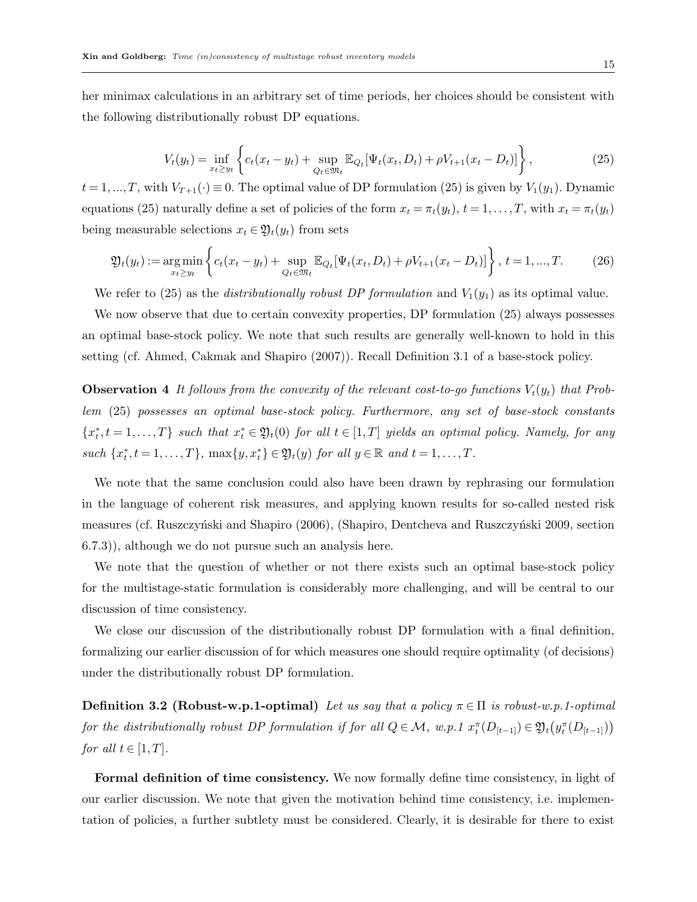her minimax calculations in an arbitrary set of time periods, her choices should be consistent with the following distributionally robust DP equations.

$$
V_t(y_t) = \inf_{x_t \ge y_t} \left\{ c_t(x_t - y_t) + \sup_{Q_t \in \mathfrak{M}_t} \mathbb{E}_{Q_t} [\Psi_t(x_t, D_t) + \rho V_{t+1}(x_t - D_t)] \right\},\tag{25}
$$

 $t = 1, ..., T$ , with  $V_{T+1}(\cdot) \equiv 0$ . The optimal value of DP formulation (25) is given by  $V_1(y_1)$ . Dynamic equations (25) naturally define a set of policies of the form  $x_t = \pi_t(y_t)$ ,  $t = 1, \ldots, T$ , with  $x_t = \pi_t(y_t)$ being measurable selections  $x_t \in \mathfrak{Y}_t(y_t)$  from sets

$$
\mathfrak{Y}_{t}(y_{t}) := \underset{x_{t} \geq y_{t}}{\arg \min} \left\{ c_{t}(x_{t} - y_{t}) + \underset{Q_{t} \in \mathfrak{M}_{t}}{\sup} \mathbb{E}_{Q_{t}}[\Psi_{t}(x_{t}, D_{t}) + \rho V_{t+1}(x_{t} - D_{t})] \right\}, \, t = 1, ..., T. \tag{26}
$$

We refer to (25) as the *distributionally robust DP formulation* and  $V_1(y_1)$  as its optimal value.

We now observe that due to certain convexity properties, DP formulation (25) always possesses an optimal base-stock policy. We note that such results are generally well-known to hold in this setting (cf. Ahmed, Cakmak and Shapiro (2007)). Recall Definition 3.1 of a base-stock policy.

**Observation 4** It follows from the convexity of the relevant cost-to-go functions  $V_t(y_t)$  that Problem (25) possesses an optimal base-stock policy. Furthermore, any set of base-stock constants  ${x_t^*, t = 1, ..., T}$  such that  $x_t^* \in \mathfrak{Y}_t(0)$  for all  $t \in [1, T]$  yields an optimal policy. Namely, for any such  $\{x_t^*, t = 1, \ldots, T\}$ ,  $\max\{y, x_t^*\} \in \mathfrak{Y}_t(y)$  for all  $y \in \mathbb{R}$  and  $t = 1, \ldots, T$ .

We note that the same conclusion could also have been drawn by rephrasing our formulation in the language of coherent risk measures, and applying known results for so-called nested risk measures (cf. Ruszczyński and Shapiro (2006), (Shapiro, Dentcheva and Ruszczyński 2009, section 6.7.3)), although we do not pursue such an analysis here.

We note that the question of whether or not there exists such an optimal base-stock policy for the multistage-static formulation is considerably more challenging, and will be central to our discussion of time consistency.

We close our discussion of the distributionally robust DP formulation with a final definition, formalizing our earlier discussion of for which measures one should require optimality (of decisions) under the distributionally robust DP formulation.

**Definition 3.2 (Robust-w.p.1-optimal)** Let us say that a policy  $\pi \in \Pi$  is robust-w.p.1-optimal for the distributionally robust DP formulation if for all  $Q \in \mathcal{M}$ , w.p.1  $x_t^{\pi}(D_{[t-1]}) \in \mathfrak{Y}_t(y_t^{\pi}(D_{[t-1]}))$ for all  $t \in [1, T]$ .

Formal definition of time consistency. We now formally define time consistency, in light of our earlier discussion. We note that given the motivation behind time consistency, i.e. implementation of policies, a further subtlety must be considered. Clearly, it is desirable for there to exist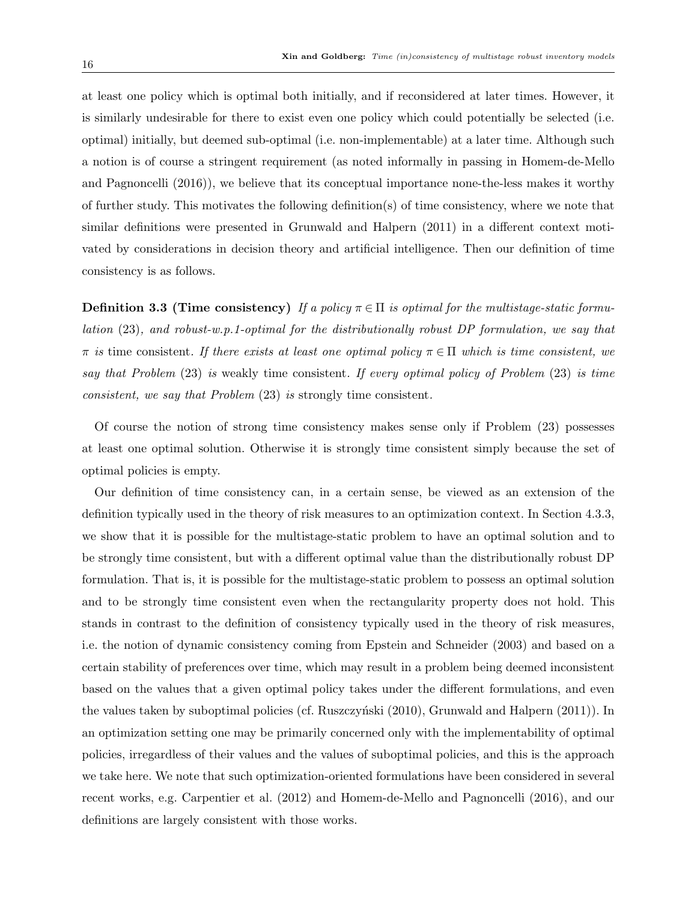at least one policy which is optimal both initially, and if reconsidered at later times. However, it is similarly undesirable for there to exist even one policy which could potentially be selected (i.e. optimal) initially, but deemed sub-optimal (i.e. non-implementable) at a later time. Although such a notion is of course a stringent requirement (as noted informally in passing in Homem-de-Mello and Pagnoncelli (2016)), we believe that its conceptual importance none-the-less makes it worthy of further study. This motivates the following definition(s) of time consistency, where we note that similar definitions were presented in Grunwald and Halpern (2011) in a different context motivated by considerations in decision theory and artificial intelligence. Then our definition of time consistency is as follows.

**Definition 3.3 (Time consistency)** If a policy  $\pi \in \Pi$  is optimal for the multistage-static formulation (23), and robust-w.p.1-optimal for the distributionally robust DP formulation, we say that  $\pi$  is time consistent. If there exists at least one optimal policy  $\pi \in \Pi$  which is time consistent, we say that Problem (23) is weakly time consistent. If every optimal policy of Problem (23) is time consistent, we say that Problem (23) is strongly time consistent.

Of course the notion of strong time consistency makes sense only if Problem (23) possesses at least one optimal solution. Otherwise it is strongly time consistent simply because the set of optimal policies is empty.

Our definition of time consistency can, in a certain sense, be viewed as an extension of the definition typically used in the theory of risk measures to an optimization context. In Section 4.3.3, we show that it is possible for the multistage-static problem to have an optimal solution and to be strongly time consistent, but with a different optimal value than the distributionally robust DP formulation. That is, it is possible for the multistage-static problem to possess an optimal solution and to be strongly time consistent even when the rectangularity property does not hold. This stands in contrast to the definition of consistency typically used in the theory of risk measures, i.e. the notion of dynamic consistency coming from Epstein and Schneider (2003) and based on a certain stability of preferences over time, which may result in a problem being deemed inconsistent based on the values that a given optimal policy takes under the different formulations, and even the values taken by suboptimal policies (cf. Ruszczyński  $(2010)$ , Grunwald and Halpern  $(2011)$ ). In an optimization setting one may be primarily concerned only with the implementability of optimal policies, irregardless of their values and the values of suboptimal policies, and this is the approach we take here. We note that such optimization-oriented formulations have been considered in several recent works, e.g. Carpentier et al. (2012) and Homem-de-Mello and Pagnoncelli (2016), and our definitions are largely consistent with those works.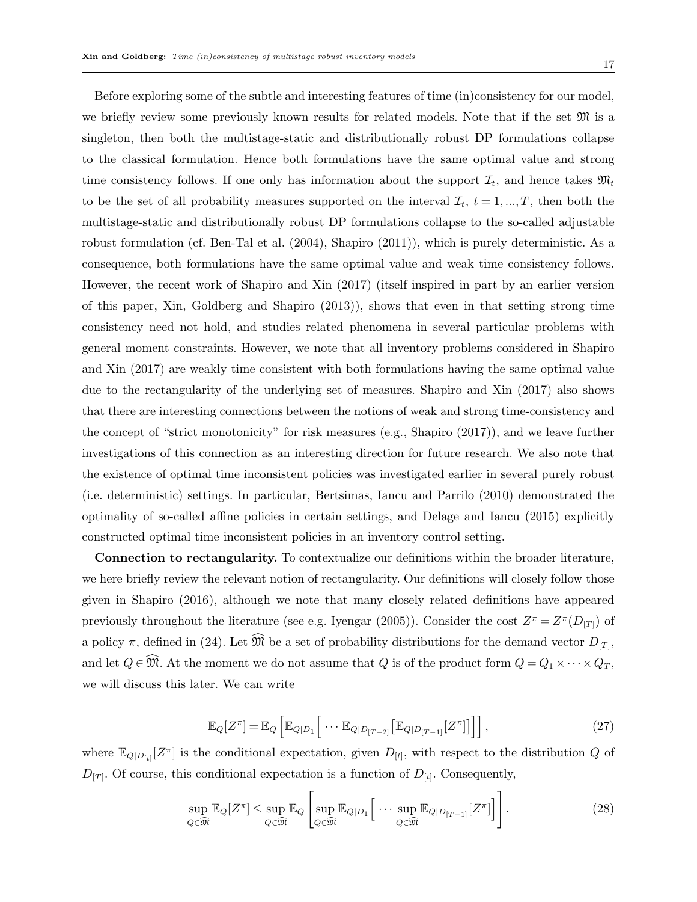Before exploring some of the subtle and interesting features of time (in)consistency for our model, we briefly review some previously known results for related models. Note that if the set  $\mathfrak{M}$  is a singleton, then both the multistage-static and distributionally robust DP formulations collapse to the classical formulation. Hence both formulations have the same optimal value and strong time consistency follows. If one only has information about the support  $\mathcal{I}_t$ , and hence takes  $\mathfrak{M}_t$ to be the set of all probability measures supported on the interval  $\mathcal{I}_t$ ,  $t = 1, ..., T$ , then both the multistage-static and distributionally robust DP formulations collapse to the so-called adjustable robust formulation (cf. Ben-Tal et al. (2004), Shapiro (2011)), which is purely deterministic. As a consequence, both formulations have the same optimal value and weak time consistency follows. However, the recent work of Shapiro and Xin (2017) (itself inspired in part by an earlier version of this paper, Xin, Goldberg and Shapiro (2013)), shows that even in that setting strong time consistency need not hold, and studies related phenomena in several particular problems with general moment constraints. However, we note that all inventory problems considered in Shapiro and Xin (2017) are weakly time consistent with both formulations having the same optimal value due to the rectangularity of the underlying set of measures. Shapiro and Xin (2017) also shows that there are interesting connections between the notions of weak and strong time-consistency and the concept of "strict monotonicity" for risk measures (e.g., Shapiro (2017)), and we leave further investigations of this connection as an interesting direction for future research. We also note that the existence of optimal time inconsistent policies was investigated earlier in several purely robust (i.e. deterministic) settings. In particular, Bertsimas, Iancu and Parrilo (2010) demonstrated the optimality of so-called affine policies in certain settings, and Delage and Iancu (2015) explicitly constructed optimal time inconsistent policies in an inventory control setting.

Connection to rectangularity. To contextualize our definitions within the broader literature, we here briefly review the relevant notion of rectangularity. Our definitions will closely follow those given in Shapiro (2016), although we note that many closely related definitions have appeared previously throughout the literature (see e.g. Iyengar (2005)). Consider the cost  $Z^{\pi} = Z^{\pi}(D_{[T]})$  of a policy  $\pi$ , defined in (24). Let  $\mathfrak{M}$  be a set of probability distributions for the demand vector  $D_{[T]}$ , and let  $Q \in \widehat{\mathfrak{M}}$ . At the moment we do not assume that Q is of the product form  $Q = Q_1 \times \cdots \times Q_T$ , we will discuss this later. We can write

$$
\mathbb{E}_{Q}[Z^{\pi}] = \mathbb{E}_{Q}\left[\mathbb{E}_{Q|D_1}\left[\cdots \mathbb{E}_{Q|D_{[T-2]}}\left[\mathbb{E}_{Q|D_{[T-1]}}[Z^{\pi}]\right]\right]\right],\tag{27}
$$

where  $\mathbb{E}_{Q|D_{[t]}}[Z^{\pi}]$  is the conditional expectation, given  $D_{[t]}$ , with respect to the distribution Q of  $D_{[T]}$ . Of course, this conditional expectation is a function of  $D_{[t]}$ . Consequently,

$$
\sup_{Q \in \widehat{\mathfrak{M}}} \mathbb{E}_Q[Z^{\pi}] \le \sup_{Q \in \widehat{\mathfrak{M}}} \mathbb{E}_Q \left[ \sup_{Q \in \widehat{\mathfrak{M}}} \mathbb{E}_{Q|D_1} \left[ \cdots \sup_{Q \in \widehat{\mathfrak{M}}} \mathbb{E}_{Q|D_{[T-1]}} [Z^{\pi}] \right] \right]. \tag{28}
$$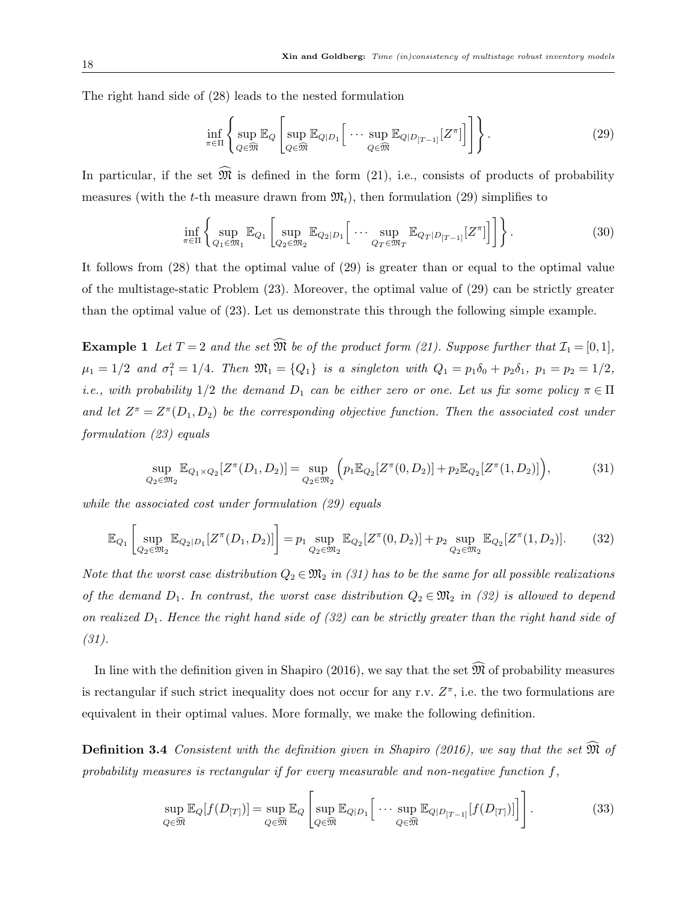The right hand side of (28) leads to the nested formulation

$$
\inf_{\pi \in \Pi} \left\{ \sup_{Q \in \widehat{\mathfrak{M}}} \mathbb{E}_Q \left[ \sup_{Q \in \widehat{\mathfrak{M}}} \mathbb{E}_{Q|D_1} \left[ \cdots \sup_{Q \in \widehat{\mathfrak{M}}} \mathbb{E}_{Q|D_{[T-1]}} [Z^{\pi}] \right] \right] \right\}.
$$
 (29)

In particular, if the set  $\widehat{\mathfrak{M}}$  is defined in the form (21), i.e., consists of products of probability measures (with the t-th measure drawn from  $\mathfrak{M}_t$ ), then formulation (29) simplifies to

$$
\inf_{\pi \in \Pi} \left\{ \sup_{Q_1 \in \mathfrak{M}_1} \mathbb{E}_{Q_1} \left[ \sup_{Q_2 \in \mathfrak{M}_2} \mathbb{E}_{Q_2 | D_1} \left[ \cdots \sup_{Q_T \in \mathfrak{M}_T} \mathbb{E}_{Q_T | D_{[T-1]}} [Z^\pi] \right] \right] \right\}.
$$
 (30)

It follows from (28) that the optimal value of (29) is greater than or equal to the optimal value of the multistage-static Problem (23). Moreover, the optimal value of (29) can be strictly greater than the optimal value of (23). Let us demonstrate this through the following simple example.

**Example 1** Let  $T = 2$  and the set  $\widehat{\mathfrak{M}}$  be of the product form (21). Suppose further that  $\mathcal{I}_1 = [0, 1]$ ,  $\mu_1 = 1/2$  and  $\sigma_1^2 = 1/4$ . Then  $\mathfrak{M}_1 = \{Q_1\}$  is a singleton with  $Q_1 = p_1 \delta_0 + p_2 \delta_1$ ,  $p_1 = p_2 = 1/2$ , i.e., with probability  $1/2$  the demand  $D_1$  can be either zero or one. Let us fix some policy  $\pi \in \Pi$ and let  $Z^{\pi} = Z^{\pi}(D_1, D_2)$  be the corresponding objective function. Then the associated cost under formulation (23) equals

$$
\sup_{Q_2 \in \mathfrak{M}_2} \mathbb{E}_{Q_1 \times Q_2} [Z^{\pi}(D_1, D_2)] = \sup_{Q_2 \in \mathfrak{M}_2} \left( p_1 \mathbb{E}_{Q_2} [Z^{\pi}(0, D_2)] + p_2 \mathbb{E}_{Q_2} [Z^{\pi}(1, D_2)] \right),\tag{31}
$$

while the associated cost under formulation (29) equals

$$
\mathbb{E}_{Q_1} \left[ \sup_{Q_2 \in \mathfrak{M}_2} \mathbb{E}_{Q_2|D_1} [Z^{\pi}(D_1, D_2)] \right] = p_1 \sup_{Q_2 \in \mathfrak{M}_2} \mathbb{E}_{Q_2} [Z^{\pi}(0, D_2)] + p_2 \sup_{Q_2 \in \mathfrak{M}_2} \mathbb{E}_{Q_2} [Z^{\pi}(1, D_2)]. \tag{32}
$$

Note that the worst case distribution  $Q_2 \in \mathfrak{M}_2$  in (31) has to be the same for all possible realizations of the demand  $D_1$ . In contrast, the worst case distribution  $Q_2 \in \mathfrak{M}_2$  in (32) is allowed to depend on realized  $D_1$ . Hence the right hand side of (32) can be strictly greater than the right hand side of (31).

In line with the definition given in Shapiro (2016), we say that the set  $\widehat{\mathfrak{M}}$  of probability measures is rectangular if such strict inequality does not occur for any r.v.  $Z^{\pi}$ , i.e. the two formulations are equivalent in their optimal values. More formally, we make the following definition.

**Definition 3.4** Consistent with the definition given in Shapiro (2016), we say that the set  $\widehat{\mathfrak{M}}$  of probability measures is rectangular if for every measurable and non-negative function  $f$ ,

$$
\sup_{Q \in \widehat{\mathfrak{M}}} \mathbb{E}_Q[f(D_{[T]})] = \sup_{Q \in \widehat{\mathfrak{M}}} \mathbb{E}_Q \left[ \sup_{Q \in \widehat{\mathfrak{M}}} \mathbb{E}_{Q|D_1} \left[ \cdots \sup_{Q \in \widehat{\mathfrak{M}}} \mathbb{E}_{Q|D_{[T-1]}}[f(D_{[T]})] \right] \right]. \tag{33}
$$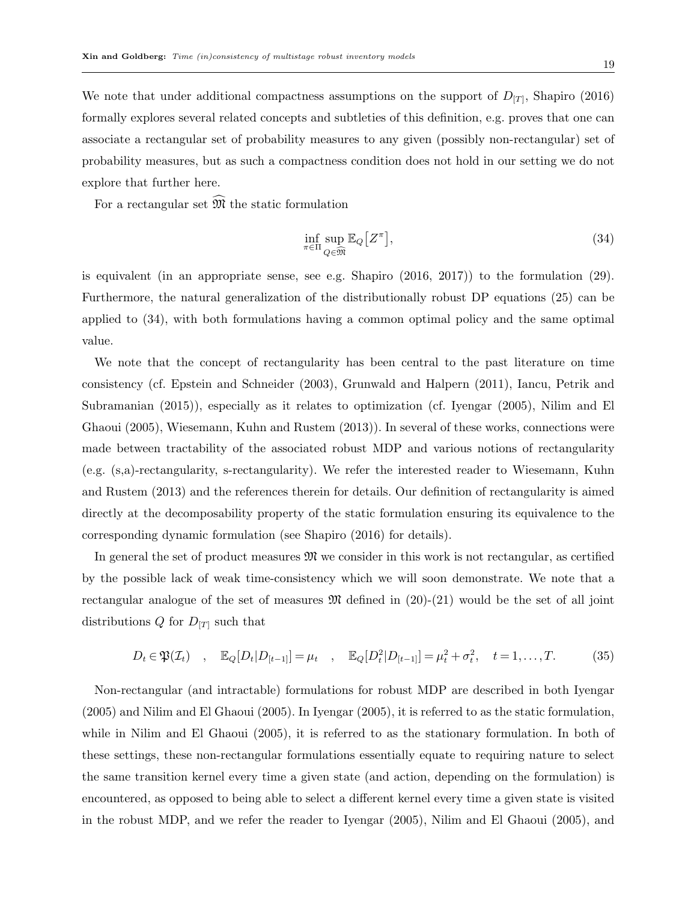We note that under additional compactness assumptions on the support of  $D_{[T]}$ , Shapiro (2016) formally explores several related concepts and subtleties of this definition, e.g. proves that one can associate a rectangular set of probability measures to any given (possibly non-rectangular) set of probability measures, but as such a compactness condition does not hold in our setting we do not explore that further here.

For a rectangular set  $\widehat{\mathfrak{M}}$  the static formulation

$$
\inf_{\pi \in \Pi} \sup_{Q \in \widehat{\mathfrak{M}}} \mathbb{E}_Q \big[ Z^{\pi} \big],\tag{34}
$$

is equivalent (in an appropriate sense, see e.g. Shapiro (2016, 2017)) to the formulation (29). Furthermore, the natural generalization of the distributionally robust DP equations (25) can be applied to (34), with both formulations having a common optimal policy and the same optimal value.

We note that the concept of rectangularity has been central to the past literature on time consistency (cf. Epstein and Schneider (2003), Grunwald and Halpern (2011), Iancu, Petrik and Subramanian (2015)), especially as it relates to optimization (cf. Iyengar (2005), Nilim and El Ghaoui (2005), Wiesemann, Kuhn and Rustem (2013)). In several of these works, connections were made between tractability of the associated robust MDP and various notions of rectangularity (e.g. (s,a)-rectangularity, s-rectangularity). We refer the interested reader to Wiesemann, Kuhn and Rustem (2013) and the references therein for details. Our definition of rectangularity is aimed directly at the decomposability property of the static formulation ensuring its equivalence to the corresponding dynamic formulation (see Shapiro (2016) for details).

In general the set of product measures  $\mathfrak{M}$  we consider in this work is not rectangular, as certified by the possible lack of weak time-consistency which we will soon demonstrate. We note that a rectangular analogue of the set of measures  $\mathfrak{M}$  defined in (20)-(21) would be the set of all joint distributions Q for  $D_{[T]}$  such that

$$
D_t \in \mathfrak{P}(\mathcal{I}_t) \quad , \quad \mathbb{E}_Q[D_t|D_{[t-1]}] = \mu_t \quad , \quad \mathbb{E}_Q[D_t^2|D_{[t-1]}] = \mu_t^2 + \sigma_t^2, \quad t = 1, \dots, T. \tag{35}
$$

Non-rectangular (and intractable) formulations for robust MDP are described in both Iyengar (2005) and Nilim and El Ghaoui (2005). In Iyengar (2005), it is referred to as the static formulation, while in Nilim and El Ghaoui (2005), it is referred to as the stationary formulation. In both of these settings, these non-rectangular formulations essentially equate to requiring nature to select the same transition kernel every time a given state (and action, depending on the formulation) is encountered, as opposed to being able to select a different kernel every time a given state is visited in the robust MDP, and we refer the reader to Iyengar (2005), Nilim and El Ghaoui (2005), and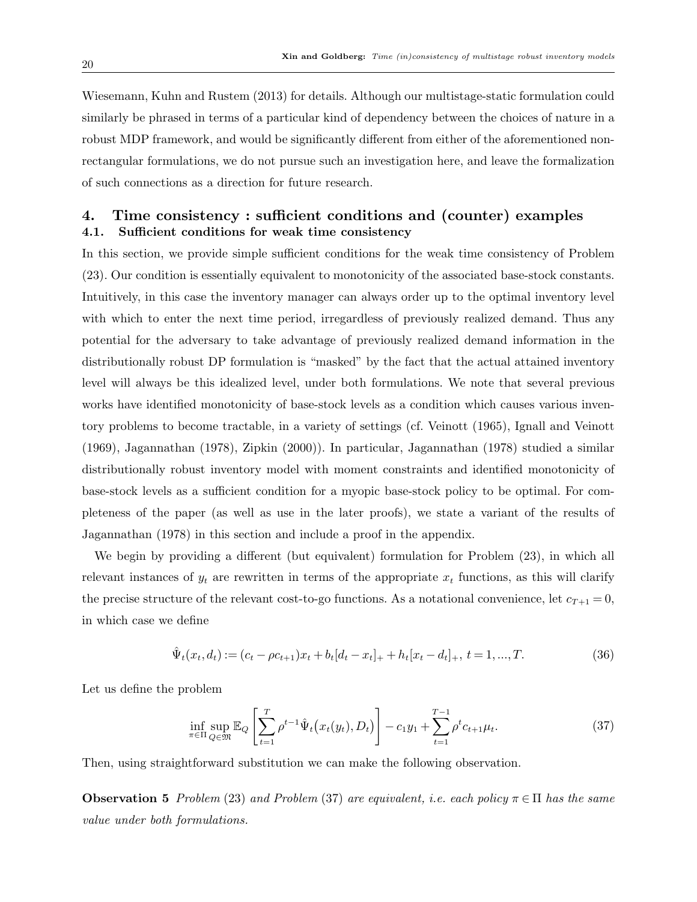Wiesemann, Kuhn and Rustem (2013) for details. Although our multistage-static formulation could similarly be phrased in terms of a particular kind of dependency between the choices of nature in a robust MDP framework, and would be significantly different from either of the aforementioned nonrectangular formulations, we do not pursue such an investigation here, and leave the formalization of such connections as a direction for future research.

## 4. Time consistency : sufficient conditions and (counter) examples 4.1. Sufficient conditions for weak time consistency

In this section, we provide simple sufficient conditions for the weak time consistency of Problem (23). Our condition is essentially equivalent to monotonicity of the associated base-stock constants. Intuitively, in this case the inventory manager can always order up to the optimal inventory level with which to enter the next time period, irregardless of previously realized demand. Thus any potential for the adversary to take advantage of previously realized demand information in the distributionally robust DP formulation is "masked" by the fact that the actual attained inventory level will always be this idealized level, under both formulations. We note that several previous works have identified monotonicity of base-stock levels as a condition which causes various inventory problems to become tractable, in a variety of settings (cf. Veinott (1965), Ignall and Veinott (1969), Jagannathan (1978), Zipkin (2000)). In particular, Jagannathan (1978) studied a similar distributionally robust inventory model with moment constraints and identified monotonicity of base-stock levels as a sufficient condition for a myopic base-stock policy to be optimal. For completeness of the paper (as well as use in the later proofs), we state a variant of the results of Jagannathan (1978) in this section and include a proof in the appendix.

We begin by providing a different (but equivalent) formulation for Problem  $(23)$ , in which all relevant instances of  $y_t$  are rewritten in terms of the appropriate  $x_t$  functions, as this will clarify the precise structure of the relevant cost-to-go functions. As a notational convenience, let  $c_{T+1} = 0$ , in which case we define

$$
\hat{\Psi}_t(x_t, d_t) := (c_t - \rho c_{t+1})x_t + b_t[d_t - x_t]_+ + h_t[x_t - d_t]_+, \ t = 1, ..., T. \tag{36}
$$

Let us define the problem

$$
\inf_{\pi \in \Pi} \sup_{Q \in \mathfrak{M}} \mathbb{E}_Q \left[ \sum_{t=1}^T \rho^{t-1} \hat{\Psi}_t \big( x_t(y_t), D_t \big) \right] - c_1 y_1 + \sum_{t=1}^{T-1} \rho^t c_{t+1} \mu_t. \tag{37}
$$

Then, using straightforward substitution we can make the following observation.

**Observation 5** Problem (23) and Problem (37) are equivalent, i.e. each policy  $\pi \in \Pi$  has the same value under both formulations.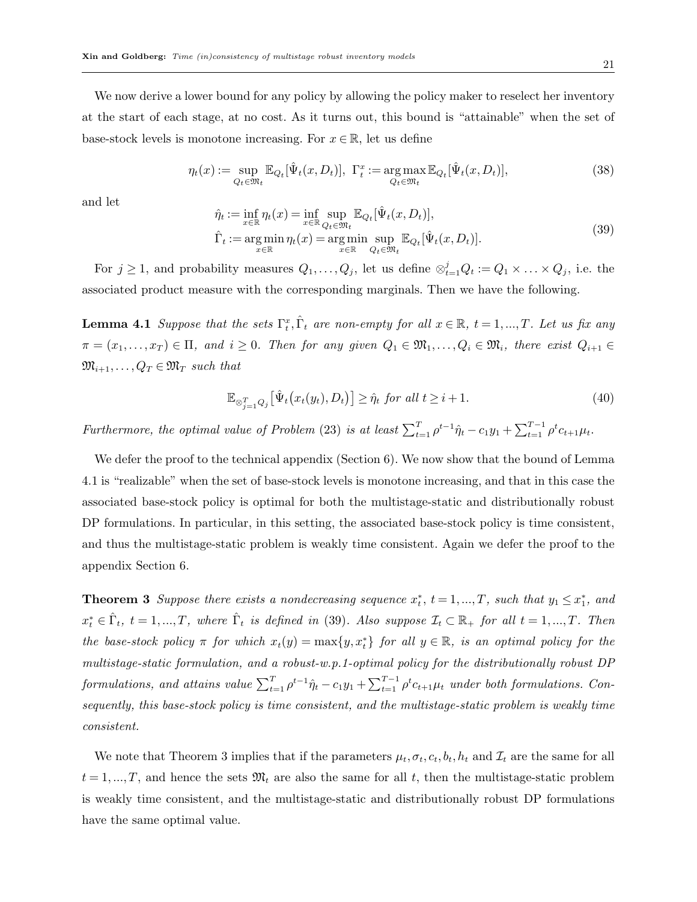We now derive a lower bound for any policy by allowing the policy maker to reselect her inventory at the start of each stage, at no cost. As it turns out, this bound is "attainable" when the set of base-stock levels is monotone increasing. For  $x \in \mathbb{R}$ , let us define

$$
\eta_t(x) := \sup_{Q_t \in \mathfrak{M}_t} \mathbb{E}_{Q_t}[\hat{\Psi}_t(x, D_t)], \ \ \Gamma_t^x := \underset{Q_t \in \mathfrak{M}_t}{\arg \max} \mathbb{E}_{Q_t}[\hat{\Psi}_t(x, D_t)], \tag{38}
$$

and let

$$
\hat{\eta}_t := \inf_{x \in \mathbb{R}} \eta_t(x) = \inf_{x \in \mathbb{R}} \sup_{Q_t \in \mathfrak{M}_t} \mathbb{E}_{Q_t}[\hat{\Psi}_t(x, D_t)],
$$
\n
$$
\hat{\Gamma}_t := \operatorname*{arg\,min}_{x \in \mathbb{R}} \eta_t(x) = \operatorname*{arg\,min}_{x \in \mathbb{R}} \sup_{Q_t \in \mathfrak{M}_t} \mathbb{E}_{Q_t}[\hat{\Psi}_t(x, D_t)].
$$
\n(39)

For  $j \geq 1$ , and probability measures  $Q_1, \ldots, Q_j$ , let us define  $\otimes_{t=1}^j Q_t := Q_1 \times \ldots \times Q_j$ , i.e. the associated product measure with the corresponding marginals. Then we have the following.

**Lemma 4.1** Suppose that the sets  $\Gamma_t^x$ ,  $\hat{\Gamma}_t$  are non-empty for all  $x \in \mathbb{R}$ ,  $t = 1, ..., T$ . Let us fix any  $\pi = (x_1, \ldots, x_T) \in \Pi$ , and  $i \geq 0$ . Then for any given  $Q_1 \in \mathfrak{M}_1, \ldots, Q_i \in \mathfrak{M}_i$ , there exist  $Q_{i+1} \in$  $\mathfrak{M}_{i+1}, \ldots, Q_T \in \mathfrak{M}_T$  such that

$$
\mathbb{E}_{\otimes_{j=1}^{T} Q_j} \left[ \hat{\Psi}_t \big( x_t(y_t), D_t \big) \right] \ge \hat{\eta}_t \text{ for all } t \ge i+1. \tag{40}
$$

Furthermore, the optimal value of Problem (23) is at least  $\sum_{t=1}^{T} \rho^{t-1} \hat{\eta}_t - c_1 y_1 + \sum_{t=1}^{T-1} \rho^t c_{t+1} \mu_t$ .

We defer the proof to the technical appendix (Section 6). We now show that the bound of Lemma 4.1 is "realizable" when the set of base-stock levels is monotone increasing, and that in this case the associated base-stock policy is optimal for both the multistage-static and distributionally robust DP formulations. In particular, in this setting, the associated base-stock policy is time consistent, and thus the multistage-static problem is weakly time consistent. Again we defer the proof to the appendix Section 6.

**Theorem 3** Suppose there exists a nondecreasing sequence  $x_t^*, t = 1, ..., T$ , such that  $y_1 \leq x_1^*$ , and  $x_t^* \in \hat{\Gamma}_t$ ,  $t = 1, ..., T$ , where  $\hat{\Gamma}_t$  is defined in (39). Also suppose  $\mathcal{I}_t \subset \mathbb{R}_+$  for all  $t = 1, ..., T$ . Then the base-stock policy  $\pi$  for which  $x_t(y) = \max\{y, x_t^*\}$  for all  $y \in \mathbb{R}$ , is an optimal policy for the multistage-static formulation, and a robust-w.p.1-optimal policy for the distributionally robust DP formulations, and attains value  $\sum_{t=1}^{T} \rho^{t-1} \hat{\eta}_t - c_1 y_1 + \sum_{t=1}^{T-1} \rho^t c_{t+1} \mu_t$  under both formulations. Consequently, this base-stock policy is time consistent, and the multistage-static problem is weakly time consistent.

We note that Theorem 3 implies that if the parameters  $\mu_t, \sigma_t, c_t, b_t, h_t$  and  $\mathcal{I}_t$  are the same for all  $t = 1, ..., T$ , and hence the sets  $\mathfrak{M}_t$  are also the same for all t, then the multistage-static problem is weakly time consistent, and the multistage-static and distributionally robust DP formulations have the same optimal value.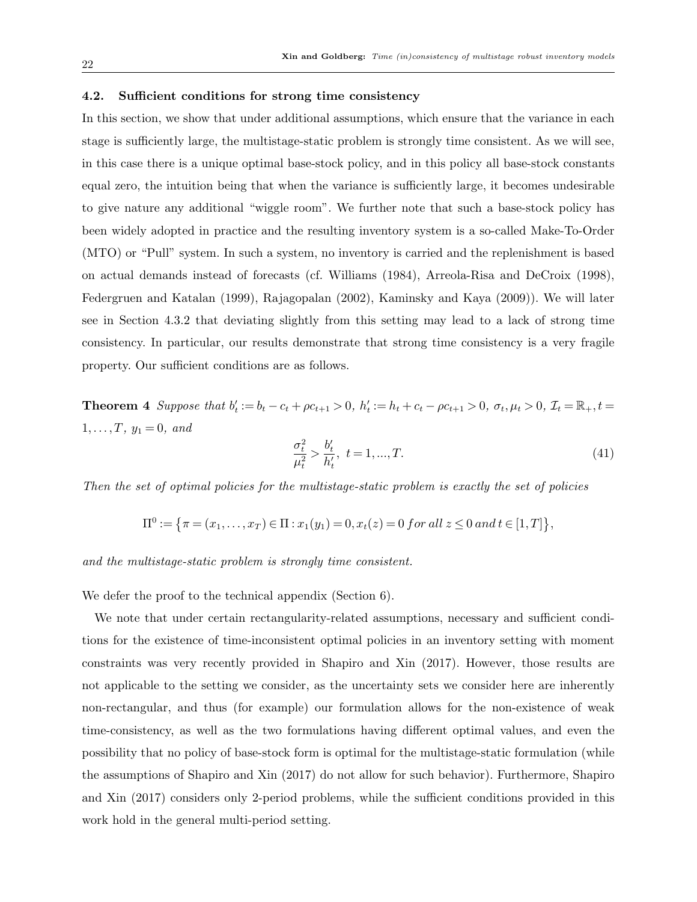#### 4.2. Sufficient conditions for strong time consistency

In this section, we show that under additional assumptions, which ensure that the variance in each stage is sufficiently large, the multistage-static problem is strongly time consistent. As we will see, in this case there is a unique optimal base-stock policy, and in this policy all base-stock constants equal zero, the intuition being that when the variance is sufficiently large, it becomes undesirable to give nature any additional "wiggle room". We further note that such a base-stock policy has been widely adopted in practice and the resulting inventory system is a so-called Make-To-Order (MTO) or "Pull" system. In such a system, no inventory is carried and the replenishment is based on actual demands instead of forecasts (cf. Williams (1984), Arreola-Risa and DeCroix (1998), Federgruen and Katalan (1999), Rajagopalan (2002), Kaminsky and Kaya (2009)). We will later see in Section 4.3.2 that deviating slightly from this setting may lead to a lack of strong time consistency. In particular, our results demonstrate that strong time consistency is a very fragile property. Our sufficient conditions are as follows.

**Theorem 4** Suppose that  $b'_t := b_t - c_t + \rho c_{t+1} > 0$ ,  $h'_t := h_t + c_t - \rho c_{t+1} > 0$ ,  $\sigma_t, \mu_t > 0$ ,  $\mathcal{I}_t = \mathbb{R}_+, t =$  $1, \ldots, T, y_1 = 0, \text{ and}$ 

$$
\frac{\sigma_t^2}{\mu_t^2} > \frac{b_t'}{h_t'}, \ t = 1, \dots, T. \tag{41}
$$

Then the set of optimal policies for the multistage-static problem is exactly the set of policies

$$
\Pi^0 := \{ \pi = (x_1, \dots, x_T) \in \Pi : x_1(y_1) = 0, x_t(z) = 0 \text{ for all } z \le 0 \text{ and } t \in [1, T] \},
$$

and the multistage-static problem is strongly time consistent.

We defer the proof to the technical appendix (Section 6).

We note that under certain rectangularity-related assumptions, necessary and sufficient conditions for the existence of time-inconsistent optimal policies in an inventory setting with moment constraints was very recently provided in Shapiro and Xin (2017). However, those results are not applicable to the setting we consider, as the uncertainty sets we consider here are inherently non-rectangular, and thus (for example) our formulation allows for the non-existence of weak time-consistency, as well as the two formulations having different optimal values, and even the possibility that no policy of base-stock form is optimal for the multistage-static formulation (while the assumptions of Shapiro and Xin (2017) do not allow for such behavior). Furthermore, Shapiro and Xin (2017) considers only 2-period problems, while the sufficient conditions provided in this work hold in the general multi-period setting.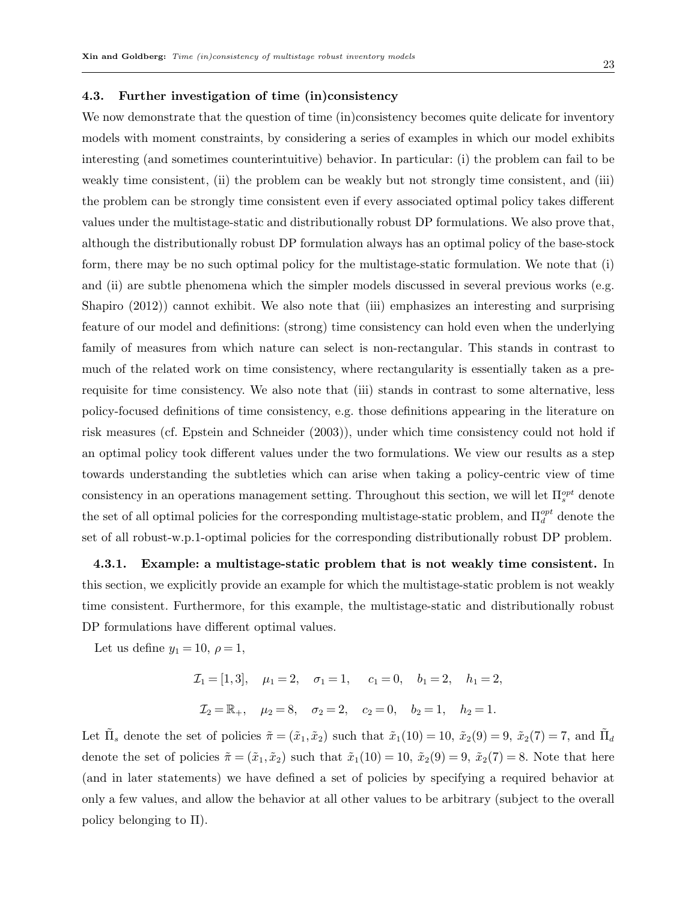### 4.3. Further investigation of time (in)consistency

We now demonstrate that the question of time (in)consistency becomes quite delicate for inventory models with moment constraints, by considering a series of examples in which our model exhibits interesting (and sometimes counterintuitive) behavior. In particular: (i) the problem can fail to be weakly time consistent, (ii) the problem can be weakly but not strongly time consistent, and (iii) the problem can be strongly time consistent even if every associated optimal policy takes different values under the multistage-static and distributionally robust DP formulations. We also prove that, although the distributionally robust DP formulation always has an optimal policy of the base-stock form, there may be no such optimal policy for the multistage-static formulation. We note that (i) and (ii) are subtle phenomena which the simpler models discussed in several previous works (e.g. Shapiro (2012)) cannot exhibit. We also note that (iii) emphasizes an interesting and surprising feature of our model and definitions: (strong) time consistency can hold even when the underlying family of measures from which nature can select is non-rectangular. This stands in contrast to much of the related work on time consistency, where rectangularity is essentially taken as a prerequisite for time consistency. We also note that (iii) stands in contrast to some alternative, less policy-focused definitions of time consistency, e.g. those definitions appearing in the literature on risk measures (cf. Epstein and Schneider (2003)), under which time consistency could not hold if an optimal policy took different values under the two formulations. We view our results as a step towards understanding the subtleties which can arise when taking a policy-centric view of time consistency in an operations management setting. Throughout this section, we will let  $\Pi_s^{opt}$  denote the set of all optimal policies for the corresponding multistage-static problem, and  $\Pi_d^{opt}$  denote the set of all robust-w.p.1-optimal policies for the corresponding distributionally robust DP problem.

4.3.1. Example: a multistage-static problem that is not weakly time consistent. In this section, we explicitly provide an example for which the multistage-static problem is not weakly time consistent. Furthermore, for this example, the multistage-static and distributionally robust DP formulations have different optimal values.

Let us define  $y_1 = 10, \rho = 1$ ,

$$
\mathcal{I}_1 = [1,3], \quad \mu_1 = 2, \quad \sigma_1 = 1, \quad c_1 = 0, \quad b_1 = 2, \quad h_1 = 2,
$$
  

$$
\mathcal{I}_2 = \mathbb{R}_+, \quad \mu_2 = 8, \quad \sigma_2 = 2, \quad c_2 = 0, \quad b_2 = 1, \quad h_2 = 1.
$$

Let  $\tilde{\Pi}_s$  denote the set of policies  $\tilde{\pi} = (\tilde{x}_1, \tilde{x}_2)$  such that  $\tilde{x}_1(10) = 10$ ,  $\tilde{x}_2(9) = 9$ ,  $\tilde{x}_2(7) = 7$ , and  $\tilde{\Pi}_d$ denote the set of policies  $\tilde{\pi} = (\tilde{x}_1, \tilde{x}_2)$  such that  $\tilde{x}_1(10) = 10$ ,  $\tilde{x}_2(9) = 9$ ,  $\tilde{x}_2(7) = 8$ . Note that here (and in later statements) we have defined a set of policies by specifying a required behavior at only a few values, and allow the behavior at all other values to be arbitrary (subject to the overall policy belonging to Π).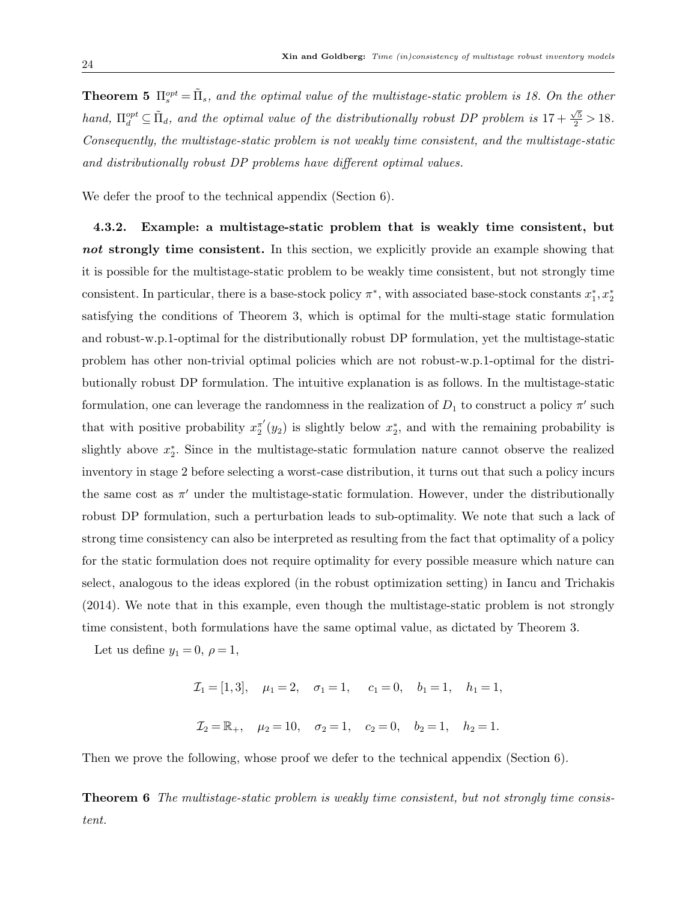**Theorem 5**  $\Pi_s^{opt} = \tilde{\Pi}_s$ , and the optimal value of the multistage-static problem is 18. On the other hand,  $\Pi_d^{opt} \subseteq \tilde{\Pi}_d$ , and the optimal value of the distributionally robust DP problem is  $17 + \frac{\sqrt{5}}{2} > 18$ . Consequently, the multistage-static problem is not weakly time consistent, and the multistage-static and distributionally robust DP problems have different optimal values.

We defer the proof to the technical appendix (Section 6).

4.3.2. Example: a multistage-static problem that is weakly time consistent, but not strongly time consistent. In this section, we explicitly provide an example showing that it is possible for the multistage-static problem to be weakly time consistent, but not strongly time consistent. In particular, there is a base-stock policy  $\pi^*$ , with associated base-stock constants  $x_1^*, x_2^*$ satisfying the conditions of Theorem 3, which is optimal for the multi-stage static formulation and robust-w.p.1-optimal for the distributionally robust DP formulation, yet the multistage-static problem has other non-trivial optimal policies which are not robust-w.p.1-optimal for the distributionally robust DP formulation. The intuitive explanation is as follows. In the multistage-static formulation, one can leverage the randomness in the realization of  $D_1$  to construct a policy  $\pi'$  such that with positive probability  $x_2^{\pi'}$  $\pi'(y_2)$  is slightly below  $x_2^*$ , and with the remaining probability is slightly above  $x_2^*$ . Since in the multistage-static formulation nature cannot observe the realized inventory in stage 2 before selecting a worst-case distribution, it turns out that such a policy incurs the same cost as  $\pi'$  under the multistage-static formulation. However, under the distributionally robust DP formulation, such a perturbation leads to sub-optimality. We note that such a lack of strong time consistency can also be interpreted as resulting from the fact that optimality of a policy for the static formulation does not require optimality for every possible measure which nature can select, analogous to the ideas explored (in the robust optimization setting) in Iancu and Trichakis (2014). We note that in this example, even though the multistage-static problem is not strongly time consistent, both formulations have the same optimal value, as dictated by Theorem 3.

Let us define  $y_1 = 0$ ,  $\rho = 1$ ,

 $\mathcal{I}_1 = [1, 3], \quad \mu_1 = 2, \quad \sigma_1 = 1, \quad c_1 = 0, \quad b_1 = 1, \quad h_1 = 1,$  $\mathcal{I}_2 = \mathbb{R}_+$ ,  $\mu_2 = 10$ ,  $\sigma_2 = 1$ ,  $c_2 = 0$ ,  $b_2 = 1$ ,  $h_2 = 1$ .

Then we prove the following, whose proof we defer to the technical appendix (Section 6).

**Theorem 6** The multistage-static problem is weakly time consistent, but not strongly time consistent.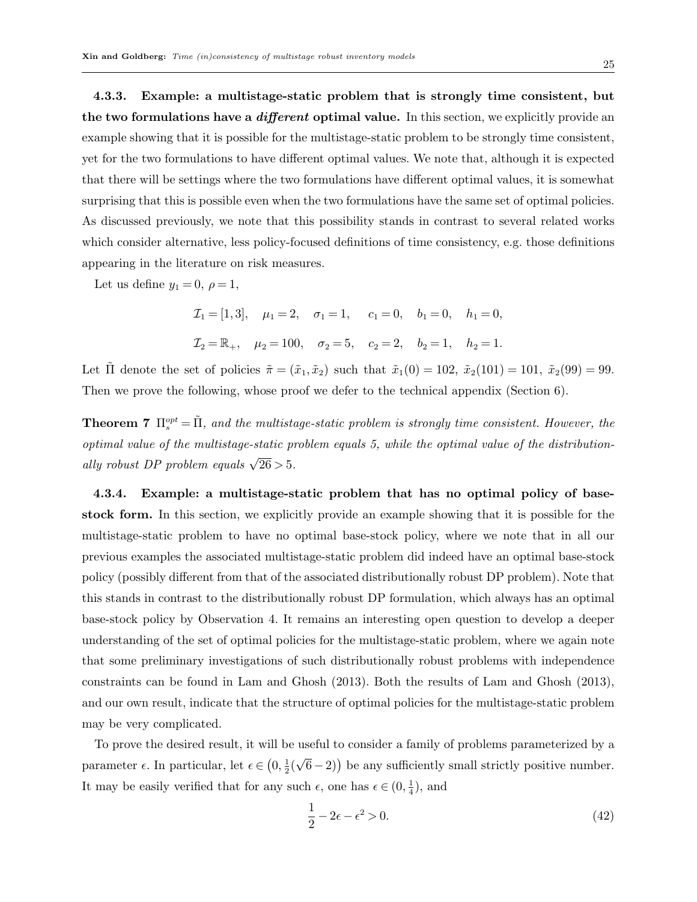4.3.3. Example: a multistage-static problem that is strongly time consistent, but the two formulations have a *different* optimal value. In this section, we explicitly provide an example showing that it is possible for the multistage-static problem to be strongly time consistent, yet for the two formulations to have different optimal values. We note that, although it is expected that there will be settings where the two formulations have different optimal values, it is somewhat surprising that this is possible even when the two formulations have the same set of optimal policies. As discussed previously, we note that this possibility stands in contrast to several related works which consider alternative, less policy-focused definitions of time consistency, e.g. those definitions appearing in the literature on risk measures.

Let us define  $y_1 = 0$ ,  $\rho = 1$ ,

 $\mathcal{I}_1 = [1, 3], \quad \mu_1 = 2, \quad \sigma_1 = 1, \quad c_1 = 0, \quad b_1 = 0, \quad h_1 = 0,$  $\mathcal{I}_2 = \mathbb{R}_+$ ,  $\mu_2 = 100$ ,  $\sigma_2 = 5$ ,  $c_2 = 2$ ,  $b_2 = 1$ ,  $h_2 = 1$ .

Let  $\tilde{\Pi}$  denote the set of policies  $\tilde{\pi} = (\tilde{x}_1, \tilde{x}_2)$  such that  $\tilde{x}_1(0) = 102$ ,  $\tilde{x}_2(101) = 101$ ,  $\tilde{x}_2(99) = 99$ . Then we prove the following, whose proof we defer to the technical appendix (Section 6).

**Theorem 7**  $\Pi_s^{opt} = \tilde{\Pi}$ , and the multistage-static problem is strongly time consistent. However, the optimal value of the multistage-static problem equals 5, while the optimal value of the distributionally robust DP problem equals  $\sqrt{26} > 5$ .

4.3.4. Example: a multistage-static problem that has no optimal policy of basestock form. In this section, we explicitly provide an example showing that it is possible for the multistage-static problem to have no optimal base-stock policy, where we note that in all our previous examples the associated multistage-static problem did indeed have an optimal base-stock policy (possibly different from that of the associated distributionally robust DP problem). Note that this stands in contrast to the distributionally robust DP formulation, which always has an optimal base-stock policy by Observation 4. It remains an interesting open question to develop a deeper understanding of the set of optimal policies for the multistage-static problem, where we again note that some preliminary investigations of such distributionally robust problems with independence constraints can be found in Lam and Ghosh (2013). Both the results of Lam and Ghosh (2013), and our own result, indicate that the structure of optimal policies for the multistage-static problem may be very complicated.

To prove the desired result, it will be useful to consider a family of problems parameterized by a parameter  $\epsilon$ . In particular, let  $\epsilon \in (0, \frac{1}{2})$  $rac{1}{2}$  ( √  $(6-2)$ ) be any sufficiently small strictly positive number. It may be easily verified that for any such  $\epsilon$ , one has  $\epsilon \in (0, \frac{1}{4})$  $\frac{1}{4}$ , and

$$
\frac{1}{2} - 2\epsilon - \epsilon^2 > 0. \tag{42}
$$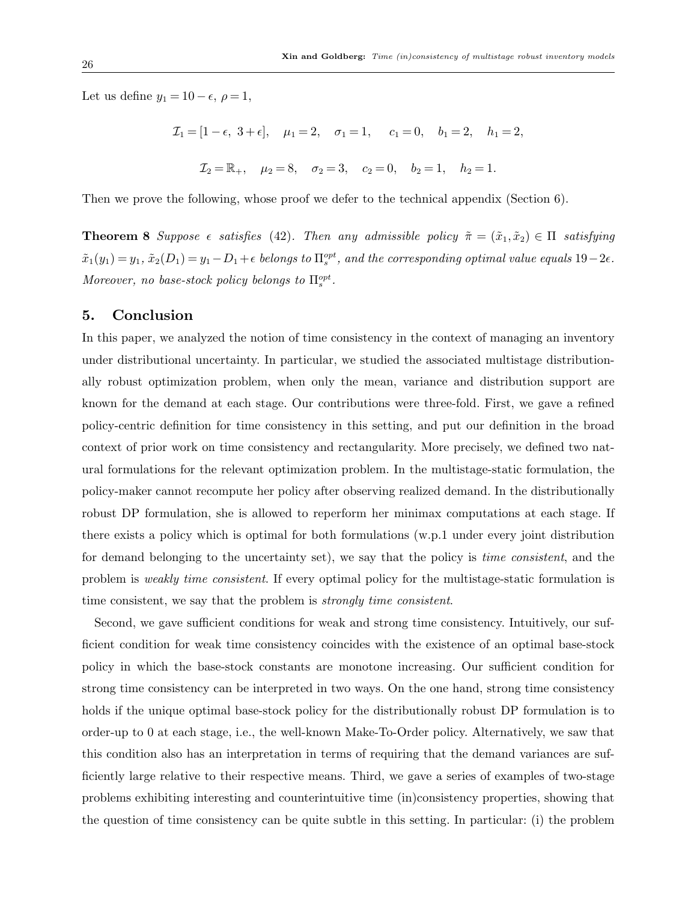Let us define  $y_1 = 10 - \epsilon$ ,  $\rho = 1$ ,

$$
\mathcal{I}_1 = [1 - \epsilon, 3 + \epsilon], \quad \mu_1 = 2, \quad \sigma_1 = 1, \quad c_1 = 0, \quad b_1 = 2, \quad h_1 = 2,
$$
  

$$
\mathcal{I}_2 = \mathbb{R}_+, \quad \mu_2 = 8, \quad \sigma_2 = 3, \quad c_2 = 0, \quad b_2 = 1, \quad h_2 = 1.
$$

Then we prove the following, whose proof we defer to the technical appendix (Section 6).

**Theorem 8** Suppose  $\epsilon$  satisfies (42). Then any admissible policy  $\tilde{\pi} = (\tilde{x}_1, \tilde{x}_2) \in \Pi$  satisfying  $\tilde{x}_1(y_1) = y_1$ ,  $\tilde{x}_2(D_1) = y_1 - D_1 + \epsilon$  belongs to  $\Pi_s^{opt}$ , and the corresponding optimal value equals  $19-2\epsilon$ . Moreover, no base-stock policy belongs to  $\Pi_s^{opt}$ .

## 5. Conclusion

In this paper, we analyzed the notion of time consistency in the context of managing an inventory under distributional uncertainty. In particular, we studied the associated multistage distributionally robust optimization problem, when only the mean, variance and distribution support are known for the demand at each stage. Our contributions were three-fold. First, we gave a refined policy-centric definition for time consistency in this setting, and put our definition in the broad context of prior work on time consistency and rectangularity. More precisely, we defined two natural formulations for the relevant optimization problem. In the multistage-static formulation, the policy-maker cannot recompute her policy after observing realized demand. In the distributionally robust DP formulation, she is allowed to reperform her minimax computations at each stage. If there exists a policy which is optimal for both formulations (w.p.1 under every joint distribution for demand belonging to the uncertainty set), we say that the policy is *time consistent*, and the problem is weakly time consistent. If every optimal policy for the multistage-static formulation is time consistent, we say that the problem is *strongly time consistent*.

Second, we gave sufficient conditions for weak and strong time consistency. Intuitively, our sufficient condition for weak time consistency coincides with the existence of an optimal base-stock policy in which the base-stock constants are monotone increasing. Our sufficient condition for strong time consistency can be interpreted in two ways. On the one hand, strong time consistency holds if the unique optimal base-stock policy for the distributionally robust DP formulation is to order-up to 0 at each stage, i.e., the well-known Make-To-Order policy. Alternatively, we saw that this condition also has an interpretation in terms of requiring that the demand variances are sufficiently large relative to their respective means. Third, we gave a series of examples of two-stage problems exhibiting interesting and counterintuitive time (in)consistency properties, showing that the question of time consistency can be quite subtle in this setting. In particular: (i) the problem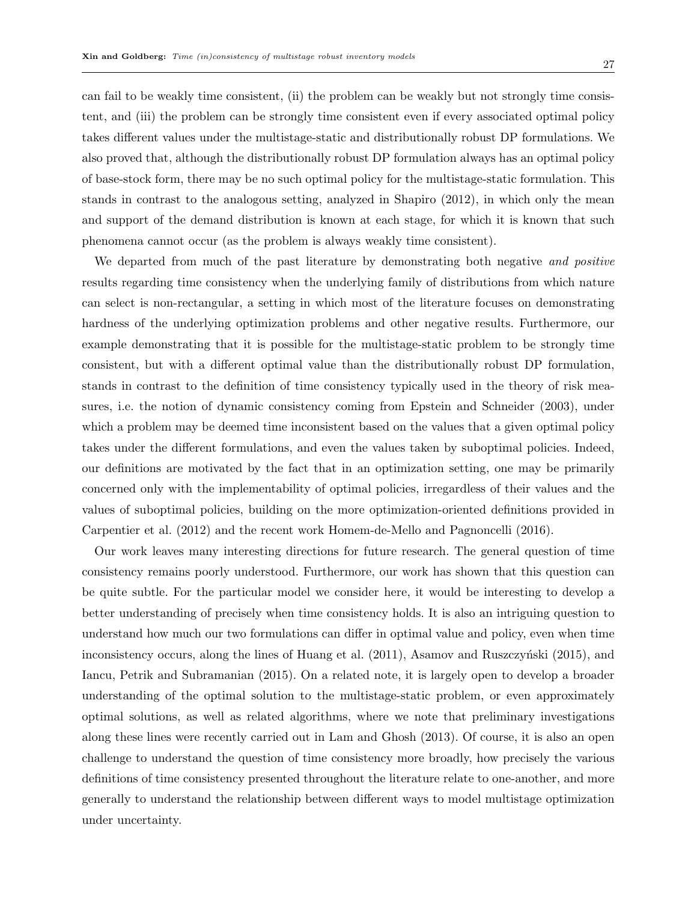can fail to be weakly time consistent, (ii) the problem can be weakly but not strongly time consistent, and (iii) the problem can be strongly time consistent even if every associated optimal policy takes different values under the multistage-static and distributionally robust DP formulations. We also proved that, although the distributionally robust DP formulation always has an optimal policy of base-stock form, there may be no such optimal policy for the multistage-static formulation. This stands in contrast to the analogous setting, analyzed in Shapiro (2012), in which only the mean and support of the demand distribution is known at each stage, for which it is known that such phenomena cannot occur (as the problem is always weakly time consistent).

We departed from much of the past literature by demonstrating both negative and positive results regarding time consistency when the underlying family of distributions from which nature can select is non-rectangular, a setting in which most of the literature focuses on demonstrating hardness of the underlying optimization problems and other negative results. Furthermore, our example demonstrating that it is possible for the multistage-static problem to be strongly time consistent, but with a different optimal value than the distributionally robust DP formulation, stands in contrast to the definition of time consistency typically used in the theory of risk measures, i.e. the notion of dynamic consistency coming from Epstein and Schneider (2003), under which a problem may be deemed time inconsistent based on the values that a given optimal policy takes under the different formulations, and even the values taken by suboptimal policies. Indeed, our definitions are motivated by the fact that in an optimization setting, one may be primarily concerned only with the implementability of optimal policies, irregardless of their values and the values of suboptimal policies, building on the more optimization-oriented definitions provided in Carpentier et al. (2012) and the recent work Homem-de-Mello and Pagnoncelli (2016).

Our work leaves many interesting directions for future research. The general question of time consistency remains poorly understood. Furthermore, our work has shown that this question can be quite subtle. For the particular model we consider here, it would be interesting to develop a better understanding of precisely when time consistency holds. It is also an intriguing question to understand how much our two formulations can differ in optimal value and policy, even when time inconsistency occurs, along the lines of Huang et al.  $(2011)$ , Asamov and Ruszczyński  $(2015)$ , and Iancu, Petrik and Subramanian (2015). On a related note, it is largely open to develop a broader understanding of the optimal solution to the multistage-static problem, or even approximately optimal solutions, as well as related algorithms, where we note that preliminary investigations along these lines were recently carried out in Lam and Ghosh (2013). Of course, it is also an open challenge to understand the question of time consistency more broadly, how precisely the various definitions of time consistency presented throughout the literature relate to one-another, and more generally to understand the relationship between different ways to model multistage optimization under uncertainty.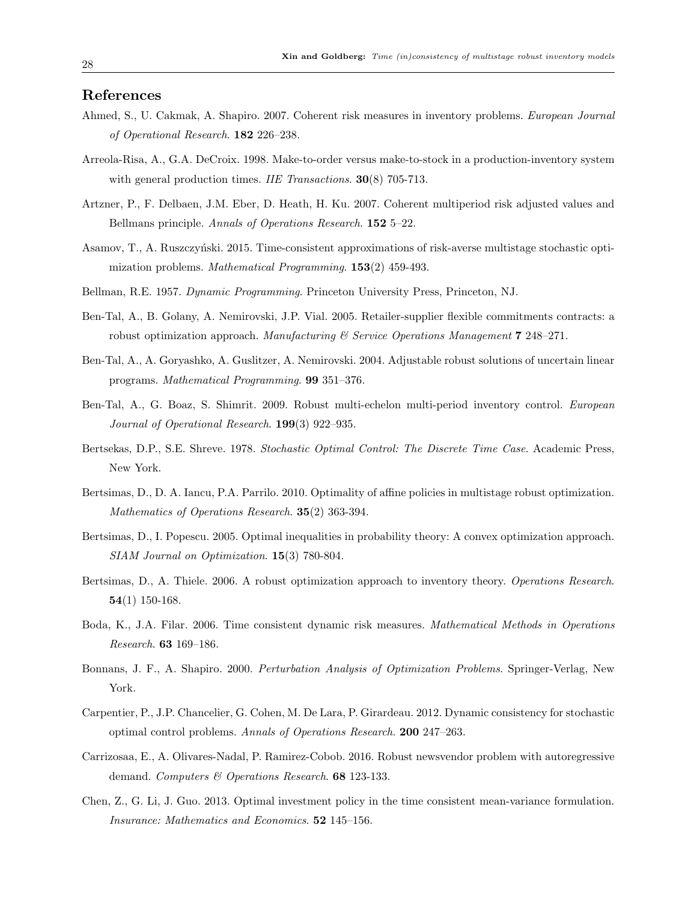## References

- Ahmed, S., U. Cakmak, A. Shapiro. 2007. Coherent risk measures in inventory problems. European Journal of Operational Research. 182 226–238.
- Arreola-Risa, A., G.A. DeCroix. 1998. Make-to-order versus make-to-stock in a production-inventory system with general production times. *IIE Transactions*. **30**(8) 705-713.
- Artzner, P., F. Delbaen, J.M. Eber, D. Heath, H. Ku. 2007. Coherent multiperiod risk adjusted values and Bellmans principle. Annals of Operations Research. 152 5-22.
- Asamov, T., A. Ruszczyński. 2015. Time-consistent approximations of risk-averse multistage stochastic optimization problems. *Mathematical Programming*.  $153(2)$  459-493.
- Bellman, R.E. 1957. Dynamic Programming. Princeton University Press, Princeton, NJ.
- Ben-Tal, A., B. Golany, A. Nemirovski, J.P. Vial. 2005. Retailer-supplier flexible commitments contracts: a robust optimization approach. Manufacturing  $\mathscr$  Service Operations Management 7 248–271.
- Ben-Tal, A., A. Goryashko, A. Guslitzer, A. Nemirovski. 2004. Adjustable robust solutions of uncertain linear programs. Mathematical Programming. 99 351–376.
- Ben-Tal, A., G. Boaz, S. Shimrit. 2009. Robust multi-echelon multi-period inventory control. European Journal of Operational Research. 199(3) 922–935.
- Bertsekas, D.P., S.E. Shreve. 1978. Stochastic Optimal Control: The Discrete Time Case. Academic Press, New York.
- Bertsimas, D., D. A. Iancu, P.A. Parrilo. 2010. Optimality of affine policies in multistage robust optimization. Mathematics of Operations Research. 35(2) 363-394.
- Bertsimas, D., I. Popescu. 2005. Optimal inequalities in probability theory: A convex optimization approach. SIAM Journal on Optimization. 15(3) 780-804.
- Bertsimas, D., A. Thiele. 2006. A robust optimization approach to inventory theory. Operations Research. 54(1) 150-168.
- Boda, K., J.A. Filar. 2006. Time consistent dynamic risk measures. Mathematical Methods in Operations Research. 63 169–186.
- Bonnans, J. F., A. Shapiro. 2000. Perturbation Analysis of Optimization Problems. Springer-Verlag, New York.
- Carpentier, P., J.P. Chancelier, G. Cohen, M. De Lara, P. Girardeau. 2012. Dynamic consistency for stochastic optimal control problems. Annals of Operations Research. 200 247–263.
- Carrizosaa, E., A. Olivares-Nadal, P. Ramirez-Cobob. 2016. Robust newsvendor problem with autoregressive demand. Computers & Operations Research. 68 123-133.
- Chen, Z., G. Li, J. Guo. 2013. Optimal investment policy in the time consistent mean-variance formulation. Insurance: Mathematics and Economics. 52 145–156.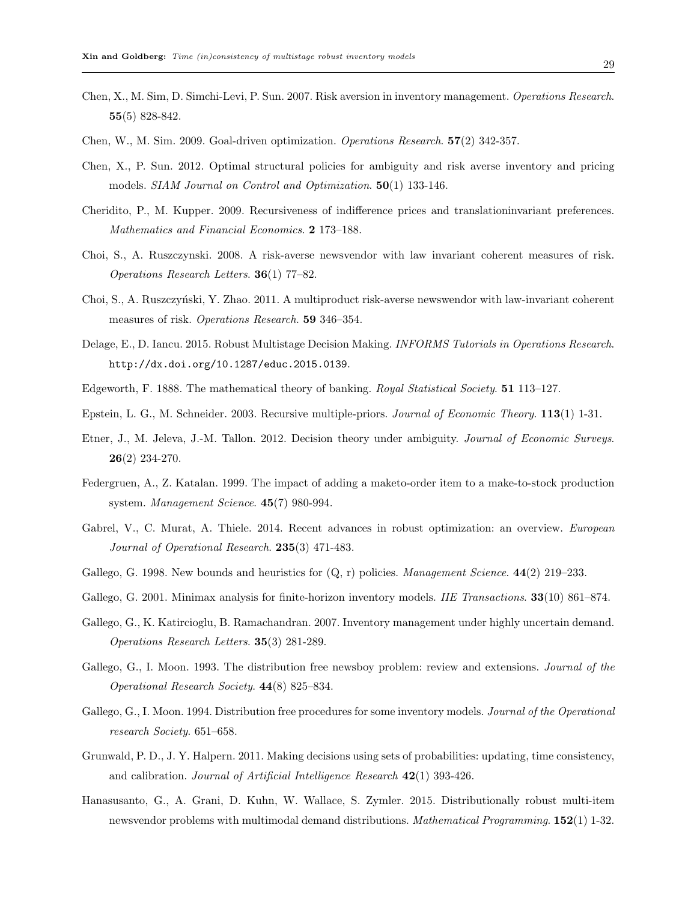- Chen, X., M. Sim, D. Simchi-Levi, P. Sun. 2007. Risk aversion in inventory management. Operations Research. 55(5) 828-842.
- Chen, W., M. Sim. 2009. Goal-driven optimization. Operations Research. 57(2) 342-357.
- Chen, X., P. Sun. 2012. Optimal structural policies for ambiguity and risk averse inventory and pricing models. SIAM Journal on Control and Optimization. 50(1) 133-146.
- Cheridito, P., M. Kupper. 2009. Recursiveness of indifference prices and translationinvariant preferences. Mathematics and Financial Economics. 2 173–188.
- Choi, S., A. Ruszczynski. 2008. A risk-averse newsvendor with law invariant coherent measures of risk. Operations Research Letters. 36(1) 77–82.
- Choi, S., A. Ruszczyński, Y. Zhao. 2011. A multiproduct risk-averse newswendor with law-invariant coherent measures of risk. Operations Research. 59 346-354.
- Delage, E., D. Iancu. 2015. Robust Multistage Decision Making. INFORMS Tutorials in Operations Research. http://dx.doi.org/10.1287/educ.2015.0139.
- Edgeworth, F. 1888. The mathematical theory of banking. Royal Statistical Society. 51 113–127.
- Epstein, L. G., M. Schneider. 2003. Recursive multiple-priors. Journal of Economic Theory. 113(1) 1-31.
- Etner, J., M. Jeleva, J.-M. Tallon. 2012. Decision theory under ambiguity. Journal of Economic Surveys. 26(2) 234-270.
- Federgruen, A., Z. Katalan. 1999. The impact of adding a maketo-order item to a make-to-stock production system. Management Science. 45(7) 980-994.
- Gabrel, V., C. Murat, A. Thiele. 2014. Recent advances in robust optimization: an overview. European Journal of Operational Research. 235(3) 471-483.
- Gallego, G. 1998. New bounds and heuristics for  $(Q, r)$  policies. *Management Science*.  $44(2)$  219–233.
- Gallego, G. 2001. Minimax analysis for finite-horizon inventory models. *IIE Transactions*. **33**(10) 861–874.
- Gallego, G., K. Katircioglu, B. Ramachandran. 2007. Inventory management under highly uncertain demand. Operations Research Letters. 35(3) 281-289.
- Gallego, G., I. Moon. 1993. The distribution free newsboy problem: review and extensions. *Journal of the* Operational Research Society. 44(8) 825–834.
- Gallego, G., I. Moon. 1994. Distribution free procedures for some inventory models. Journal of the Operational research Society. 651–658.
- Grunwald, P. D., J. Y. Halpern. 2011. Making decisions using sets of probabilities: updating, time consistency, and calibration. Journal of Artificial Intelligence Research  $42(1)$  393-426.
- Hanasusanto, G., A. Grani, D. Kuhn, W. Wallace, S. Zymler. 2015. Distributionally robust multi-item newsvendor problems with multimodal demand distributions. *Mathematical Programming*.  $152(1)$  1-32.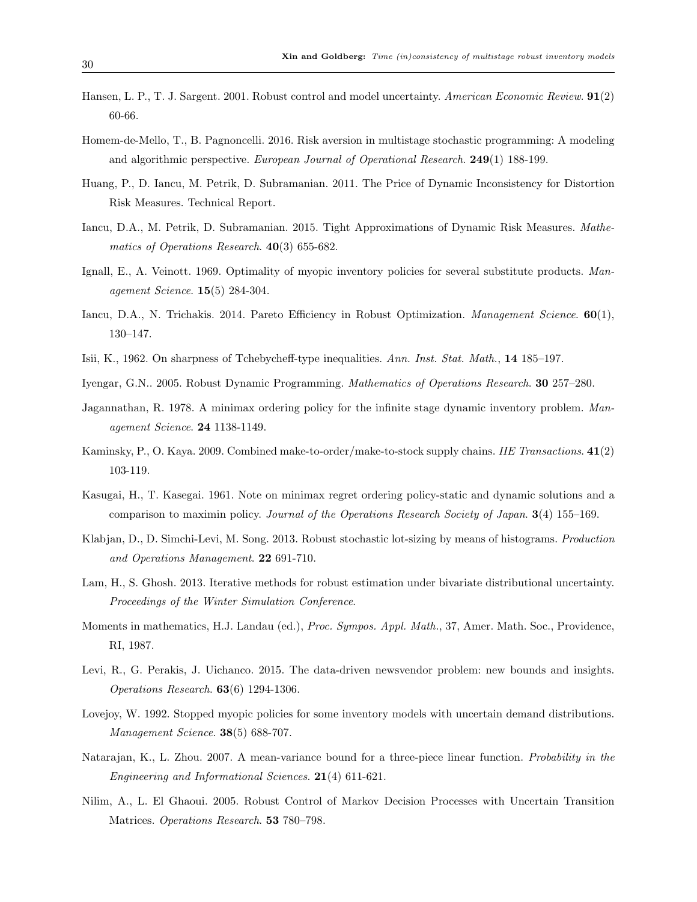- Hansen, L. P., T. J. Sargent. 2001. Robust control and model uncertainty. American Economic Review. 91(2) 60-66.
- Homem-de-Mello, T., B. Pagnoncelli. 2016. Risk aversion in multistage stochastic programming: A modeling and algorithmic perspective. European Journal of Operational Research. 249(1) 188-199.
- Huang, P., D. Iancu, M. Petrik, D. Subramanian. 2011. The Price of Dynamic Inconsistency for Distortion Risk Measures. Technical Report.
- Iancu, D.A., M. Petrik, D. Subramanian. 2015. Tight Approximations of Dynamic Risk Measures. Mathematics of Operations Research. 40(3) 655-682.
- Ignall, E., A. Veinott. 1969. Optimality of myopic inventory policies for several substitute products. Management Science. 15(5) 284-304.
- Iancu, D.A., N. Trichakis. 2014. Pareto Efficiency in Robust Optimization. Management Science. 60(1), 130–147.
- Isii, K., 1962. On sharpness of Tchebycheff-type inequalities. Ann. Inst. Stat. Math., 14 185–197.
- Iyengar, G.N.. 2005. Robust Dynamic Programming. Mathematics of Operations Research. 30 257–280.
- Jagannathan, R. 1978. A minimax ordering policy for the infinite stage dynamic inventory problem. Management Science. 24 1138-1149.
- Kaminsky, P., O. Kaya. 2009. Combined make-to-order/make-to-stock supply chains. IIE Transactions. 41(2) 103-119.
- Kasugai, H., T. Kasegai. 1961. Note on minimax regret ordering policy-static and dynamic solutions and a comparison to maximin policy. Journal of the Operations Research Society of Japan. 3(4) 155–169.
- Klabjan, D., D. Simchi-Levi, M. Song. 2013. Robust stochastic lot-sizing by means of histograms. Production and Operations Management. 22 691-710.
- Lam, H., S. Ghosh. 2013. Iterative methods for robust estimation under bivariate distributional uncertainty. Proceedings of the Winter Simulation Conference.
- Moments in mathematics, H.J. Landau (ed.), Proc. Sympos. Appl. Math., 37, Amer. Math. Soc., Providence, RI, 1987.
- Levi, R., G. Perakis, J. Uichanco. 2015. The data-driven newsvendor problem: new bounds and insights. Operations Research. 63(6) 1294-1306.
- Lovejoy, W. 1992. Stopped myopic policies for some inventory models with uncertain demand distributions. Management Science. 38(5) 688-707.
- Natarajan, K., L. Zhou. 2007. A mean-variance bound for a three-piece linear function. Probability in the Engineering and Informational Sciences. 21(4) 611-621.
- Nilim, A., L. El Ghaoui. 2005. Robust Control of Markov Decision Processes with Uncertain Transition Matrices. Operations Research. 53 780-798.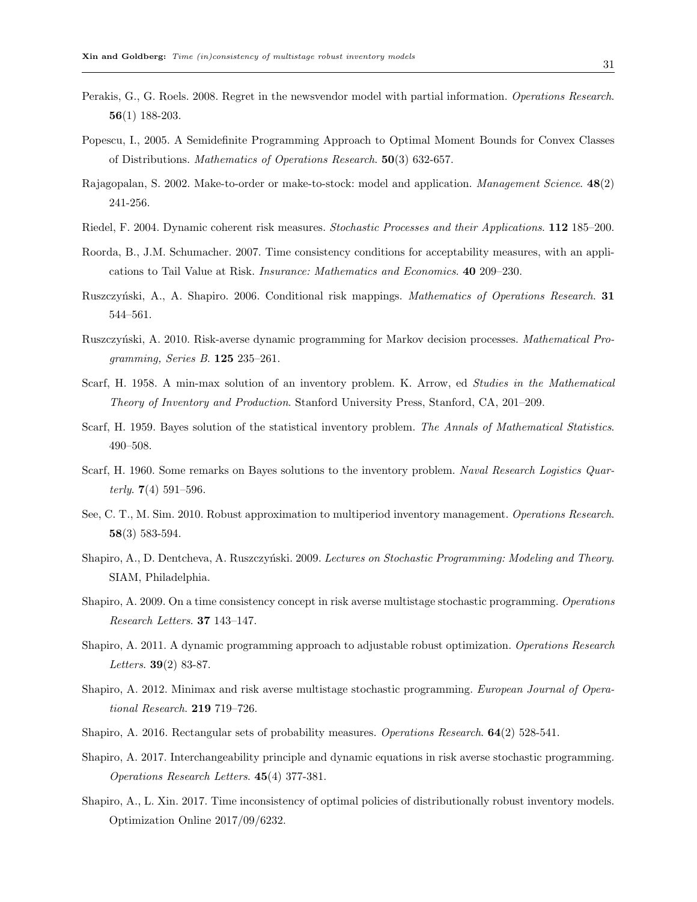- Perakis, G., G. Roels. 2008. Regret in the newsvendor model with partial information. Operations Research. 56(1) 188-203.
- Popescu, I., 2005. A Semidefinite Programming Approach to Optimal Moment Bounds for Convex Classes of Distributions. Mathematics of Operations Research. 50(3) 632-657.
- Rajagopalan, S. 2002. Make-to-order or make-to-stock: model and application. Management Science. 48(2) 241-256.
- Riedel, F. 2004. Dynamic coherent risk measures. Stochastic Processes and their Applications. 112 185–200.
- Roorda, B., J.M. Schumacher. 2007. Time consistency conditions for acceptability measures, with an applications to Tail Value at Risk. Insurance: Mathematics and Economics. 40 209–230.
- Ruszczyński, A., A. Shapiro. 2006. Conditional risk mappings. Mathematics of Operations Research. 31 544–561.
- Ruszczyński, A. 2010. Risk-averse dynamic programming for Markov decision processes. *Mathematical Pro*gramming, Series B. 125 235–261.
- Scarf, H. 1958. A min-max solution of an inventory problem. K. Arrow, ed Studies in the Mathematical Theory of Inventory and Production. Stanford University Press, Stanford, CA, 201–209.
- Scarf, H. 1959. Bayes solution of the statistical inventory problem. The Annals of Mathematical Statistics. 490–508.
- Scarf, H. 1960. Some remarks on Bayes solutions to the inventory problem. Naval Research Logistics Quarterly. 7(4) 591–596.
- See, C. T., M. Sim. 2010. Robust approximation to multiperiod inventory management. Operations Research. 58(3) 583-594.
- Shapiro, A., D. Dentcheva, A. Ruszczyński. 2009. Lectures on Stochastic Programming: Modeling and Theory. SIAM, Philadelphia.
- Shapiro, A. 2009. On a time consistency concept in risk averse multistage stochastic programming. Operations Research Letters. 37 143–147.
- Shapiro, A. 2011. A dynamic programming approach to adjustable robust optimization. Operations Research Letters. 39(2) 83-87.
- Shapiro, A. 2012. Minimax and risk averse multistage stochastic programming. European Journal of Operational Research. 219 719–726.
- Shapiro, A. 2016. Rectangular sets of probability measures. Operations Research. 64(2) 528-541.
- Shapiro, A. 2017. Interchangeability principle and dynamic equations in risk averse stochastic programming. Operations Research Letters. 45(4) 377-381.
- Shapiro, A., L. Xin. 2017. Time inconsistency of optimal policies of distributionally robust inventory models. Optimization Online 2017/09/6232.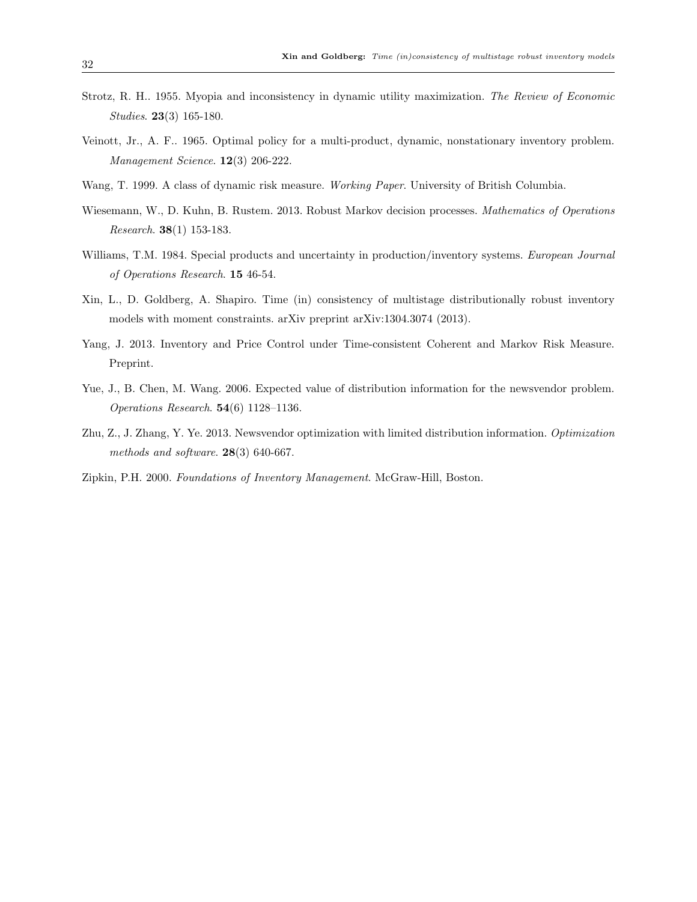- Strotz, R. H.. 1955. Myopia and inconsistency in dynamic utility maximization. The Review of Economic Studies. 23(3) 165-180.
- Veinott, Jr., A. F.. 1965. Optimal policy for a multi-product, dynamic, nonstationary inventory problem. Management Science. 12(3) 206-222.
- Wang, T. 1999. A class of dynamic risk measure. Working Paper. University of British Columbia.
- Wiesemann, W., D. Kuhn, B. Rustem. 2013. Robust Markov decision processes. *Mathematics of Operations* Research. 38(1) 153-183.
- Williams, T.M. 1984. Special products and uncertainty in production/inventory systems. European Journal of Operations Research. 15 46-54.
- Xin, L., D. Goldberg, A. Shapiro. Time (in) consistency of multistage distributionally robust inventory models with moment constraints. arXiv preprint arXiv:1304.3074 (2013).
- Yang, J. 2013. Inventory and Price Control under Time-consistent Coherent and Markov Risk Measure. Preprint.
- Yue, J., B. Chen, M. Wang. 2006. Expected value of distribution information for the newsvendor problem. Operations Research. 54(6) 1128–1136.
- Zhu, Z., J. Zhang, Y. Ye. 2013. Newsvendor optimization with limited distribution information. Optimization methods and software. 28(3) 640-667.
- Zipkin, P.H. 2000. Foundations of Inventory Management. McGraw-Hill, Boston.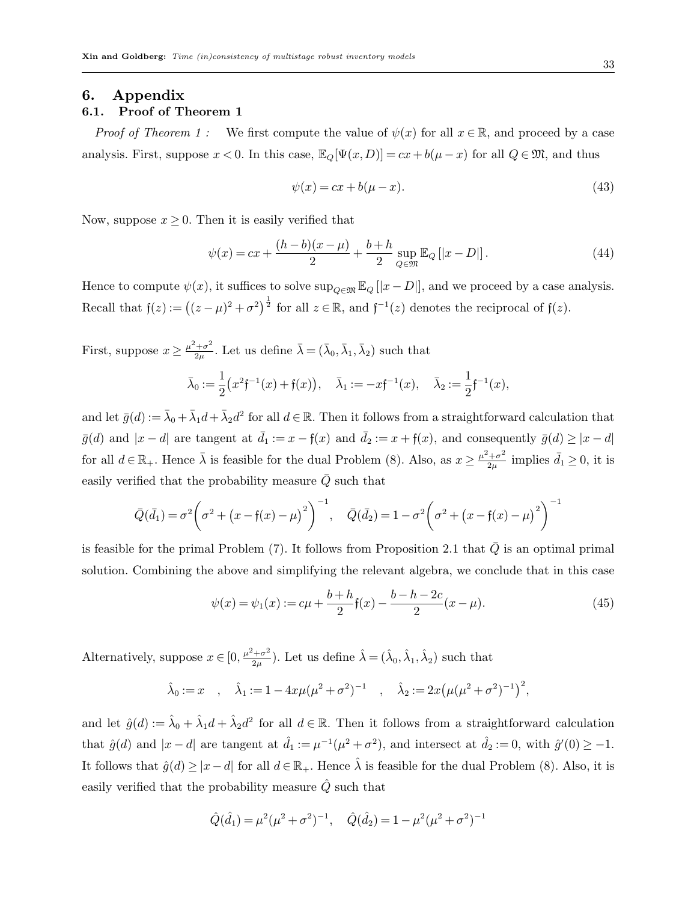## 6. Appendix 6.1. Proof of Theorem 1

*Proof of Theorem 1 :* We first compute the value of  $\psi(x)$  for all  $x \in \mathbb{R}$ , and proceed by a case analysis. First, suppose  $x < 0$ . In this case,  $\mathbb{E}_Q[\Psi(x, D)] = cx + b(\mu - x)$  for all  $Q \in \mathfrak{M}$ , and thus

$$
\psi(x) = cx + b(\mu - x). \tag{43}
$$

Now, suppose  $x \geq 0$ . Then it is easily verified that

$$
\psi(x) = cx + \frac{(h-b)(x-\mu)}{2} + \frac{b+h}{2} \sup_{Q \in \mathfrak{M}} \mathbb{E}_Q [|x-D|]. \tag{44}
$$

Hence to compute  $\psi(x)$ , it suffices to solve  $\sup_{Q \in \mathfrak{M}} \mathbb{E}_Q[[x-D]]$ , and we proceed by a case analysis. Recall that  $f(z) := ((z - \mu)^2 + \sigma^2)^{\frac{1}{2}}$  for all  $z \in \mathbb{R}$ , and  $f^{-1}(z)$  denotes the reciprocal of  $f(z)$ .

First, suppose  $x \geq \frac{\mu^2 + \sigma^2}{2n}$  $\frac{\lambda^2+\sigma^2}{2\mu}$ . Let us define  $\bar{\lambda}=(\bar{\lambda}_0,\bar{\lambda}_1,\bar{\lambda}_2)$  such that  $\bar{\lambda}_0 := \frac{1}{2}$ 2  $(x^2f^{-1}(x)+f(x)), \quad \bar{\lambda}_1:=-xf^{-1}(x), \quad \bar{\lambda}_2:=\frac{1}{2}$  $\frac{1}{2}f^{-1}(x),$ 

and let  $\bar{g}(d) := \bar{\lambda}_0 + \bar{\lambda}_1 d + \bar{\lambda}_2 d^2$  for all  $d \in \mathbb{R}$ . Then it follows from a straightforward calculation that  $\bar{g}(d)$  and  $|x - d|$  are tangent at  $\bar{d}_1 := x - \mathfrak{f}(x)$  and  $\bar{d}_2 := x + \mathfrak{f}(x)$ , and consequently  $\bar{g}(d) \geq |x - d|$ for all  $d \in \mathbb{R}_+$ . Hence  $\bar{\lambda}$  is feasible for the dual Problem (8). Also, as  $x \geq \frac{\mu^2 + \sigma^2}{2\mu}$  $\frac{d^2+\sigma^2}{2\mu}$  implies  $\bar{d}_1 \geq 0$ , it is easily verified that the probability measure  $\overline{Q}$  such that

$$
\bar{Q}(\bar{d}_1) = \sigma^2 \left(\sigma^2 + (x - f(x) - \mu)^2\right)^{-1}, \quad \bar{Q}(\bar{d}_2) = 1 - \sigma^2 \left(\sigma^2 + (x - f(x) - \mu)^2\right)^{-1}
$$

is feasible for the primal Problem (7). It follows from Proposition 2.1 that  $\overline{Q}$  is an optimal primal solution. Combining the above and simplifying the relevant algebra, we conclude that in this case

$$
\psi(x) = \psi_1(x) := c\mu + \frac{b+h}{2} \mathfrak{f}(x) - \frac{b-h-2c}{2} (x-\mu). \tag{45}
$$

Alternatively, suppose  $x \in [0, \frac{\mu^2 + \sigma^2}{2\mu}]$  $(\hat{\lambda}_{1\sigma}^2)$ . Let us define  $\hat{\lambda} = (\hat{\lambda}_0, \hat{\lambda}_1, \hat{\lambda}_2)$  such that

$$
\hat{\lambda}_0 := x
$$
,  $\hat{\lambda}_1 := 1 - 4x\mu(\mu^2 + \sigma^2)^{-1}$ ,  $\hat{\lambda}_2 := 2x(\mu(\mu^2 + \sigma^2)^{-1})^2$ ,

and let  $\hat{g}(d) := \hat{\lambda}_0 + \hat{\lambda}_1 d + \hat{\lambda}_2 d^2$  for all  $d \in \mathbb{R}$ . Then it follows from a straightforward calculation that  $\hat{g}(d)$  and  $|x-d|$  are tangent at  $\hat{d}_1 := \mu^{-1}(\mu^2 + \sigma^2)$ , and intersect at  $\hat{d}_2 := 0$ , with  $\hat{g}'(0) \ge -1$ . It follows that  $\hat{g}(d) \geq |x-d|$  for all  $d \in \mathbb{R}_+$ . Hence  $\hat{\lambda}$  is feasible for the dual Problem (8). Also, it is easily verified that the probability measure  $\ddot{Q}$  such that

$$
\hat{Q}(\hat{d}_1) = \mu^2 (\mu^2 + \sigma^2)^{-1}, \quad \hat{Q}(\hat{d}_2) = 1 - \mu^2 (\mu^2 + \sigma^2)^{-1}
$$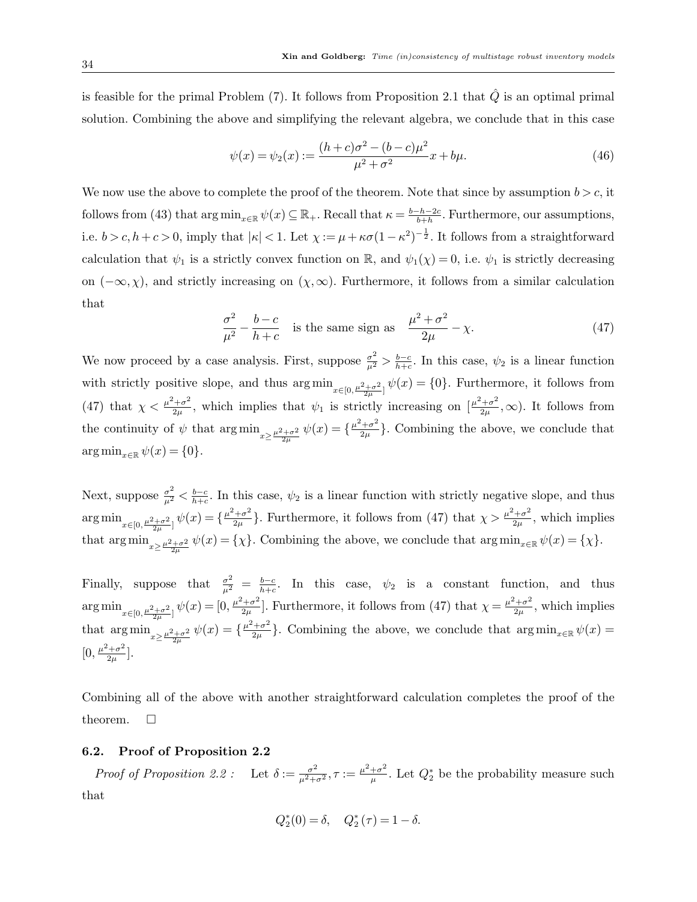is feasible for the primal Problem (7). It follows from Proposition 2.1 that  $\hat{Q}$  is an optimal primal solution. Combining the above and simplifying the relevant algebra, we conclude that in this case

$$
\psi(x) = \psi_2(x) := \frac{(h+c)\sigma^2 - (b-c)\mu^2}{\mu^2 + \sigma^2}x + b\mu.
$$
\n(46)

We now use the above to complete the proof of the theorem. Note that since by assumption  $b > c$ , it follows from (43) that  $\arg \min_{x \in \mathbb{R}} \psi(x) \subseteq \mathbb{R}_+$ . Recall that  $\kappa = \frac{b-h-2c}{b+h}$  $\frac{-h-2c}{b+h}$ . Furthermore, our assumptions, i.e.  $b > c, h + c > 0$ , imply that  $|\kappa| < 1$ . Let  $\chi := \mu + \kappa \sigma (1 - \kappa^2)^{-\frac{1}{2}}$ . It follows from a straightforward calculation that  $\psi_1$  is a strictly convex function on R, and  $\psi_1(\chi) = 0$ , i.e.  $\psi_1$  is strictly decreasing on  $(-\infty, \chi)$ , and strictly increasing on  $(\chi, \infty)$ . Furthermore, it follows from a similar calculation that

$$
\frac{\sigma^2}{\mu^2} - \frac{b-c}{h+c}
$$
 is the same sign as 
$$
\frac{\mu^2 + \sigma^2}{2\mu} - \chi.
$$
 (47)

We now proceed by a case analysis. First, suppose  $\frac{\sigma^2}{\mu^2} > \frac{b-c}{h+c}$  $\frac{b-c}{b+c}$ . In this case,  $\psi_2$  is a linear function with strictly positive slope, and thus  $\arg \min_{x \in [0, \frac{\mu^2 + \sigma^2}{2\mu}]} \psi(x) = \{0\}$ . Furthermore, it follows from (47) that  $\chi < \frac{\mu^2 + \sigma^2}{2\mu}$  $\frac{1+\sigma^2}{2\mu}$ , which implies that  $\psi_1$  is strictly increasing on  $\left[\frac{\mu^2+\sigma^2}{2\mu}\right]$  $(\frac{1+\sigma^2}{2\mu},\infty)$ . It follows from the continuity of  $\psi$  that  $\arg \min_{x \geq \frac{\mu^2 + \sigma^2}{2\mu}} \psi(x) = \{\frac{\mu^2 + \sigma^2}{2\mu}\}$  $\frac{+\sigma^2}{2\mu}$ . Combining the above, we conclude that  $\arg \min_{x \in \mathbb{R}} \psi(x) = \{0\}.$ 

Next, suppose  $\frac{\sigma^2}{\mu^2} < \frac{b-c}{h+c}$  $\frac{b-c}{b+c}$ . In this case,  $\psi_2$  is a linear function with strictly negative slope, and thus  $\argmin_{x \in [0, \frac{\mu^2 + \sigma^2}{2\mu}]} \psi(x) = \{\frac{\mu^2 + \sigma^2}{2\mu}\}$  $\frac{2+\sigma^2}{2\mu}$ . Furthermore, it follows from (47) that  $\chi > \frac{\mu^2+\sigma^2}{2\mu}$  $\frac{1+\sigma^2}{2\mu}$ , which implies that  $\arg \min_{x \geq \frac{\mu^2 + \sigma^2}{2\mu}} \psi(x) = \{\chi\}.$  Combining the above, we conclude that  $\arg \min_{x \in \mathbb{R}} \psi(x) = \{\chi\}.$ 

Finally, suppose that  $\frac{\sigma^2}{\mu^2} = \frac{b-c}{h+c}$  $\frac{b-c}{b+c}$ . In this case,  $\psi_2$  is a constant function, and thus  $\argmin_{x \in [0, \frac{\mu^2 + \sigma^2}{2\mu}]} \psi(x) = [0, \frac{\mu^2 + \sigma^2}{2\mu}]$  $\frac{2+\sigma^2}{2\mu}$ . Furthermore, it follows from (47) that  $\chi = \frac{\mu^2+\sigma^2}{2\mu}$  $\frac{1+\sigma^2}{2\mu}$ , which implies that  $\arg \min_{x \geq \frac{\mu^2 + \sigma^2}{2\mu}} \psi(x) = \left\{ \frac{\mu^2 + \sigma^2}{2\mu} \right\}$  $\frac{1+\sigma^2}{2\mu}$ . Combining the above, we conclude that  $\arg\min_{x\in\mathbb{R}}\psi(x)=$  $[0, \frac{\mu^2 + \sigma^2}{2 \mu}$  $\frac{+\sigma^2}{2\mu}$ .

Combining all of the above with another straightforward calculation completes the proof of the theorem.  $\Box$ 

## 6.2. Proof of Proposition 2.2

Proof of Proposition 2.2: Let  $\delta := \frac{\sigma^2}{\mu^2 + \sigma^2}, \tau := \frac{\mu^2 + \sigma^2}{\mu}$  $\frac{+\sigma^2}{\mu}$ . Let  $Q_2^*$  be the probability measure such that

$$
Q_2^*(0) = \delta
$$
,  $Q_2^*(\tau) = 1 - \delta$ .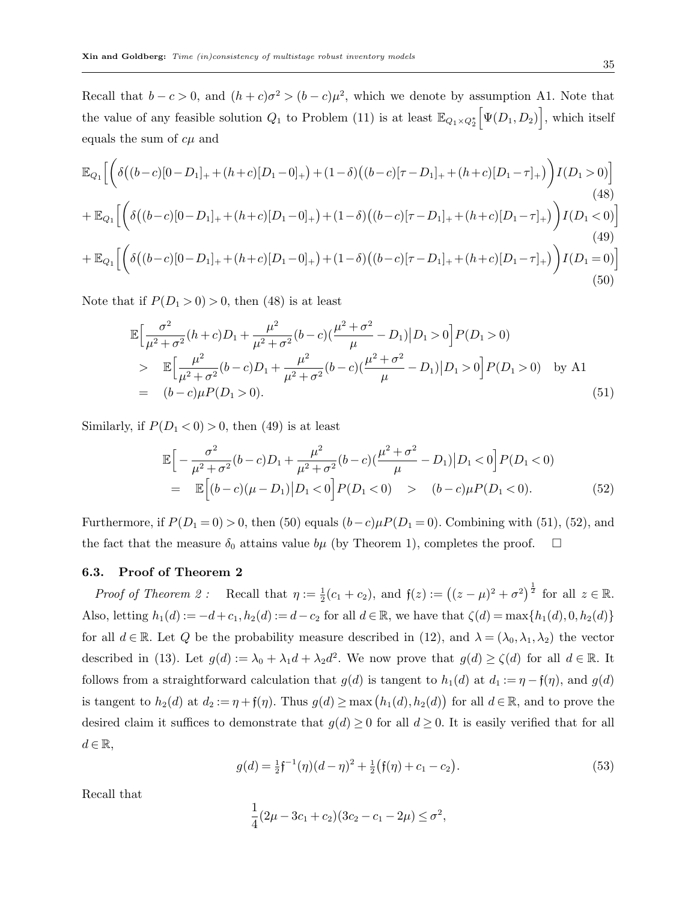Recall that  $b - c > 0$ , and  $(h + c)\sigma^2 > (b - c)\mu^2$ , which we denote by assumption A1. Note that the value of any feasible solution  $Q_1$  to Problem (11) is at least  $\mathbb{E}_{Q_1 \times Q_2^*} \Big[ \Psi(D_1, D_2) \Big]$ , which itself equals the sum of  $c\mu$  and

$$
\mathbb{E}_{Q_1} \Big[ \bigg( \delta \big( (b-c)[0-D_1]_+ + (h+c)[D_1-0]_+ \big) + (1-\delta) \big( (b-c)[\tau - D_1]_+ + (h+c)[D_1-\tau]_+ \big) \bigg) I(D_1 > 0) \Big] \tag{48}
$$
\n
$$
+ \mathbb{E}_{Q_1} \Big[ \bigg( \delta \big( (b-c)[0-D_1]_+ + (h+c)[D_1-0]_+ \big) + (1-\delta) \big( (b-c)[\tau - D_1]_+ + (h+c)[D_1-\tau]_+ \big) \bigg) I(D_1 < 0) \Big] \tag{49}
$$
\n
$$
+ \mathbb{E}_{Q_1} \Big[ \bigg( \delta \big( (b-c)[0-D_1]_+ + (h+c)[D_1-0]_+ \big) + (1-\delta) \big( (b-c)[\tau - D_1]_+ + (h+c)[D_1-\tau]_+ \big) \bigg) I(D_1 = 0) \Big] \tag{50}
$$

Note that if  $P(D_1 > 0) > 0$ , then (48) is at least

$$
\mathbb{E}\Big[\frac{\sigma^2}{\mu^2 + \sigma^2}(h+c)D_1 + \frac{\mu^2}{\mu^2 + \sigma^2}(b-c)(\frac{\mu^2 + \sigma^2}{\mu} - D_1)|D_1 > 0\Big]P(D_1 > 0)
$$
\n
$$
\geq \mathbb{E}\Big[\frac{\mu^2}{\mu^2 + \sigma^2}(b-c)D_1 + \frac{\mu^2}{\mu^2 + \sigma^2}(b-c)(\frac{\mu^2 + \sigma^2}{\mu} - D_1)|D_1 > 0\Big]P(D_1 > 0) \quad \text{by A1}
$$
\n
$$
= (b-c)\mu P(D_1 > 0). \tag{51}
$$

Similarly, if  $P(D_1 < 0) > 0$ , then (49) is at least

$$
\mathbb{E}\Big[-\frac{\sigma^2}{\mu^2 + \sigma^2}(b-c)D_1 + \frac{\mu^2}{\mu^2 + \sigma^2}(b-c)(\frac{\mu^2 + \sigma^2}{\mu} - D_1)|D_1 < 0\Big]P(D_1 < 0)
$$
  
= 
$$
\mathbb{E}\Big[(b-c)(\mu - D_1)|D_1 < 0\Big]P(D_1 < 0) \qquad (b-c)\mu P(D_1 < 0).
$$
 (52)

Furthermore, if  $P(D_1 = 0) > 0$ , then (50) equals  $(b-c)\mu P(D_1 = 0)$ . Combining with (51), (52), and the fact that the measure  $\delta_0$  attains value  $b\mu$  (by Theorem 1), completes the proof.  $\Box$ 

## 6.3. Proof of Theorem 2

Proof of Theorem 2: Recall that  $\eta := \frac{1}{2}(c_1 + c_2)$ , and  $f(z) := ((z - \mu)^2 + \sigma^2)^{\frac{1}{2}}$  for all  $z \in \mathbb{R}$ . Also, letting  $h_1(d) := -d+c_1, h_2(d) := d-c_2$  for all  $d \in \mathbb{R}$ , we have that  $\zeta(d) = \max\{h_1(d), 0, h_2(d)\}$ for all  $d \in \mathbb{R}$ . Let Q be the probability measure described in (12), and  $\lambda = (\lambda_0, \lambda_1, \lambda_2)$  the vector described in (13). Let  $g(d) := \lambda_0 + \lambda_1 d + \lambda_2 d^2$ . We now prove that  $g(d) \ge \zeta(d)$  for all  $d \in \mathbb{R}$ . It follows from a straightforward calculation that  $g(d)$  is tangent to  $h_1(d)$  at  $d_1 := \eta - \mathfrak{f}(\eta)$ , and  $g(d)$ is tangent to  $h_2(d)$  at  $d_2 := \eta + \mathfrak{f}(\eta)$ . Thus  $g(d) \ge \max(h_1(d), h_2(d))$  for all  $d \in \mathbb{R}$ , and to prove the desired claim it suffices to demonstrate that  $g(d) \geq 0$  for all  $d \geq 0$ . It is easily verified that for all  $d \in \mathbb{R},$ 

$$
g(d) = \frac{1}{2}\mathfrak{f}^{-1}(\eta)(d-\eta)^2 + \frac{1}{2}(\mathfrak{f}(\eta) + c_1 - c_2).
$$
 (53)

Recall that

$$
\frac{1}{4}(2\mu - 3c_1 + c_2)(3c_2 - c_1 - 2\mu) \le \sigma^2,
$$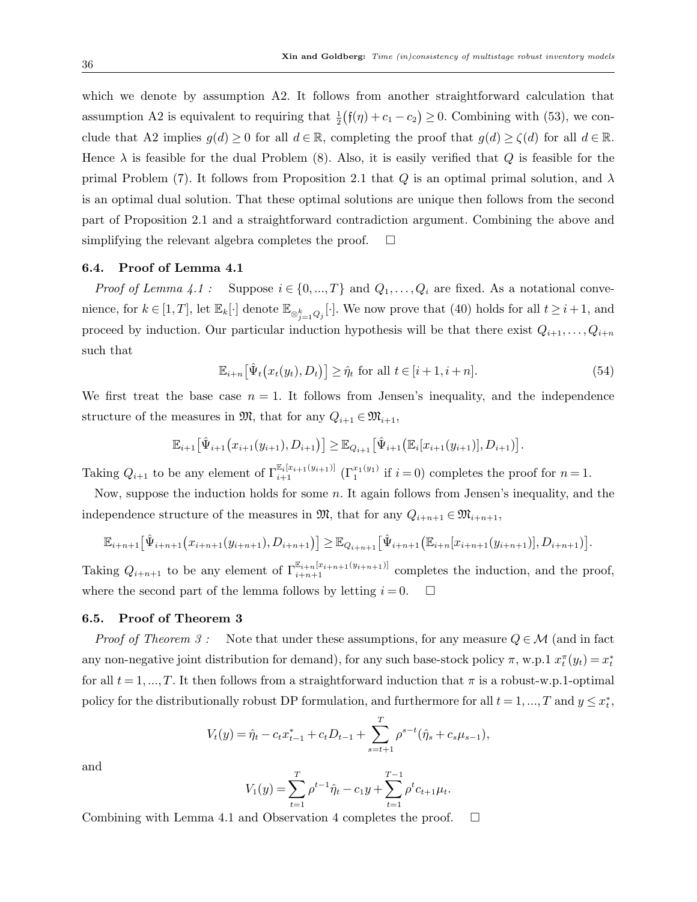which we denote by assumption A2. It follows from another straightforward calculation that assumption A2 is equivalent to requiring that  $\frac{1}{2}(\mathfrak{f}(\eta) + c_1 - c_2) \ge 0$ . Combining with (53), we conclude that A2 implies  $g(d) \geq 0$  for all  $d \in \mathbb{R}$ , completing the proof that  $g(d) \geq \zeta(d)$  for all  $d \in \mathbb{R}$ . Hence  $\lambda$  is feasible for the dual Problem (8). Also, it is easily verified that Q is feasible for the primal Problem (7). It follows from Proposition 2.1 that Q is an optimal primal solution, and  $\lambda$ is an optimal dual solution. That these optimal solutions are unique then follows from the second part of Proposition 2.1 and a straightforward contradiction argument. Combining the above and simplifying the relevant algebra completes the proof.  $\square$ 

## 6.4. Proof of Lemma 4.1

*Proof of Lemma 4.1* : Suppose  $i \in \{0, ..., T\}$  and  $Q_1, ..., Q_i$  are fixed. As a notational convenience, for  $k \in [1, T]$ , let  $\mathbb{E}_k[\cdot]$  denote  $\mathbb{E}_{\otimes_{j=1}^k Q_j}[\cdot]$ . We now prove that (40) holds for all  $t \geq i+1$ , and proceed by induction. Our particular induction hypothesis will be that there exist  $Q_{i+1},\ldots,Q_{i+n}$ such that

$$
\mathbb{E}_{i+n}[\hat{\Psi}_t(x_t(y_t), D_t)] \ge \hat{\eta}_t \text{ for all } t \in [i+1, i+n]. \tag{54}
$$

We first treat the base case  $n = 1$ . It follows from Jensen's inequality, and the independence structure of the measures in  $\mathfrak{M}$ , that for any  $Q_{i+1} \in \mathfrak{M}_{i+1}$ ,

$$
\mathbb{E}_{i+1} \big[ \hat{\Psi}_{i+1} \big( x_{i+1}(y_{i+1}), D_{i+1} \big) \big] \geq \mathbb{E}_{Q_{i+1}} \big[ \hat{\Psi}_{i+1} \big( \mathbb{E}_{i} [x_{i+1}(y_{i+1})], D_{i+1} \big) \big].
$$

Taking  $Q_{i+1}$  to be any element of  $\Gamma_{i+1}^{\mathbb{E}_i[x_{i+1}(y_{i+1})]}$   $(\Gamma_1^{x_1(y_1)}$  if  $i=0)$  completes the proof for  $n=1$ .

Now, suppose the induction holds for some  $n$ . It again follows from Jensen's inequality, and the independence structure of the measures in  $\mathfrak{M}$ , that for any  $Q_{i+n+1} \in \mathfrak{M}_{i+n+1}$ ,

$$
\mathbb{E}_{i+n+1} \big[ \hat{\Psi}_{i+n+1} \big( x_{i+n+1} (y_{i+n+1}), D_{i+n+1} \big) \big] \geq \mathbb{E}_{Q_{i+n+1}} \big[ \hat{\Psi}_{i+n+1} \big( \mathbb{E}_{i+n} [x_{i+n+1} (y_{i+n+1})], D_{i+n+1} \big) \big].
$$

Taking  $Q_{i+n+1}$  to be any element of  $\Gamma^{\mathbb{E}_{i+n} [x_{i+n+1}(y_{i+n+1})]}_{i+n+1}$  completes the induction, and the proof, where the second part of the lemma follows by letting  $i = 0$ .  $\Box$ 

## 6.5. Proof of Theorem 3

*Proof of Theorem 3:* Note that under these assumptions, for any measure  $Q \in \mathcal{M}$  (and in fact any non-negative joint distribution for demand), for any such base-stock policy  $\pi$ , w.p.1  $x_t^{\pi}(y_t) = x_t^*$ for all  $t = 1, ..., T$ . It then follows from a straightforward induction that  $\pi$  is a robust-w.p.1-optimal policy for the distributionally robust DP formulation, and furthermore for all  $t = 1, ..., T$  and  $y \leq x_t^*$ ,

$$
V_t(y) = \hat{\eta}_t - c_t x_{t-1}^* + c_t D_{t-1} + \sum_{s=t+1}^T \rho^{s-t} (\hat{\eta}_s + c_s \mu_{s-1}),
$$

and

$$
V_1(y) = \sum_{t=1}^T \rho^{t-1} \hat{\eta}_t - c_1 y + \sum_{t=1}^{T-1} \rho^t c_{t+1} \mu_t.
$$

Combining with Lemma 4.1 and Observation 4 completes the proof.  $\Box$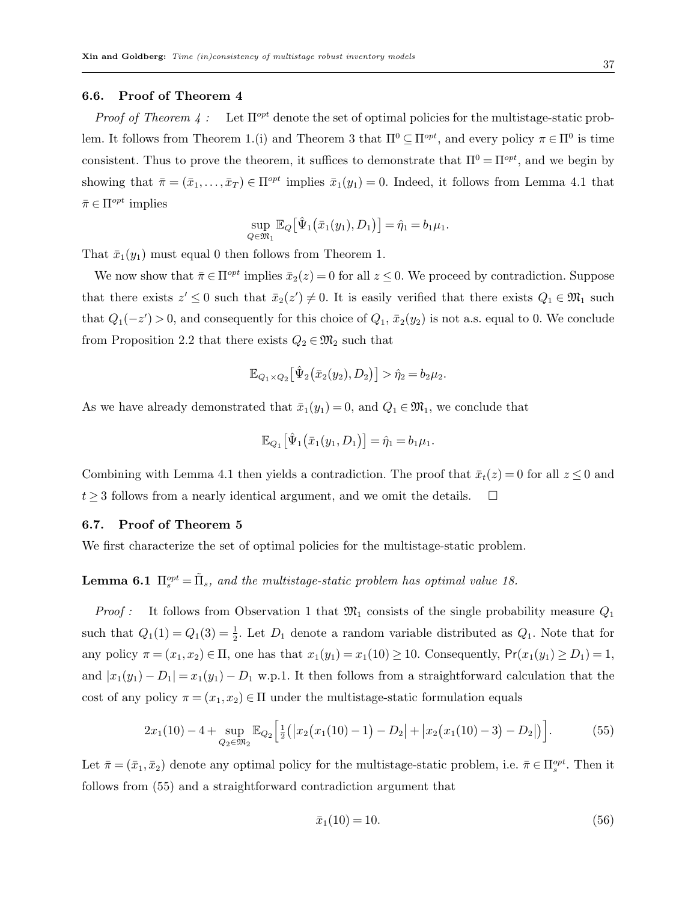#### 6.6. Proof of Theorem 4

*Proof of Theorem 4:* Let  $\Pi^{opt}$  denote the set of optimal policies for the multistage-static problem. It follows from Theorem 1.(i) and Theorem 3 that  $\Pi^0 \subseteq \Pi^{opt}$ , and every policy  $\pi \in \Pi^0$  is time consistent. Thus to prove the theorem, it suffices to demonstrate that  $\Pi^0 = \Pi^{opt}$ , and we begin by showing that  $\bar{\pi} = (\bar{x}_1, \ldots, \bar{x}_T) \in \Pi^{opt}$  implies  $\bar{x}_1(y_1) = 0$ . Indeed, it follows from Lemma 4.1 that  $\bar{\pi} \in \Pi^{opt}$  implies

$$
\sup_{Q \in \mathfrak{M}_1} \mathbb{E}_Q [\hat{\Psi}_1 (\bar{x}_1(y_1), D_1)] = \hat{\eta}_1 = b_1 \mu_1.
$$

That  $\bar{x}_1(y_1)$  must equal 0 then follows from Theorem 1.

We now show that  $\bar{\pi} \in \Pi^{opt}$  implies  $\bar{x}_2(z) = 0$  for all  $z \leq 0$ . We proceed by contradiction. Suppose that there exists  $z' \leq 0$  such that  $\bar{x}_2(z') \neq 0$ . It is easily verified that there exists  $Q_1 \in \mathfrak{M}_1$  such that  $Q_1(-z') > 0$ , and consequently for this choice of  $Q_1$ ,  $\bar{x}_2(y_2)$  is not a.s. equal to 0. We conclude from Proposition 2.2 that there exists  $Q_2 \in \mathfrak{M}_2$  such that

$$
\mathbb{E}_{Q_1 \times Q_2} \big[ \hat{\Psi}_2 (\bar{x}_2(y_2), D_2) \big] > \hat{\eta}_2 = b_2 \mu_2.
$$

As we have already demonstrated that  $\bar{x}_1(y_1) = 0$ , and  $Q_1 \in \mathfrak{M}_1$ , we conclude that

$$
\mathbb{E}_{Q_1} \big[ \hat{\Psi}_1 \big( \bar{x}_1(y_1, D_1 \big) \big] = \hat{\eta}_1 = b_1 \mu_1.
$$

Combining with Lemma 4.1 then yields a contradiction. The proof that  $\bar{x}_t(z) = 0$  for all  $z \leq 0$  and  $t \geq 3$  follows from a nearly identical argument, and we omit the details.  $\square$ 

## 6.7. Proof of Theorem 5

We first characterize the set of optimal policies for the multistage-static problem.

# **Lemma 6.1**  $\Pi_s^{opt} = \tilde{\Pi}_s$ , and the multistage-static problem has optimal value 18.

*Proof :* It follows from Observation 1 that  $\mathfrak{M}_1$  consists of the single probability measure  $Q_1$ such that  $Q_1(1) = Q_1(3) = \frac{1}{2}$ . Let  $D_1$  denote a random variable distributed as  $Q_1$ . Note that for any policy  $\pi = (x_1, x_2) \in \Pi$ , one has that  $x_1(y_1) = x_1(10) \ge 10$ . Consequently,  $Pr(x_1(y_1) \ge D_1) = 1$ , and  $|x_1(y_1) - D_1| = x_1(y_1) - D_1$  w.p.1. It then follows from a straightforward calculation that the cost of any policy  $\pi = (x_1, x_2) \in \Pi$  under the multistage-static formulation equals

$$
2x_1(10) - 4 + \sup_{Q_2 \in \mathfrak{M}_2} \mathbb{E}_{Q_2} \Big[ \frac{1}{2} (|x_2(x_1(10) - 1) - D_2| + |x_2(x_1(10) - 3) - D_2|) \Big]. \tag{55}
$$

Let  $\bar{\pi} = (\bar{x}_1, \bar{x}_2)$  denote any optimal policy for the multistage-static problem, i.e.  $\bar{\pi} \in \Pi_s^{opt}$ . Then it follows from (55) and a straightforward contradiction argument that

$$
\bar{x}_1(10) = 10.\t\t(56)
$$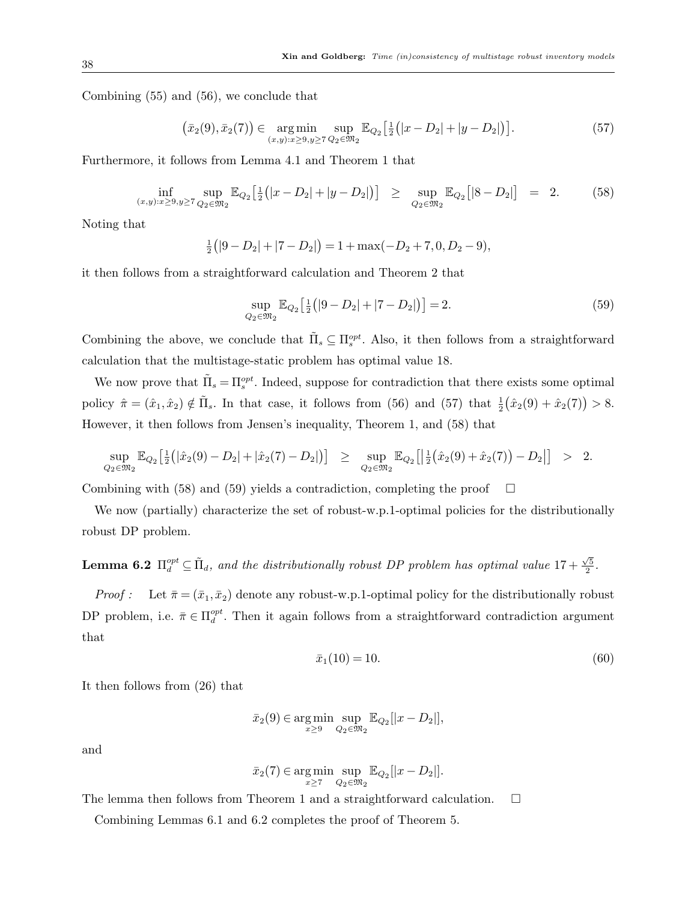Combining (55) and (56), we conclude that

$$
(\bar{x}_2(9), \bar{x}_2(7)) \in \underset{(x,y):x \ge 9, y \ge 7}{\arg \min} \underset{Q_2 \in \mathfrak{M}_2}{\sup} \mathbb{E}_{Q_2} \left[ \frac{1}{2} (|x - D_2| + |y - D_2|) \right]. \tag{57}
$$

Furthermore, it follows from Lemma 4.1 and Theorem 1 that

$$
\inf_{(x,y):x\geq 9,y\geq 7} \sup_{Q_2\in \mathfrak{M}_2} \mathbb{E}_{Q_2}\left[\tfrac{1}{2}(|x-D_2|+|y-D_2|)\right] \geq \sup_{Q_2\in \mathfrak{M}_2} \mathbb{E}_{Q_2}\left[|8-D_2|\right] = 2. \tag{58}
$$

Noting that

$$
\frac{1}{2}(|9-D_2|+|7-D_2|) = 1 + \max(-D_2+7, 0, D_2-9),
$$

it then follows from a straightforward calculation and Theorem 2 that

$$
\sup_{Q_2 \in \mathfrak{M}_2} \mathbb{E}_{Q_2} \left[ \frac{1}{2} \left( |9 - D_2| + |7 - D_2| \right) \right] = 2. \tag{59}
$$

Combining the above, we conclude that  $\tilde{\Pi}_s \subseteq \Pi_s^{opt}$ . Also, it then follows from a straightforward calculation that the multistage-static problem has optimal value 18.

We now prove that  $\tilde{\Pi}_s = \Pi_s^{opt}$ . Indeed, suppose for contradiction that there exists some optimal policy  $\hat{\pi} = (\hat{x}_1, \hat{x}_2) \notin \tilde{\Pi}_s$ . In that case, it follows from (56) and (57) that  $\frac{1}{2}(\hat{x}_2(9) + \hat{x}_2(7)) > 8$ . However, it then follows from Jensen's inequality, Theorem 1, and (58) that

$$
\sup_{Q_2 \in \mathfrak{M}_2} \mathbb{E}_{Q_2} \big[ \frac{1}{2} \big( |\hat{x}_2(9) - D_2| + |\hat{x}_2(7) - D_2| \big) \big] \ge \sup_{Q_2 \in \mathfrak{M}_2} \mathbb{E}_{Q_2} \big[ \big| \frac{1}{2} \big( \hat{x}_2(9) + \hat{x}_2(7) \big) - D_2| \big] > 2.
$$

Combining with (58) and (59) yields a contradiction, completing the proof  $\Box$ 

We now (partially) characterize the set of robust-w.p.1-optimal policies for the distributionally robust DP problem.

**Lemma 6.2**  $\Pi_d^{opt} \subseteq \tilde{\Pi}_d$ , and the distributionally robust DP problem has optimal value  $17 + \frac{\sqrt{5}}{2}$  $\frac{\sqrt{5}}{2}$  .

*Proof :* Let  $\bar{\pi} = (\bar{x}_1, \bar{x}_2)$  denote any robust-w.p.1-optimal policy for the distributionally robust DP problem, i.e.  $\bar{\pi} \in \Pi_d^{opt}$ . Then it again follows from a straightforward contradiction argument that

$$
\bar{x}_1(10) = 10.\t(60)
$$

It then follows from (26) that

$$
\bar{x}_2(9) \in \underset{x \ge 9}{\arg \min} \underset{Q_2 \in \mathfrak{M}_2}{\sup} \mathbb{E}_{Q_2}[|x - D_2|],
$$

and

$$
\bar{x}_2(7) \in \underset{x \ge 7}{\text{arg min }} \underset{Q_2 \in \mathfrak{M}_2}{\text{sup }} \mathbb{E}_{Q_2}[|x - D_2|].
$$

The lemma then follows from Theorem 1 and a straightforward calculation.  $\square$ 

Combining Lemmas 6.1 and 6.2 completes the proof of Theorem 5.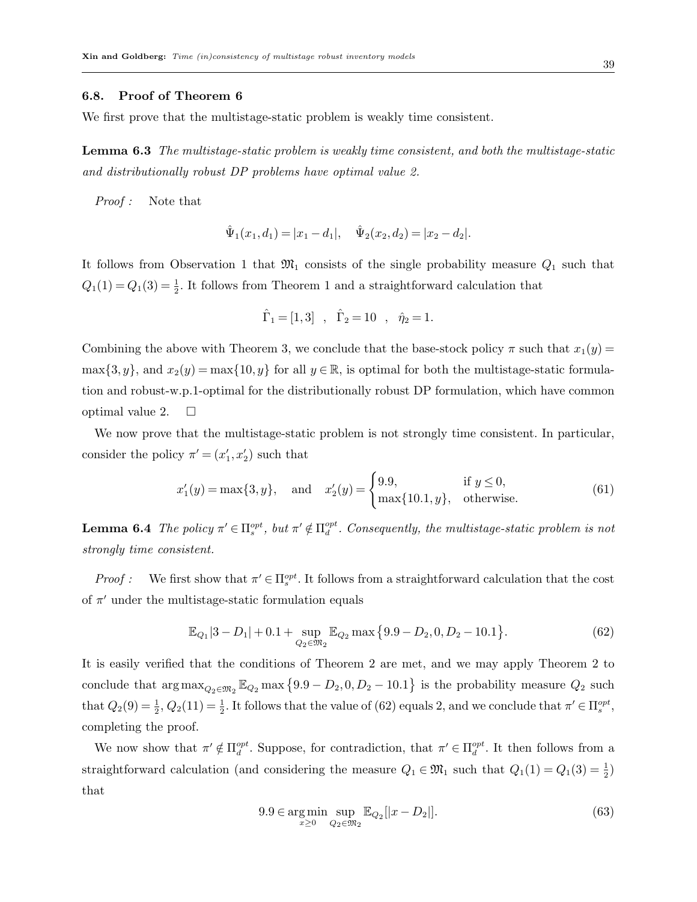#### 6.8. Proof of Theorem 6

We first prove that the multistage-static problem is weakly time consistent.

Lemma 6.3 The multistage-static problem is weakly time consistent, and both the multistage-static and distributionally robust DP problems have optimal value 2.

Proof : Note that

$$
\hat{\Psi}_1(x_1, d_1) = |x_1 - d_1|, \quad \hat{\Psi}_2(x_2, d_2) = |x_2 - d_2|.
$$

It follows from Observation 1 that  $\mathfrak{M}_1$  consists of the single probability measure  $Q_1$  such that  $Q_1(1) = Q_1(3) = \frac{1}{2}$ . It follows from Theorem 1 and a straightforward calculation that

$$
\hat{\Gamma}_1 = [1, 3]
$$
,  $\hat{\Gamma}_2 = 10$ ,  $\hat{\eta}_2 = 1$ .

Combining the above with Theorem 3, we conclude that the base-stock policy  $\pi$  such that  $x_1(y)$  =  $\max\{3, y\}$ , and  $x_2(y) = \max\{10, y\}$  for all  $y \in \mathbb{R}$ , is optimal for both the multistage-static formulation and robust-w.p.1-optimal for the distributionally robust DP formulation, which have common optimal value 2.  $\Box$ 

We now prove that the multistage-static problem is not strongly time consistent. In particular, consider the policy  $\pi' = (x'_1, x'_2)$  such that

$$
x'_{1}(y) = \max\{3, y\}, \text{ and } x'_{2}(y) = \begin{cases} 9.9, & \text{if } y \le 0, \\ \max\{10.1, y\}, & \text{otherwise.} \end{cases}
$$
(61)

**Lemma 6.4** The policy  $\pi' \in \Pi_s^{opt}$ , but  $\pi' \notin \Pi_d^{opt}$ . Consequently, the multistage-static problem is not strongly time consistent.

*Proof*: We first show that  $\pi' \in \Pi_s^{opt}$ . It follows from a straightforward calculation that the cost of  $\pi'$  under the multistage-static formulation equals

$$
\mathbb{E}_{Q_1}|3 - D_1| + 0.1 + \sup_{Q_2 \in \mathfrak{M}_2} \mathbb{E}_{Q_2} \max\left\{9.9 - D_2, 0, D_2 - 10.1\right\}.
$$
 (62)

It is easily verified that the conditions of Theorem 2 are met, and we may apply Theorem 2 to conclude that  $\arg \max_{Q_2 \in \mathfrak{M}_2} \mathbb{E}_{Q_2} \max \{9.9 - D_2, 0, D_2 - 10.1\}$  is the probability measure  $Q_2$  such that  $Q_2(9) = \frac{1}{2}$ ,  $Q_2(11) = \frac{1}{2}$ . It follows that the value of (62) equals 2, and we conclude that  $\pi' \in \Pi_s^{opt}$ , completing the proof.

We now show that  $\pi' \notin \Pi_d^{opt}$ . Suppose, for contradiction, that  $\pi' \in \Pi_d^{opt}$ . It then follows from a straightforward calculation (and considering the measure  $Q_1 \in \mathfrak{M}_1$  such that  $Q_1(1) = Q_1(3) = \frac{1}{2}$ ) that

$$
9.9 \in \underset{x \ge 0}{\text{arg min}} \underset{Q_2 \in \mathfrak{M}_2}{\text{sup}} \mathbb{E}_{Q_2}[|x - D_2|]. \tag{63}
$$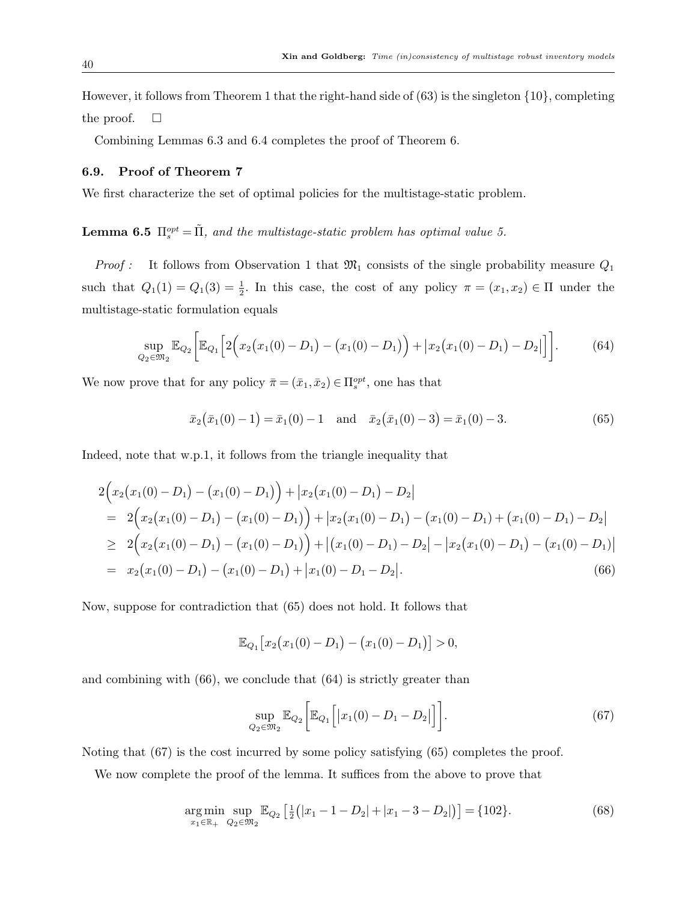However, it follows from Theorem 1 that the right-hand side of  $(63)$  is the singleton  $\{10\}$ , completing the proof.  $\square$ 

Combining Lemmas 6.3 and 6.4 completes the proof of Theorem 6.

## 6.9. Proof of Theorem 7

We first characterize the set of optimal policies for the multistage-static problem.

# **Lemma 6.5**  $\Pi_s^{opt} = \tilde{\Pi}$ , and the multistage-static problem has optimal value 5.

*Proof :* It follows from Observation 1 that  $\mathfrak{M}_1$  consists of the single probability measure  $Q_1$ such that  $Q_1(1) = Q_1(3) = \frac{1}{2}$ . In this case, the cost of any policy  $\pi = (x_1, x_2) \in \Pi$  under the multistage-static formulation equals

$$
\sup_{Q_2 \in \mathfrak{M}_2} \mathbb{E}_{Q_2} \bigg[ \mathbb{E}_{Q_1} \bigg[ 2 \Big( x_2 \big( x_1(0) - D_1 \big) - \big( x_1(0) - D_1 \big) \Big) + \big| x_2 \big( x_1(0) - D_1 \big) - D_2 \big| \big] \bigg]. \tag{64}
$$

We now prove that for any policy  $\bar{\pi} = (\bar{x}_1, \bar{x}_2) \in \Pi_s^{opt}$ , one has that

$$
\bar{x}_2(\bar{x}_1(0)-1) = \bar{x}_1(0)-1 \quad \text{and} \quad \bar{x}_2(\bar{x}_1(0)-3) = \bar{x}_1(0)-3. \tag{65}
$$

Indeed, note that w.p.1, it follows from the triangle inequality that

$$
2\Big(x_2(x_1(0)-D_1)-(x_1(0)-D_1)\Big)+|x_2(x_1(0)-D_1)-D_2|= 2\Big(x_2(x_1(0)-D_1)-(x_1(0)-D_1)\Big)+|x_2(x_1(0)-D_1)-(x_1(0)-D_1)+(x_1(0)-D_1)-D_2|\ge 2\Big(x_2(x_1(0)-D_1)-(x_1(0)-D_1)\Big)+|(x_1(0)-D_1)-D_2|-|x_2(x_1(0)-D_1)-(x_1(0)-D_1)|= x_2(x_1(0)-D_1)-(x_1(0)-D_1)+|x_1(0)-D_1-D_2|. (66)
$$

Now, suppose for contradiction that (65) does not hold. It follows that

$$
\mathbb{E}_{Q_1}[x_2(x_1(0)-D_1)-(x_1(0)-D_1)]>0,
$$

and combining with  $(66)$ , we conclude that  $(64)$  is strictly greater than

$$
\sup_{Q_2 \in \mathfrak{M}_2} \mathbb{E}_{Q_2} \bigg[ \mathbb{E}_{Q_1} \bigg[ |x_1(0) - D_1 - D_2| \bigg] \bigg]. \tag{67}
$$

Noting that (67) is the cost incurred by some policy satisfying (65) completes the proof.

We now complete the proof of the lemma. It suffices from the above to prove that

$$
\underset{x_1 \in \mathbb{R}_+}{\arg \min} \underset{Q_2 \in \mathfrak{M}_2}{\sup} \mathbb{E}_{Q_2} \left[ \frac{1}{2} \left( |x_1 - 1 - D_2| + |x_1 - 3 - D_2| \right) \right] = \{102\}. \tag{68}
$$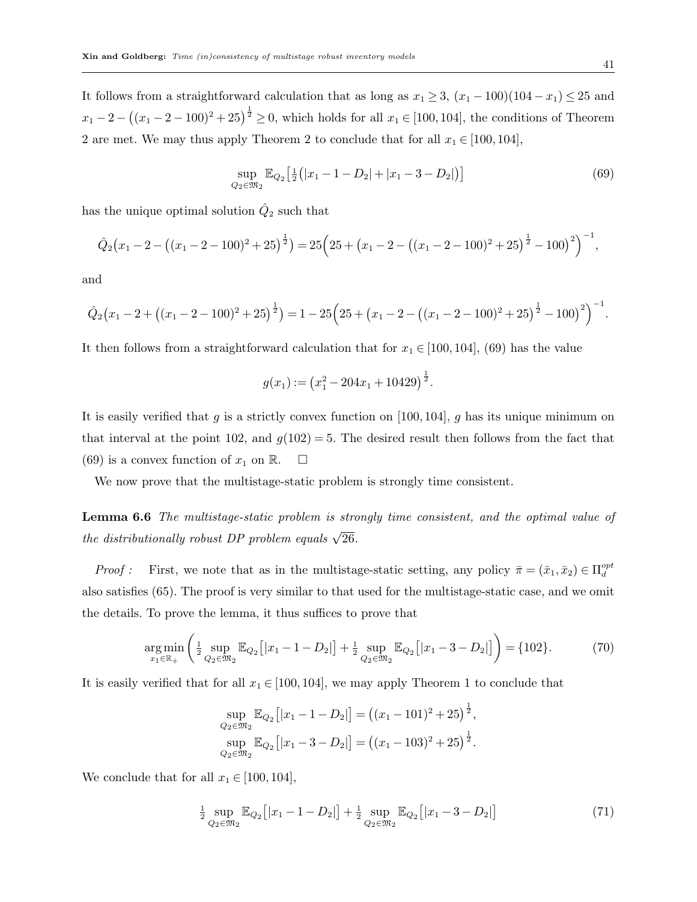It follows from a straightforward calculation that as long as  $x_1 \geq 3$ ,  $(x_1 - 100)(104 - x_1) \leq 25$  and  $x_1 - 2 - ((x_1 - 2 - 100)^2 + 25)^{\frac{1}{2}} \ge 0$ , which holds for all  $x_1 \in [100, 104]$ , the conditions of Theorem 2 are met. We may thus apply Theorem 2 to conclude that for all  $x_1 \in [100, 104]$ ,

$$
\sup_{Q_2 \in \mathfrak{M}_2} \mathbb{E}_{Q_2} \left[ \frac{1}{2} \left( |x_1 - 1 - D_2| + |x_1 - 3 - D_2| \right) \right] \tag{69}
$$

has the unique optimal solution  $\hat{Q}_2$  such that

$$
\hat{Q}_2(x_1 - 2 - ((x_1 - 2 - 100)^2 + 25)^{\frac{1}{2}}) = 25\left(25 + (x_1 - 2 - ((x_1 - 2 - 100)^2 + 25)^{\frac{1}{2}} - 100)^2\right)^{-1},
$$

and

$$
\hat{Q}_2(x_1 - 2 + ((x_1 - 2 - 100)^2 + 25)^{\frac{1}{2}}) = 1 - 25(25 + (x_1 - 2 - ((x_1 - 2 - 100)^2 + 25)^{\frac{1}{2}} - 100)^2)^{-1}.
$$

It then follows from a straightforward calculation that for  $x_1 \in [100, 104]$ , (69) has the value

$$
g(x_1) := (x_1^2 - 204x_1 + 10429)^{\frac{1}{2}}.
$$

It is easily verified that g is a strictly convex function on [100, 104], g has its unique minimum on that interval at the point 102, and  $g(102) = 5$ . The desired result then follows from the fact that (69) is a convex function of  $x_1$  on  $\mathbb{R}$ .  $\Box$ 

We now prove that the multistage-static problem is strongly time consistent.

Lemma 6.6 The multistage-static problem is strongly time consistent, and the optimal value of the distributionally robust DP problem equals  $\sqrt{26}$ .

*Proof*: First, we note that as in the multistage-static setting, any policy  $\bar{\pi} = (\bar{x}_1, \bar{x}_2) \in \Pi_d^{opt}$ also satisfies (65). The proof is very similar to that used for the multistage-static case, and we omit the details. To prove the lemma, it thus suffices to prove that

$$
\underset{x_1 \in \mathbb{R}_+}{\arg \min} \left( \frac{1}{2} \underset{Q_2 \in \mathfrak{M}_2}{\sup} \mathbb{E}_{Q_2} \left[ |x_1 - 1 - D_2| \right] + \frac{1}{2} \underset{Q_2 \in \mathfrak{M}_2}{\sup} \mathbb{E}_{Q_2} \left[ |x_1 - 3 - D_2| \right] \right) = \{102\}.
$$
 (70)

It is easily verified that for all  $x_1 \in [100, 104]$ , we may apply Theorem 1 to conclude that

$$
\sup_{Q_2 \in \mathfrak{M}_2} \mathbb{E}_{Q_2} [|x_1 - 1 - D_2|] = ((x_1 - 101)^2 + 25)^{\frac{1}{2}},
$$
  
\n
$$
\sup_{Q_2 \in \mathfrak{M}_2} \mathbb{E}_{Q_2} [|x_1 - 3 - D_2|] = ((x_1 - 103)^2 + 25)^{\frac{1}{2}}.
$$

We conclude that for all  $x_1 \in [100, 104]$ ,

$$
\frac{1}{2} \sup_{Q_2 \in \mathfrak{M}_2} \mathbb{E}_{Q_2} [|x_1 - 1 - D_2|] + \frac{1}{2} \sup_{Q_2 \in \mathfrak{M}_2} \mathbb{E}_{Q_2} [|x_1 - 3 - D_2|] \tag{71}
$$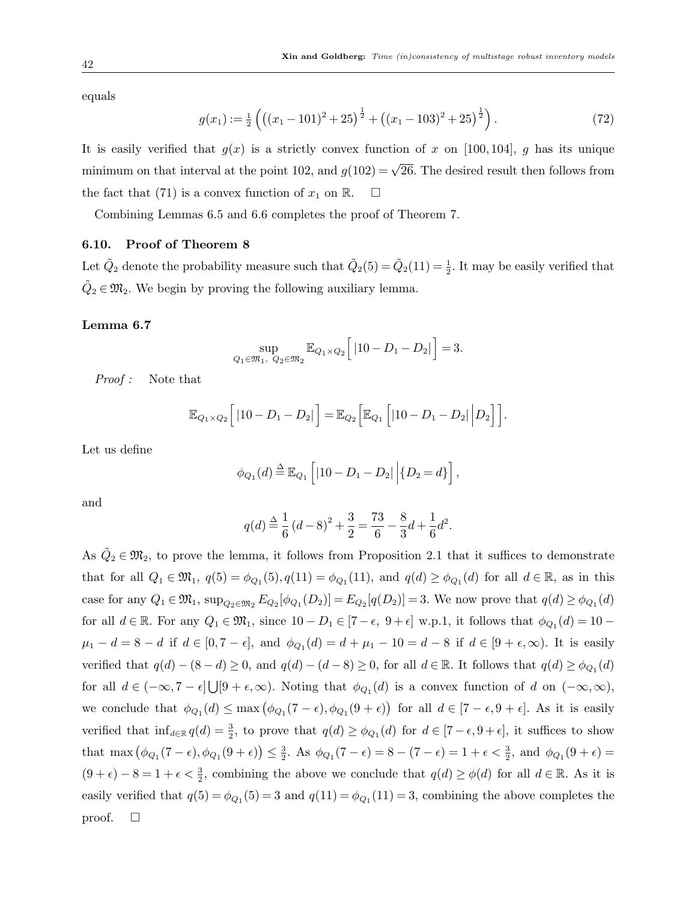equals

$$
g(x_1) := \frac{1}{2} \left( \left( (x_1 - 101)^2 + 25 \right)^{\frac{1}{2}} + \left( (x_1 - 103)^2 + 25 \right)^{\frac{1}{2}} \right). \tag{72}
$$

It is easily verified that  $g(x)$  is a strictly convex function of x on [100, 104], g has its unique minimum on that interval at the point 102, and  $g(102) = \sqrt{26}$ . The desired result then follows from the fact that (71) is a convex function of  $x_1$  on  $\mathbb{R}$ .  $\Box$ 

Combining Lemmas 6.5 and 6.6 completes the proof of Theorem 7.

## 6.10. Proof of Theorem 8

Let  $\tilde{Q}_2$  denote the probability measure such that  $\tilde{Q}_2(5) = \tilde{Q}_2(11) = \frac{1}{2}$ . It may be easily verified that  $\tilde{Q}_2 \in \mathfrak{M}_2$ . We begin by proving the following auxiliary lemma.

## Lemma 6.7

$$
\sup_{Q_1 \in \mathfrak{M}_1, Q_2 \in \mathfrak{M}_2} \mathbb{E}_{Q_1 \times Q_2} \Big[ |10 - D_1 - D_2| \Big] = 3.
$$

Proof : Note that

$$
\mathbb{E}_{Q_1 \times Q_2} \Big[ |10 - D_1 - D_2| \Big] = \mathbb{E}_{Q_2} \Big[ \mathbb{E}_{Q_1} \Big[ |10 - D_1 - D_2| \Big| D_2 \Big] \Big].
$$

Let us define

$$
\phi_{Q_1}(d) \stackrel{\Delta}{=} \mathbb{E}_{Q_1} \left[ |10 - D_1 - D_2| \, | \{D_2 = d\} \right],
$$

and

$$
q(d) \stackrel{\Delta}{=} \frac{1}{6} (d-8)^2 + \frac{3}{2} = \frac{73}{6} - \frac{8}{3}d + \frac{1}{6}d^2.
$$

As  $\tilde{Q}_2 \in \mathfrak{M}_2$ , to prove the lemma, it follows from Proposition 2.1 that it suffices to demonstrate that for all  $Q_1 \in \mathfrak{M}_1$ ,  $q(5) = \phi_{Q_1}(5)$ ,  $q(11) = \phi_{Q_1}(11)$ , and  $q(d) \ge \phi_{Q_1}(d)$  for all  $d \in \mathbb{R}$ , as in this case for any  $Q_1 \in \mathfrak{M}_1$ ,  $\sup_{Q_2 \in \mathfrak{M}_2} E_{Q_2}[\phi_{Q_1}(D_2)] = E_{Q_2}[q(D_2)] = 3$ . We now prove that  $q(d) \geq \phi_{Q_1}(d)$ for all  $d \in \mathbb{R}$ . For any  $Q_1 \in \mathfrak{M}_1$ , since  $10 - D_1 \in [7 - \epsilon, 9 + \epsilon]$  w.p.1, it follows that  $\phi_{Q_1}(d) = 10 - \epsilon$  $\mu_1 - d = 8 - d$  if  $d \in [0, 7 - \epsilon]$ , and  $\phi_{Q_1}(d) = d + \mu_1 - 10 = d - 8$  if  $d \in [9 + \epsilon, \infty)$ . It is easily verified that  $q(d) - (8 - d) \ge 0$ , and  $q(d) - (d - 8) \ge 0$ , for all  $d \in \mathbb{R}$ . It follows that  $q(d) \ge \phi_{Q_1}(d)$ for all  $d \in (-\infty, 7 - \epsilon] \cup [9 + \epsilon, \infty)$ . Noting that  $\phi_{Q_1}(d)$  is a convex function of d on  $(-\infty, \infty)$ , we conclude that  $\phi_{Q_1}(d) \le \max(\phi_{Q_1}(7-\epsilon), \phi_{Q_1}(9+\epsilon))$  for all  $d \in [7-\epsilon, 9+\epsilon]$ . As it is easily verified that  $\inf_{d\in\mathbb{R}} q(d) = \frac{3}{2}$ , to prove that  $q(d) \geq \phi_{Q_1}(d)$  for  $d \in [7-\epsilon, 9+\epsilon]$ , it suffices to show that max  $(\phi_{Q_1}(7-\epsilon), \phi_{Q_1}(9+\epsilon)) \leq \frac{3}{2}$  $\frac{3}{2}$ . As  $\phi_{Q_1}(7 - \epsilon) = 8 - (7 - \epsilon) = 1 + \epsilon < \frac{3}{2}$ , and  $\phi_{Q_1}(9 + \epsilon) =$  $(9 + \epsilon) - 8 = 1 + \epsilon < \frac{3}{2}$ , combining the above we conclude that  $q(d) \ge \phi(d)$  for all  $d \in \mathbb{R}$ . As it is easily verified that  $q(5) = \phi_{Q_1}(5) = 3$  and  $q(11) = \phi_{Q_1}(11) = 3$ , combining the above completes the proof.  $\square$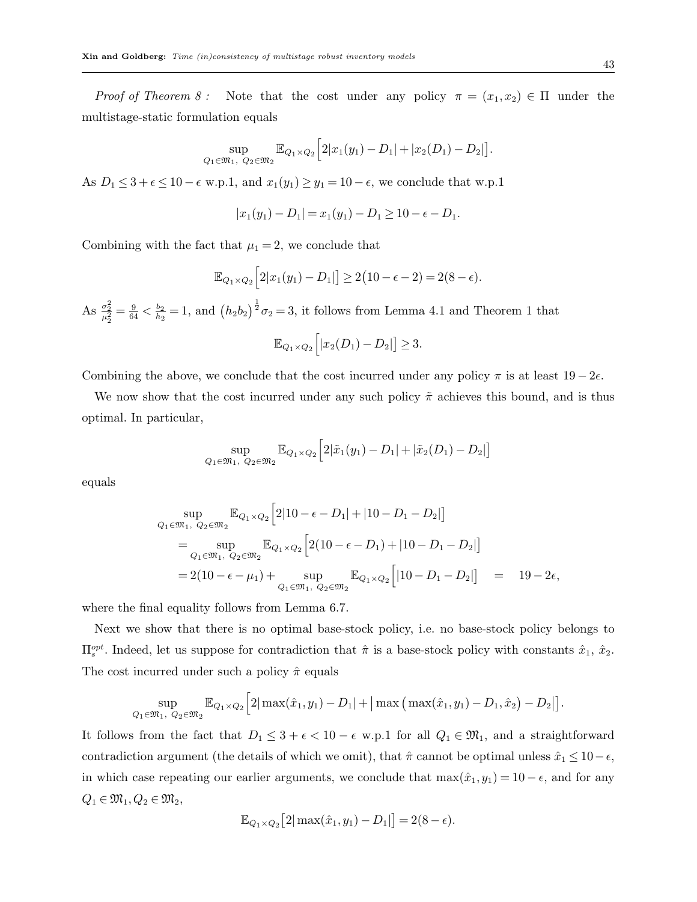Proof of Theorem 8: Note that the cost under any policy  $\pi = (x_1, x_2) \in \Pi$  under the multistage-static formulation equals

$$
\sup_{Q_1 \in \mathfrak{M}_1, \ Q_2 \in \mathfrak{M}_2} \mathbb{E}_{Q_1 \times Q_2} \Big[ 2|x_1(y_1) - D_1| + |x_2(D_1) - D_2| \Big].
$$

As  $D_1 \leq 3 + \epsilon \leq 10 - \epsilon$  w.p.1, and  $x_1(y_1) \geq y_1 = 10 - \epsilon$ , we conclude that w.p.1

$$
|x_1(y_1) - D_1| = x_1(y_1) - D_1 \ge 10 - \epsilon - D_1.
$$

Combining with the fact that  $\mu_1 = 2$ , we conclude that

$$
\mathbb{E}_{Q_1 \times Q_2} \Big[ 2|x_1(y_1) - D_1| \Big] \ge 2(10 - \epsilon - 2) = 2(8 - \epsilon).
$$

As  $\frac{\sigma_2^2}{\mu_2^2} = \frac{9}{64} < \frac{b_2}{h_2}$  $\frac{b_2}{h_2} = 1$ , and  $(h_2 b_2)^{\frac{1}{2}} \sigma_2 = 3$ , it follows from Lemma 4.1 and Theorem 1 that

$$
\mathbb{E}_{Q_1\times Q_2}\Big[|x_2(D_1)-D_2|\Big]\geq 3.
$$

Combining the above, we conclude that the cost incurred under any policy  $\pi$  is at least  $19-2\epsilon$ .

We now show that the cost incurred under any such policy  $\tilde{\pi}$  achieves this bound, and is thus optimal. In particular,

$$
\sup_{Q_1 \in \mathfrak{M}_1, Q_2 \in \mathfrak{M}_2} \mathbb{E}_{Q_1 \times Q_2} \Big[ 2|\tilde{x}_1(y_1) - D_1| + |\tilde{x}_2(D_1) - D_2| \Big]
$$

equals

$$
\sup_{Q_1 \in \mathfrak{M}_1, Q_2 \in \mathfrak{M}_2} \mathbb{E}_{Q_1 \times Q_2} [2|10 - \epsilon - D_1| + |10 - D_1 - D_2|]
$$
\n
$$
= \sup_{Q_1 \in \mathfrak{M}_1, Q_2 \in \mathfrak{M}_2} \mathbb{E}_{Q_1 \times Q_2} [2(10 - \epsilon - D_1) + |10 - D_1 - D_2|]
$$
\n
$$
= 2(10 - \epsilon - \mu_1) + \sup_{Q_1 \in \mathfrak{M}_1, Q_2 \in \mathfrak{M}_2} \mathbb{E}_{Q_1 \times Q_2} [10 - D_1 - D_2|] = 19 - 2\epsilon,
$$

where the final equality follows from Lemma 6.7.

Next we show that there is no optimal base-stock policy, i.e. no base-stock policy belongs to  $\Pi_s^{opt}$ . Indeed, let us suppose for contradiction that  $\hat{\pi}$  is a base-stock policy with constants  $\hat{x}_1$ ,  $\hat{x}_2$ . The cost incurred under such a policy  $\hat{\pi}$  equals

$$
\sup_{Q_1 \in \mathfrak{M}_1, Q_2 \in \mathfrak{M}_2} \mathbb{E}_{Q_1 \times Q_2} \Big[ 2|\max(\hat{x}_1, y_1) - D_1| + |\max(\max(\hat{x}_1, y_1) - D_1, \hat{x}_2) - D_2| \Big].
$$

It follows from the fact that  $D_1 \leq 3 + \epsilon < 10 - \epsilon$  w.p.1 for all  $Q_1 \in \mathfrak{M}_1$ , and a straightforward contradiction argument (the details of which we omit), that  $\hat{\pi}$  cannot be optimal unless  $\hat{x}_1 \leq 10 - \epsilon$ , in which case repeating our earlier arguments, we conclude that  $\max(\hat{x}_1, y_1) = 10 - \epsilon$ , and for any  $Q_1 \in \mathfrak{M}_1, Q_2 \in \mathfrak{M}_2$ ,

$$
\mathbb{E}_{Q_1\times Q_2}\big[2|\max(\hat{x}_1,y_1)-D_1|\big]=2(8-\epsilon).
$$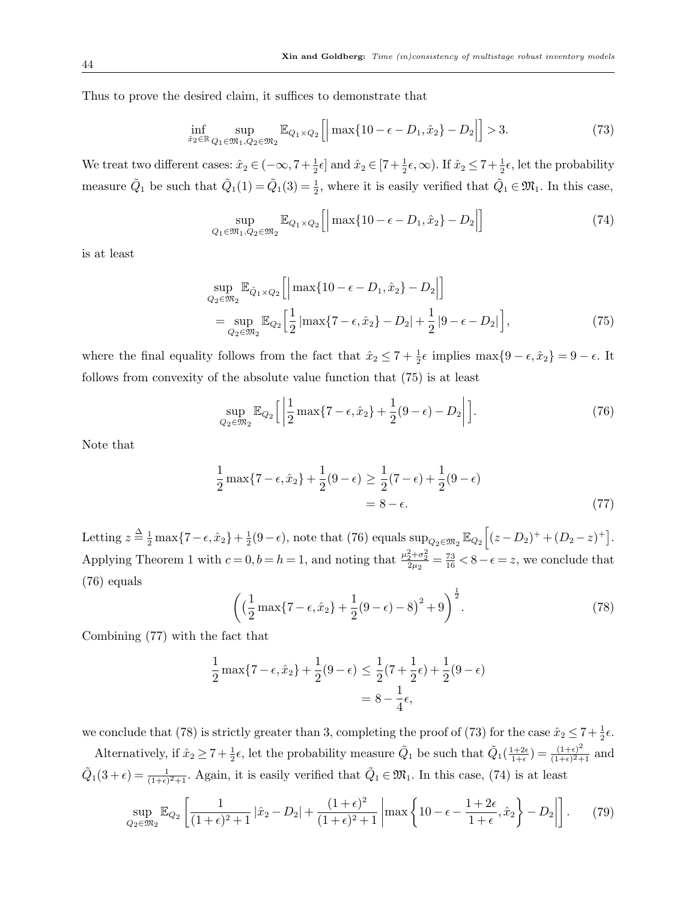Thus to prove the desired claim, it suffices to demonstrate that

$$
\inf_{\hat{x}_2 \in \mathbb{R}} \sup_{Q_1 \in \mathfrak{M}_1, Q_2 \in \mathfrak{M}_2} \mathbb{E}_{Q_1 \times Q_2} \left[ \left| \max \{ 10 - \epsilon - D_1, \hat{x}_2 \} - D_2 \right| \right] > 3. \tag{73}
$$

We treat two different cases:  $\hat{x}_2 \in (-\infty, 7 + \frac{1}{2}\epsilon]$  and  $\hat{x}_2 \in [7 + \frac{1}{2}\epsilon, \infty)$ . If  $\hat{x}_2 \le 7 + \frac{1}{2}\epsilon$ , let the probability measure  $\tilde{Q}_1$  be such that  $\tilde{Q}_1(1) = \tilde{Q}_1(3) = \frac{1}{2}$ , where it is easily verified that  $\tilde{Q}_1 \in \mathfrak{M}_1$ . In this case,

$$
\sup_{Q_1 \in \mathfrak{M}_1, Q_2 \in \mathfrak{M}_2} \mathbb{E}_{Q_1 \times Q_2} \left[ \left| \max \{ 10 - \epsilon - D_1, \hat{x}_2 \} - D_2 \right| \right] \tag{74}
$$

is at least

$$
\sup_{Q_2 \in \mathfrak{M}_2} \mathbb{E}_{\tilde{Q}_1 \times Q_2} \Big[ \Big| \max\{10 - \epsilon - D_1, \hat{x}_2\} - D_2 \Big| \Big] \n= \sup_{Q_2 \in \mathfrak{M}_2} \mathbb{E}_{Q_2} \Big[ \frac{1}{2} \Big| \max\{7 - \epsilon, \hat{x}_2\} - D_2 \Big| + \frac{1}{2} |9 - \epsilon - D_2| \Big],
$$
\n(75)

where the final equality follows from the fact that  $\hat{x}_2 \leq 7 + \frac{1}{2}\epsilon$  implies  $\max\{9 - \epsilon, \hat{x}_2\} = 9 - \epsilon$ . It follows from convexity of the absolute value function that (75) is at least

$$
\sup_{Q_2 \in \mathfrak{M}_2} \mathbb{E}_{Q_2} \left[ \left| \frac{1}{2} \max \{ 7 - \epsilon, \hat{x}_2 \} + \frac{1}{2} (9 - \epsilon) - D_2 \right| \right]. \tag{76}
$$

Note that

$$
\frac{1}{2}\max\{7-\epsilon,\hat{x}_2\} + \frac{1}{2}(9-\epsilon) \ge \frac{1}{2}(7-\epsilon) + \frac{1}{2}(9-\epsilon) = 8-\epsilon.
$$
\n(77)

Letting  $z \stackrel{\Delta}{=} \frac{1}{2} \max\{7 - \epsilon, \hat{x}_2\} + \frac{1}{2}$  $\frac{1}{2}(9-\epsilon)$ , note that (76) equals  $\sup_{Q_2 \in \mathfrak{M}_2} \mathbb{E}_{Q_2} [(z-D_2)^+ + (D_2 - z)^+]$ . Applying Theorem 1 with  $c = 0, b = h = 1$ , and noting that  $\frac{\mu_2^2 + \sigma_2^2}{2\mu_2} = \frac{73}{16} < 8 - \epsilon = z$ , we conclude that (76) equals

$$
\left( \left( \frac{1}{2} \max\{7 - \epsilon, \hat{x}_2\} + \frac{1}{2} (9 - \epsilon) - 8 \right)^2 + 9 \right)^{\frac{1}{2}}.
$$
 (78)

Combining (77) with the fact that

$$
\frac{1}{2} \max\{7 - \epsilon, \hat{x}_2\} + \frac{1}{2}(9 - \epsilon) \le \frac{1}{2}(7 + \frac{1}{2}\epsilon) + \frac{1}{2}(9 - \epsilon) \n= 8 - \frac{1}{4}\epsilon,
$$

we conclude that (78) is strictly greater than 3, completing the proof of (73) for the case  $\hat{x}_2 \le 7 + \frac{1}{2}\epsilon$ . Alternatively, if  $\hat{x}_2 \ge 7 + \frac{1}{2}\epsilon$ , let the probability measure  $\tilde{Q}_1$  be such that  $\tilde{Q}_1(\frac{1+2\epsilon}{1+\epsilon})$  $\frac{(1+2\epsilon)}{1+\epsilon}$ ) =  $\frac{(1+\epsilon)^2}{(1+\epsilon)^2+1}$  $\frac{(1+\epsilon)^2}{(1+\epsilon)^2+1}$  and

 $\tilde{Q}_1(3+\epsilon) = \frac{1}{(1+\epsilon)^2+1}$ . Again, it is easily verified that  $\tilde{Q}_1 \in \mathfrak{M}_1$ . In this case, (74) is at least

$$
\sup_{Q_2 \in \mathfrak{M}_2} \mathbb{E}_{Q_2} \left[ \frac{1}{(1+\epsilon)^2 + 1} |\hat{x}_2 - D_2| + \frac{(1+\epsilon)^2}{(1+\epsilon)^2 + 1} \left| \max \left\{ 10 - \epsilon - \frac{1+2\epsilon}{1+\epsilon}, \hat{x}_2 \right\} - D_2 \right| \right]. \tag{79}
$$